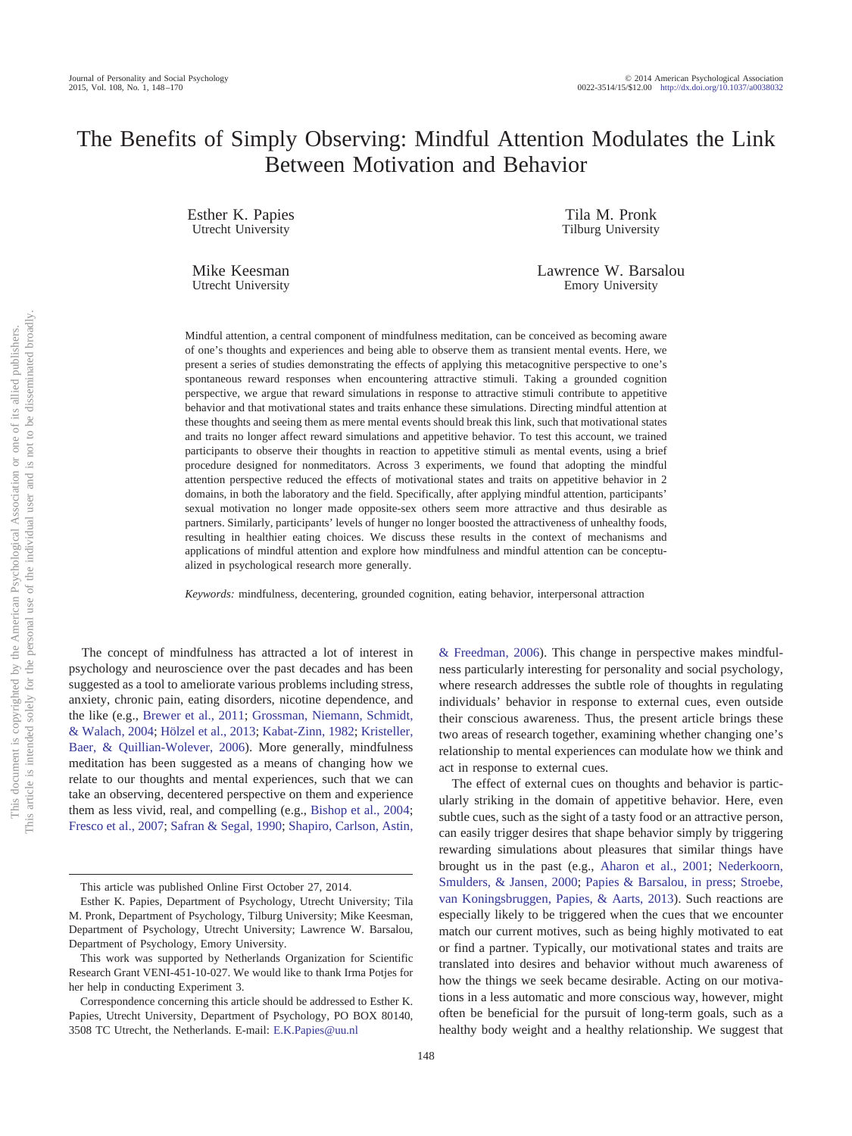# The Benefits of Simply Observing: Mindful Attention Modulates the Link Between Motivation and Behavior

Esther K. Papies Utrecht University

Mike Keesman Utrecht University

Tila M. Pronk Tilburg University

Lawrence W. Barsalou Emory University

Mindful attention, a central component of mindfulness meditation, can be conceived as becoming aware of one's thoughts and experiences and being able to observe them as transient mental events. Here, we present a series of studies demonstrating the effects of applying this metacognitive perspective to one's spontaneous reward responses when encountering attractive stimuli. Taking a grounded cognition perspective, we argue that reward simulations in response to attractive stimuli contribute to appetitive behavior and that motivational states and traits enhance these simulations. Directing mindful attention at these thoughts and seeing them as mere mental events should break this link, such that motivational states and traits no longer affect reward simulations and appetitive behavior. To test this account, we trained participants to observe their thoughts in reaction to appetitive stimuli as mental events, using a brief procedure designed for nonmeditators. Across 3 experiments, we found that adopting the mindful attention perspective reduced the effects of motivational states and traits on appetitive behavior in 2 domains, in both the laboratory and the field. Specifically, after applying mindful attention, participants' sexual motivation no longer made opposite-sex others seem more attractive and thus desirable as partners. Similarly, participants' levels of hunger no longer boosted the attractiveness of unhealthy foods, resulting in healthier eating choices. We discuss these results in the context of mechanisms and applications of mindful attention and explore how mindfulness and mindful attention can be conceptualized in psychological research more generally.

*Keywords:* mindfulness, decentering, grounded cognition, eating behavior, interpersonal attraction

The concept of mindfulness has attracted a lot of interest in psychology and neuroscience over the past decades and has been suggested as a tool to ameliorate various problems including stress, anxiety, chronic pain, eating disorders, nicotine dependence, and the like (e.g., [Brewer et al., 2011;](#page-19-0) [Grossman, Niemann, Schmidt,](#page-20-0) [& Walach, 2004;](#page-20-0) [Hölzel et al., 2013;](#page-20-1) [Kabat-Zinn, 1982;](#page-20-2) [Kristeller,](#page-20-3) [Baer, & Quillian-Wolever, 2006\)](#page-20-3). More generally, mindfulness meditation has been suggested as a means of changing how we relate to our thoughts and mental experiences, such that we can take an observing, decentered perspective on them and experience them as less vivid, real, and compelling (e.g., [Bishop et al., 2004;](#page-19-1) [Fresco et al., 2007;](#page-19-2) [Safran & Segal, 1990;](#page-21-0) [Shapiro, Carlson, Astin,](#page-22-0)

[& Freedman, 2006\)](#page-22-0). This change in perspective makes mindfulness particularly interesting for personality and social psychology, where research addresses the subtle role of thoughts in regulating individuals' behavior in response to external cues, even outside their conscious awareness. Thus, the present article brings these two areas of research together, examining whether changing one's relationship to mental experiences can modulate how we think and act in response to external cues.

The effect of external cues on thoughts and behavior is particularly striking in the domain of appetitive behavior. Here, even subtle cues, such as the sight of a tasty food or an attractive person, can easily trigger desires that shape behavior simply by triggering rewarding simulations about pleasures that similar things have brought us in the past (e.g., [Aharon et al., 2001;](#page-18-0) [Nederkoorn,](#page-21-1) [Smulders, & Jansen, 2000;](#page-21-1) [Papies & Barsalou, in press;](#page-21-2) [Stroebe,](#page-22-1) [van Koningsbruggen, Papies, & Aarts, 2013\)](#page-22-1). Such reactions are especially likely to be triggered when the cues that we encounter match our current motives, such as being highly motivated to eat or find a partner. Typically, our motivational states and traits are translated into desires and behavior without much awareness of how the things we seek became desirable. Acting on our motivations in a less automatic and more conscious way, however, might often be beneficial for the pursuit of long-term goals, such as a healthy body weight and a healthy relationship. We suggest that

This article was published Online First October 27, 2014.

Esther K. Papies, Department of Psychology, Utrecht University; Tila M. Pronk, Department of Psychology, Tilburg University; Mike Keesman, Department of Psychology, Utrecht University; Lawrence W. Barsalou, Department of Psychology, Emory University.

This work was supported by Netherlands Organization for Scientific Research Grant VENI-451-10-027. We would like to thank Irma Potjes for her help in conducting Experiment 3.

Correspondence concerning this article should be addressed to Esther K. Papies, Utrecht University, Department of Psychology, PO BOX 80140, 3508 TC Utrecht, the Netherlands. E-mail: [E.K.Papies@uu.nl](mailto:E.K.Papies@uu.nl)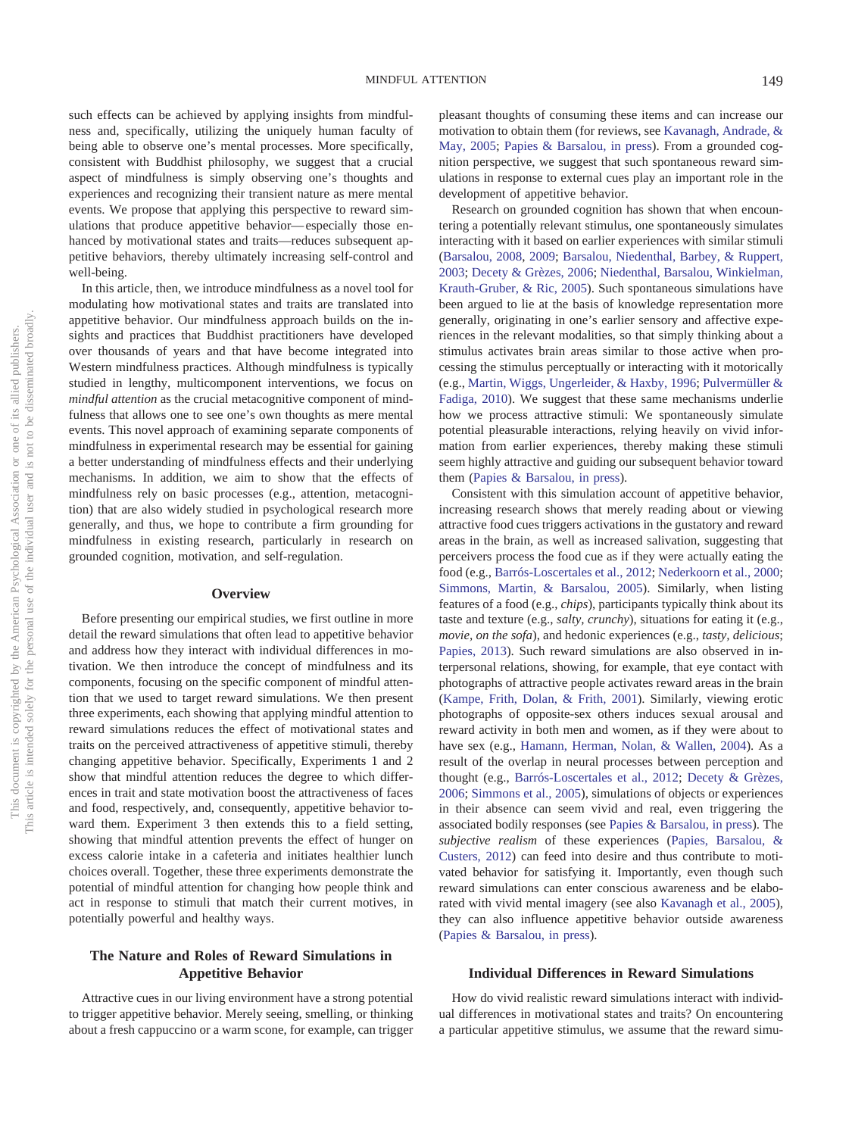such effects can be achieved by applying insights from mindfulness and, specifically, utilizing the uniquely human faculty of being able to observe one's mental processes. More specifically, consistent with Buddhist philosophy, we suggest that a crucial aspect of mindfulness is simply observing one's thoughts and experiences and recognizing their transient nature as mere mental events. We propose that applying this perspective to reward simulations that produce appetitive behavior— especially those enhanced by motivational states and traits—reduces subsequent appetitive behaviors, thereby ultimately increasing self-control and well-being.

In this article, then, we introduce mindfulness as a novel tool for modulating how motivational states and traits are translated into appetitive behavior. Our mindfulness approach builds on the insights and practices that Buddhist practitioners have developed over thousands of years and that have become integrated into Western mindfulness practices. Although mindfulness is typically studied in lengthy, multicomponent interventions, we focus on *mindful attention* as the crucial metacognitive component of mindfulness that allows one to see one's own thoughts as mere mental events. This novel approach of examining separate components of mindfulness in experimental research may be essential for gaining a better understanding of mindfulness effects and their underlying mechanisms. In addition, we aim to show that the effects of mindfulness rely on basic processes (e.g., attention, metacognition) that are also widely studied in psychological research more generally, and thus, we hope to contribute a firm grounding for mindfulness in existing research, particularly in research on grounded cognition, motivation, and self-regulation.

## **Overview**

Before presenting our empirical studies, we first outline in more detail the reward simulations that often lead to appetitive behavior and address how they interact with individual differences in motivation. We then introduce the concept of mindfulness and its components, focusing on the specific component of mindful attention that we used to target reward simulations. We then present three experiments, each showing that applying mindful attention to reward simulations reduces the effect of motivational states and traits on the perceived attractiveness of appetitive stimuli, thereby changing appetitive behavior. Specifically, Experiments 1 and 2 show that mindful attention reduces the degree to which differences in trait and state motivation boost the attractiveness of faces and food, respectively, and, consequently, appetitive behavior toward them. Experiment 3 then extends this to a field setting, showing that mindful attention prevents the effect of hunger on excess calorie intake in a cafeteria and initiates healthier lunch choices overall. Together, these three experiments demonstrate the potential of mindful attention for changing how people think and act in response to stimuli that match their current motives, in potentially powerful and healthy ways.

## **The Nature and Roles of Reward Simulations in Appetitive Behavior**

Attractive cues in our living environment have a strong potential to trigger appetitive behavior. Merely seeing, smelling, or thinking about a fresh cappuccino or a warm scone, for example, can trigger pleasant thoughts of consuming these items and can increase our motivation to obtain them (for reviews, see [Kavanagh, Andrade, &](#page-20-4) [May, 2005;](#page-20-4) [Papies & Barsalou, in press\)](#page-21-2). From a grounded cognition perspective, we suggest that such spontaneous reward simulations in response to external cues play an important role in the development of appetitive behavior.

Research on grounded cognition has shown that when encountering a potentially relevant stimulus, one spontaneously simulates interacting with it based on earlier experiences with similar stimuli [\(Barsalou, 2008,](#page-19-3) [2009;](#page-19-4) [Barsalou, Niedenthal, Barbey, & Ruppert,](#page-19-5) [2003;](#page-19-5) [Decety & Grèzes, 2006;](#page-19-6) [Niedenthal, Barsalou, Winkielman,](#page-21-3) [Krauth-Gruber, & Ric, 2005\)](#page-21-3). Such spontaneous simulations have been argued to lie at the basis of knowledge representation more generally, originating in one's earlier sensory and affective experiences in the relevant modalities, so that simply thinking about a stimulus activates brain areas similar to those active when processing the stimulus perceptually or interacting with it motorically (e.g., [Martin, Wiggs, Ungerleider, & Haxby, 1996;](#page-21-4) [Pulvermüller &](#page-21-5) [Fadiga, 2010\)](#page-21-5). We suggest that these same mechanisms underlie how we process attractive stimuli: We spontaneously simulate potential pleasurable interactions, relying heavily on vivid information from earlier experiences, thereby making these stimuli seem highly attractive and guiding our subsequent behavior toward them [\(Papies & Barsalou, in press\)](#page-21-2).

Consistent with this simulation account of appetitive behavior, increasing research shows that merely reading about or viewing attractive food cues triggers activations in the gustatory and reward areas in the brain, as well as increased salivation, suggesting that perceivers process the food cue as if they were actually eating the food (e.g., [Barrós-Loscertales et al., 2012;](#page-19-7) [Nederkoorn et al., 2000;](#page-21-1) [Simmons, Martin, & Barsalou, 2005\)](#page-22-2). Similarly, when listing features of a food (e.g., *chips*), participants typically think about its taste and texture (e.g., *salty, crunchy*), situations for eating it (e.g., *movie, on the sofa*), and hedonic experiences (e.g., *tasty, delicious*; [Papies, 2013\)](#page-21-6). Such reward simulations are also observed in interpersonal relations, showing, for example, that eye contact with photographs of attractive people activates reward areas in the brain [\(Kampe, Frith, Dolan, & Frith, 2001\)](#page-20-5). Similarly, viewing erotic photographs of opposite-sex others induces sexual arousal and reward activity in both men and women, as if they were about to have sex (e.g., [Hamann, Herman, Nolan, & Wallen, 2004\)](#page-20-6). As a result of the overlap in neural processes between perception and thought (e.g., [Barrós-Loscertales et al., 2012;](#page-19-7) [Decety & Grèzes,](#page-19-6) [2006;](#page-19-6) [Simmons et al., 2005\)](#page-22-2), simulations of objects or experiences in their absence can seem vivid and real, even triggering the associated bodily responses (see [Papies & Barsalou, in press\)](#page-21-2). The *subjective realism* of these experiences [\(Papies, Barsalou, &](#page-21-7) [Custers, 2012\)](#page-21-7) can feed into desire and thus contribute to motivated behavior for satisfying it. Importantly, even though such reward simulations can enter conscious awareness and be elaborated with vivid mental imagery (see also [Kavanagh et al., 2005\)](#page-20-4), they can also influence appetitive behavior outside awareness [\(Papies & Barsalou, in press\)](#page-21-2).

## **Individual Differences in Reward Simulations**

How do vivid realistic reward simulations interact with individual differences in motivational states and traits? On encountering a particular appetitive stimulus, we assume that the reward simu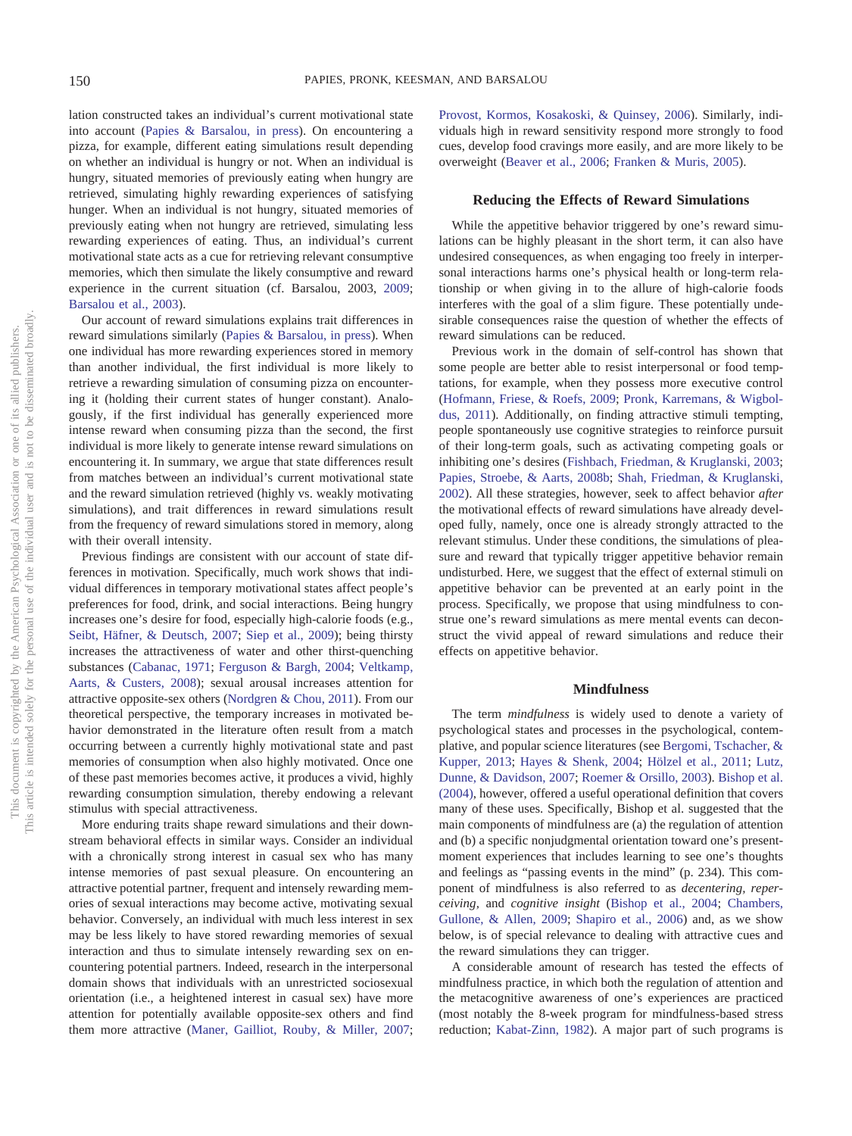lation constructed takes an individual's current motivational state into account [\(Papies & Barsalou, in press\)](#page-21-2). On encountering a pizza, for example, different eating simulations result depending on whether an individual is hungry or not. When an individual is hungry, situated memories of previously eating when hungry are retrieved, simulating highly rewarding experiences of satisfying hunger. When an individual is not hungry, situated memories of previously eating when not hungry are retrieved, simulating less rewarding experiences of eating. Thus, an individual's current motivational state acts as a cue for retrieving relevant consumptive memories, which then simulate the likely consumptive and reward experience in the current situation (cf. Barsalou, 2003, [2009;](#page-19-4) [Barsalou et al., 2003\)](#page-19-5).

Our account of reward simulations explains trait differences in reward simulations similarly [\(Papies & Barsalou, in press\)](#page-21-2). When one individual has more rewarding experiences stored in memory than another individual, the first individual is more likely to retrieve a rewarding simulation of consuming pizza on encountering it (holding their current states of hunger constant). Analogously, if the first individual has generally experienced more intense reward when consuming pizza than the second, the first individual is more likely to generate intense reward simulations on encountering it. In summary, we argue that state differences result from matches between an individual's current motivational state and the reward simulation retrieved (highly vs. weakly motivating simulations), and trait differences in reward simulations result from the frequency of reward simulations stored in memory, along with their overall intensity.

Previous findings are consistent with our account of state differences in motivation. Specifically, much work shows that individual differences in temporary motivational states affect people's preferences for food, drink, and social interactions. Being hungry increases one's desire for food, especially high-calorie foods (e.g., [Seibt, Häfner, & Deutsch, 2007;](#page-22-3) [Siep et al., 2009\)](#page-22-4); being thirsty increases the attractiveness of water and other thirst-quenching substances [\(Cabanac, 1971;](#page-19-8) [Ferguson & Bargh, 2004;](#page-19-9) [Veltkamp,](#page-22-5) [Aarts, & Custers, 2008\)](#page-22-5); sexual arousal increases attention for attractive opposite-sex others [\(Nordgren & Chou, 2011\)](#page-21-8). From our theoretical perspective, the temporary increases in motivated behavior demonstrated in the literature often result from a match occurring between a currently highly motivational state and past memories of consumption when also highly motivated. Once one of these past memories becomes active, it produces a vivid, highly rewarding consumption simulation, thereby endowing a relevant stimulus with special attractiveness.

More enduring traits shape reward simulations and their downstream behavioral effects in similar ways. Consider an individual with a chronically strong interest in casual sex who has many intense memories of past sexual pleasure. On encountering an attractive potential partner, frequent and intensely rewarding memories of sexual interactions may become active, motivating sexual behavior. Conversely, an individual with much less interest in sex may be less likely to have stored rewarding memories of sexual interaction and thus to simulate intensely rewarding sex on encountering potential partners. Indeed, research in the interpersonal domain shows that individuals with an unrestricted sociosexual orientation (i.e., a heightened interest in casual sex) have more attention for potentially available opposite-sex others and find them more attractive [\(Maner, Gailliot, Rouby, & Miller, 2007;](#page-21-9)

[Provost, Kormos, Kosakoski, & Quinsey, 2006\)](#page-21-10). Similarly, individuals high in reward sensitivity respond more strongly to food cues, develop food cravings more easily, and are more likely to be overweight [\(Beaver et al., 2006;](#page-19-10) [Franken & Muris, 2005\)](#page-19-11).

## **Reducing the Effects of Reward Simulations**

While the appetitive behavior triggered by one's reward simulations can be highly pleasant in the short term, it can also have undesired consequences, as when engaging too freely in interpersonal interactions harms one's physical health or long-term relationship or when giving in to the allure of high-calorie foods interferes with the goal of a slim figure. These potentially undesirable consequences raise the question of whether the effects of reward simulations can be reduced.

Previous work in the domain of self-control has shown that some people are better able to resist interpersonal or food temptations, for example, when they possess more executive control [\(Hofmann, Friese, & Roefs, 2009;](#page-20-7) [Pronk, Karremans, & Wigbol](#page-21-11)[dus, 2011\)](#page-21-11). Additionally, on finding attractive stimuli tempting, people spontaneously use cognitive strategies to reinforce pursuit of their long-term goals, such as activating competing goals or inhibiting one's desires [\(Fishbach, Friedman, & Kruglanski, 2003;](#page-19-12) [Papies, Stroebe, & Aarts, 2008b;](#page-21-12) [Shah, Friedman, & Kruglanski,](#page-22-6) [2002\)](#page-22-6). All these strategies, however, seek to affect behavior *after* the motivational effects of reward simulations have already developed fully, namely, once one is already strongly attracted to the relevant stimulus. Under these conditions, the simulations of pleasure and reward that typically trigger appetitive behavior remain undisturbed. Here, we suggest that the effect of external stimuli on appetitive behavior can be prevented at an early point in the process. Specifically, we propose that using mindfulness to construe one's reward simulations as mere mental events can deconstruct the vivid appeal of reward simulations and reduce their effects on appetitive behavior.

#### **Mindfulness**

The term *mindfulness* is widely used to denote a variety of psychological states and processes in the psychological, contemplative, and popular science literatures (see [Bergomi, Tschacher, &](#page-19-13) [Kupper, 2013;](#page-19-13) [Hayes & Shenk, 2004;](#page-20-8) [Hölzel et al., 2011;](#page-20-9) [Lutz,](#page-20-10) [Dunne, & Davidson, 2007;](#page-20-10) [Roemer & Orsillo, 2003\)](#page-21-13). [Bishop et al.](#page-19-1) [\(2004\),](#page-19-1) however, offered a useful operational definition that covers many of these uses. Specifically, Bishop et al. suggested that the main components of mindfulness are (a) the regulation of attention and (b) a specific nonjudgmental orientation toward one's presentmoment experiences that includes learning to see one's thoughts and feelings as "passing events in the mind" (p. 234). This component of mindfulness is also referred to as *decentering, reperceiving,* and *cognitive insight* [\(Bishop et al., 2004;](#page-19-1) [Chambers,](#page-19-14) [Gullone, & Allen, 2009;](#page-19-14) [Shapiro et al., 2006\)](#page-22-0) and, as we show below, is of special relevance to dealing with attractive cues and the reward simulations they can trigger.

A considerable amount of research has tested the effects of mindfulness practice, in which both the regulation of attention and the metacognitive awareness of one's experiences are practiced (most notably the 8-week program for mindfulness-based stress reduction; [Kabat-Zinn, 1982\)](#page-20-2). A major part of such programs is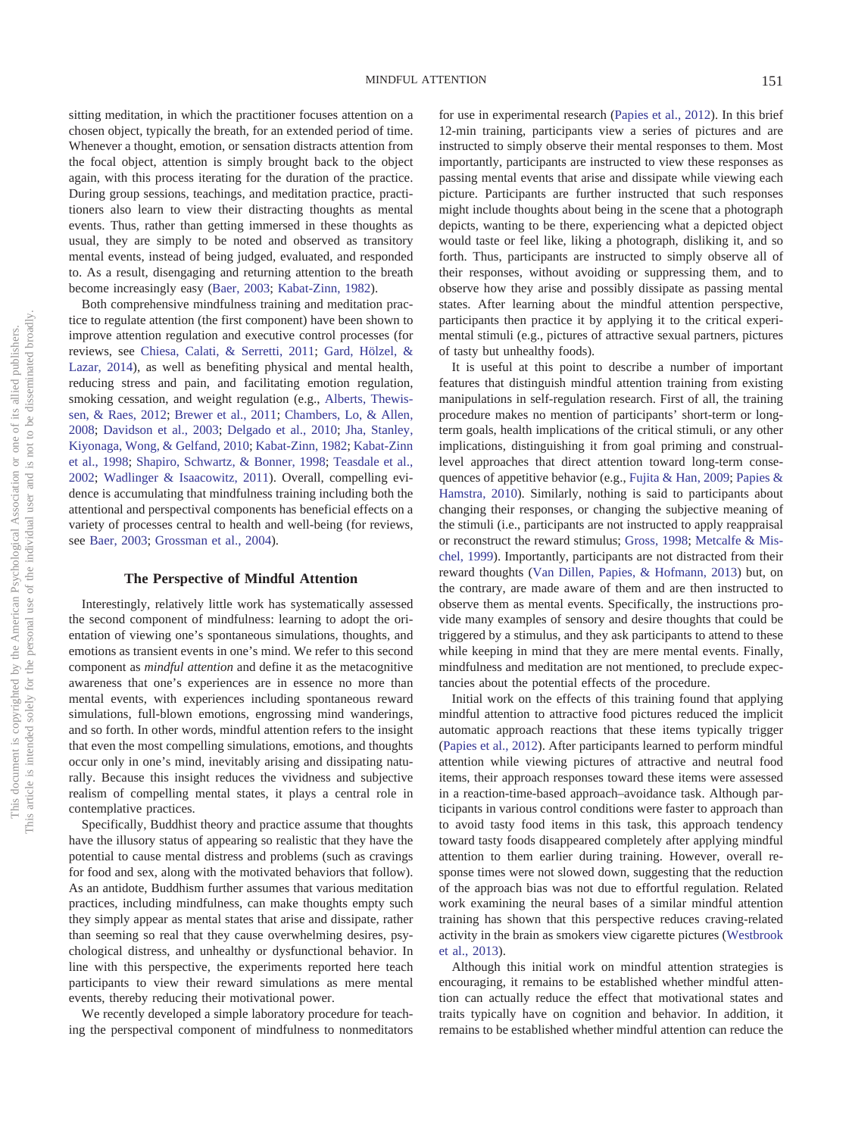sitting meditation, in which the practitioner focuses attention on a chosen object, typically the breath, for an extended period of time. Whenever a thought, emotion, or sensation distracts attention from the focal object, attention is simply brought back to the object again, with this process iterating for the duration of the practice. During group sessions, teachings, and meditation practice, practitioners also learn to view their distracting thoughts as mental events. Thus, rather than getting immersed in these thoughts as usual, they are simply to be noted and observed as transitory mental events, instead of being judged, evaluated, and responded to. As a result, disengaging and returning attention to the breath become increasingly easy [\(Baer, 2003;](#page-18-1) [Kabat-Zinn, 1982\)](#page-20-2).

Both comprehensive mindfulness training and meditation practice to regulate attention (the first component) have been shown to improve attention regulation and executive control processes (for reviews, see [Chiesa, Calati, & Serretti, 2011;](#page-19-15) [Gard, Hölzel, &](#page-20-11) [Lazar, 2014\)](#page-20-11), as well as benefiting physical and mental health, reducing stress and pain, and facilitating emotion regulation, smoking cessation, and weight regulation (e.g., [Alberts, Thewis](#page-18-2)[sen, & Raes, 2012;](#page-18-2) [Brewer et al., 2011;](#page-19-0) [Chambers, Lo, & Allen,](#page-19-16) [2008;](#page-19-16) [Davidson et al., 2003;](#page-19-17) [Delgado et al., 2010;](#page-19-18) [Jha, Stanley,](#page-20-12) [Kiyonaga, Wong, & Gelfand, 2010;](#page-20-12) [Kabat-Zinn, 1982;](#page-20-2) [Kabat-Zinn](#page-20-13) [et al., 1998;](#page-20-13) [Shapiro, Schwartz, & Bonner, 1998;](#page-22-7) [Teasdale et al.,](#page-22-8) [2002;](#page-22-8) [Wadlinger & Isaacowitz, 2011\)](#page-22-9). Overall, compelling evidence is accumulating that mindfulness training including both the attentional and perspectival components has beneficial effects on a variety of processes central to health and well-being (for reviews, see [Baer, 2003;](#page-18-1) [Grossman et al., 2004\)](#page-20-0).

#### **The Perspective of Mindful Attention**

Interestingly, relatively little work has systematically assessed the second component of mindfulness: learning to adopt the orientation of viewing one's spontaneous simulations, thoughts, and emotions as transient events in one's mind. We refer to this second component as *mindful attention* and define it as the metacognitive awareness that one's experiences are in essence no more than mental events, with experiences including spontaneous reward simulations, full-blown emotions, engrossing mind wanderings, and so forth. In other words, mindful attention refers to the insight that even the most compelling simulations, emotions, and thoughts occur only in one's mind, inevitably arising and dissipating naturally. Because this insight reduces the vividness and subjective realism of compelling mental states, it plays a central role in contemplative practices.

Specifically, Buddhist theory and practice assume that thoughts have the illusory status of appearing so realistic that they have the potential to cause mental distress and problems (such as cravings for food and sex, along with the motivated behaviors that follow). As an antidote, Buddhism further assumes that various meditation practices, including mindfulness, can make thoughts empty such they simply appear as mental states that arise and dissipate, rather than seeming so real that they cause overwhelming desires, psychological distress, and unhealthy or dysfunctional behavior. In line with this perspective, the experiments reported here teach participants to view their reward simulations as mere mental events, thereby reducing their motivational power.

We recently developed a simple laboratory procedure for teaching the perspectival component of mindfulness to nonmeditators

for use in experimental research [\(Papies et al., 2012\)](#page-21-7). In this brief 12-min training, participants view a series of pictures and are instructed to simply observe their mental responses to them. Most importantly, participants are instructed to view these responses as passing mental events that arise and dissipate while viewing each picture. Participants are further instructed that such responses might include thoughts about being in the scene that a photograph depicts, wanting to be there, experiencing what a depicted object would taste or feel like, liking a photograph, disliking it, and so forth. Thus, participants are instructed to simply observe all of their responses, without avoiding or suppressing them, and to observe how they arise and possibly dissipate as passing mental states. After learning about the mindful attention perspective, participants then practice it by applying it to the critical experimental stimuli (e.g., pictures of attractive sexual partners, pictures of tasty but unhealthy foods).

It is useful at this point to describe a number of important features that distinguish mindful attention training from existing manipulations in self-regulation research. First of all, the training procedure makes no mention of participants' short-term or longterm goals, health implications of the critical stimuli, or any other implications, distinguishing it from goal priming and construallevel approaches that direct attention toward long-term consequences of appetitive behavior (e.g., [Fujita & Han, 2009;](#page-20-14) [Papies &](#page-21-14) [Hamstra, 2010\)](#page-21-14). Similarly, nothing is said to participants about changing their responses, or changing the subjective meaning of the stimuli (i.e., participants are not instructed to apply reappraisal or reconstruct the reward stimulus; [Gross, 1998;](#page-20-15) [Metcalfe & Mis](#page-21-15)[chel, 1999\)](#page-21-15). Importantly, participants are not distracted from their reward thoughts [\(Van Dillen, Papies, & Hofmann, 2013\)](#page-22-10) but, on the contrary, are made aware of them and are then instructed to observe them as mental events. Specifically, the instructions provide many examples of sensory and desire thoughts that could be triggered by a stimulus, and they ask participants to attend to these while keeping in mind that they are mere mental events. Finally, mindfulness and meditation are not mentioned, to preclude expectancies about the potential effects of the procedure.

Initial work on the effects of this training found that applying mindful attention to attractive food pictures reduced the implicit automatic approach reactions that these items typically trigger [\(Papies et al., 2012\)](#page-21-7). After participants learned to perform mindful attention while viewing pictures of attractive and neutral food items, their approach responses toward these items were assessed in a reaction-time-based approach–avoidance task. Although participants in various control conditions were faster to approach than to avoid tasty food items in this task, this approach tendency toward tasty foods disappeared completely after applying mindful attention to them earlier during training. However, overall response times were not slowed down, suggesting that the reduction of the approach bias was not due to effortful regulation. Related work examining the neural bases of a similar mindful attention training has shown that this perspective reduces craving-related activity in the brain as smokers view cigarette pictures [\(Westbrook](#page-22-11) [et al., 2013\)](#page-22-11).

Although this initial work on mindful attention strategies is encouraging, it remains to be established whether mindful attention can actually reduce the effect that motivational states and traits typically have on cognition and behavior. In addition, it remains to be established whether mindful attention can reduce the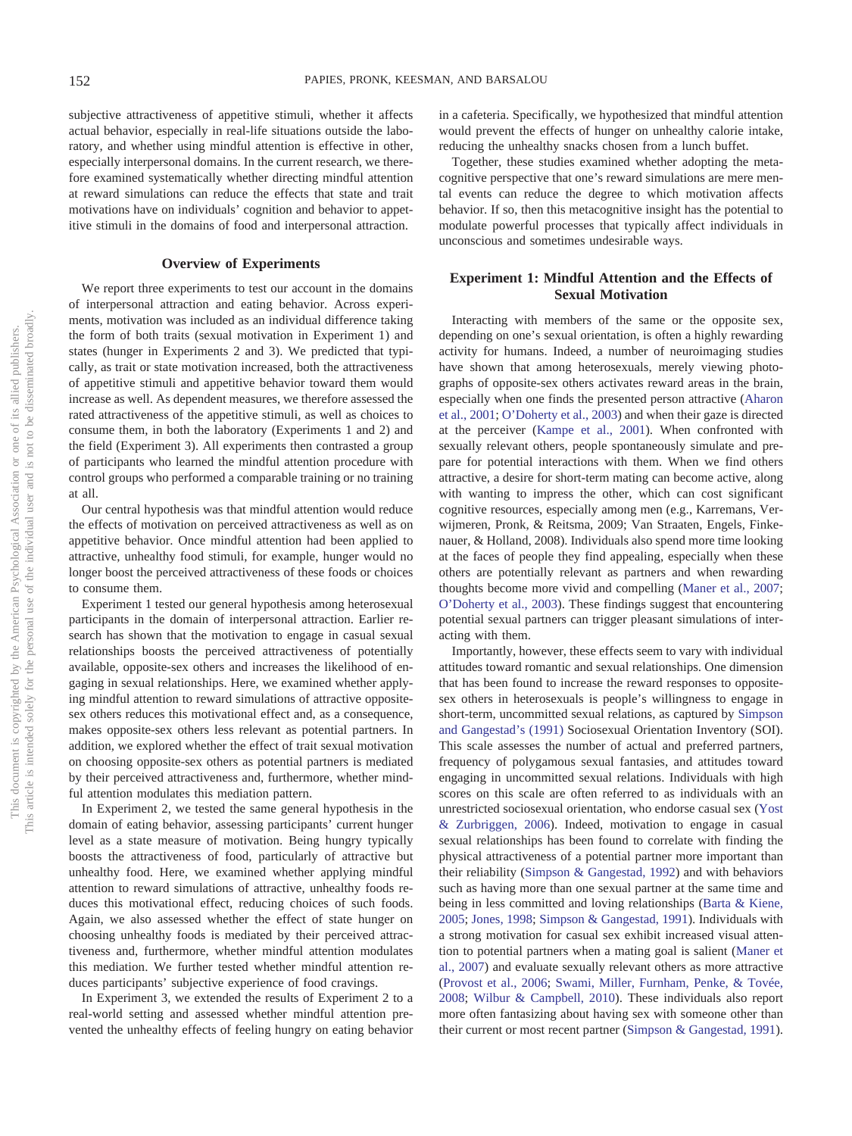subjective attractiveness of appetitive stimuli, whether it affects actual behavior, especially in real-life situations outside the laboratory, and whether using mindful attention is effective in other, especially interpersonal domains. In the current research, we therefore examined systematically whether directing mindful attention at reward simulations can reduce the effects that state and trait motivations have on individuals' cognition and behavior to appetitive stimuli in the domains of food and interpersonal attraction.

## **Overview of Experiments**

We report three experiments to test our account in the domains of interpersonal attraction and eating behavior. Across experiments, motivation was included as an individual difference taking the form of both traits (sexual motivation in Experiment 1) and states (hunger in Experiments 2 and 3). We predicted that typically, as trait or state motivation increased, both the attractiveness of appetitive stimuli and appetitive behavior toward them would increase as well. As dependent measures, we therefore assessed the rated attractiveness of the appetitive stimuli, as well as choices to consume them, in both the laboratory (Experiments 1 and 2) and the field (Experiment 3). All experiments then contrasted a group of participants who learned the mindful attention procedure with control groups who performed a comparable training or no training at all.

Our central hypothesis was that mindful attention would reduce the effects of motivation on perceived attractiveness as well as on appetitive behavior. Once mindful attention had been applied to attractive, unhealthy food stimuli, for example, hunger would no longer boost the perceived attractiveness of these foods or choices to consume them.

Experiment 1 tested our general hypothesis among heterosexual participants in the domain of interpersonal attraction. Earlier research has shown that the motivation to engage in casual sexual relationships boosts the perceived attractiveness of potentially available, opposite-sex others and increases the likelihood of engaging in sexual relationships. Here, we examined whether applying mindful attention to reward simulations of attractive oppositesex others reduces this motivational effect and, as a consequence, makes opposite-sex others less relevant as potential partners. In addition, we explored whether the effect of trait sexual motivation on choosing opposite-sex others as potential partners is mediated by their perceived attractiveness and, furthermore, whether mindful attention modulates this mediation pattern.

In Experiment 2, we tested the same general hypothesis in the domain of eating behavior, assessing participants' current hunger level as a state measure of motivation. Being hungry typically boosts the attractiveness of food, particularly of attractive but unhealthy food. Here, we examined whether applying mindful attention to reward simulations of attractive, unhealthy foods reduces this motivational effect, reducing choices of such foods. Again, we also assessed whether the effect of state hunger on choosing unhealthy foods is mediated by their perceived attractiveness and, furthermore, whether mindful attention modulates this mediation. We further tested whether mindful attention reduces participants' subjective experience of food cravings.

In Experiment 3, we extended the results of Experiment 2 to a real-world setting and assessed whether mindful attention prevented the unhealthy effects of feeling hungry on eating behavior in a cafeteria. Specifically, we hypothesized that mindful attention would prevent the effects of hunger on unhealthy calorie intake, reducing the unhealthy snacks chosen from a lunch buffet.

Together, these studies examined whether adopting the metacognitive perspective that one's reward simulations are mere mental events can reduce the degree to which motivation affects behavior. If so, then this metacognitive insight has the potential to modulate powerful processes that typically affect individuals in unconscious and sometimes undesirable ways.

## **Experiment 1: Mindful Attention and the Effects of Sexual Motivation**

Interacting with members of the same or the opposite sex, depending on one's sexual orientation, is often a highly rewarding activity for humans. Indeed, a number of neuroimaging studies have shown that among heterosexuals, merely viewing photographs of opposite-sex others activates reward areas in the brain, especially when one finds the presented person attractive [\(Aharon](#page-18-0) [et al., 2001;](#page-18-0) [O'Doherty et al., 2003\)](#page-21-16) and when their gaze is directed at the perceiver [\(Kampe et al., 2001\)](#page-20-5). When confronted with sexually relevant others, people spontaneously simulate and prepare for potential interactions with them. When we find others attractive, a desire for short-term mating can become active, along with wanting to impress the other, which can cost significant cognitive resources, especially among men (e.g., Karremans, Verwijmeren, Pronk, & Reitsma, 2009; Van Straaten, Engels, Finkenauer, & Holland, 2008). Individuals also spend more time looking at the faces of people they find appealing, especially when these others are potentially relevant as partners and when rewarding thoughts become more vivid and compelling [\(Maner et al., 2007;](#page-21-9) [O'Doherty et al., 2003\)](#page-21-16). These findings suggest that encountering potential sexual partners can trigger pleasant simulations of interacting with them.

Importantly, however, these effects seem to vary with individual attitudes toward romantic and sexual relationships. One dimension that has been found to increase the reward responses to oppositesex others in heterosexuals is people's willingness to engage in short-term, uncommitted sexual relations, as captured by [Simpson](#page-22-12) [and Gangestad's \(1991\)](#page-22-12) Sociosexual Orientation Inventory (SOI). This scale assesses the number of actual and preferred partners, frequency of polygamous sexual fantasies, and attitudes toward engaging in uncommitted sexual relations. Individuals with high scores on this scale are often referred to as individuals with an unrestricted sociosexual orientation, who endorse casual sex [\(Yost](#page-22-13) [& Zurbriggen, 2006\)](#page-22-13). Indeed, motivation to engage in casual sexual relationships has been found to correlate with finding the physical attractiveness of a potential partner more important than their reliability [\(Simpson & Gangestad, 1992\)](#page-22-14) and with behaviors such as having more than one sexual partner at the same time and being in less committed and loving relationships [\(Barta & Kiene,](#page-19-19) [2005;](#page-19-19) [Jones, 1998;](#page-20-16) [Simpson & Gangestad, 1991\)](#page-22-12). Individuals with a strong motivation for casual sex exhibit increased visual attention to potential partners when a mating goal is salient [\(Maner et](#page-21-9) [al., 2007\)](#page-21-9) and evaluate sexually relevant others as more attractive [\(Provost et al., 2006;](#page-21-10) [Swami, Miller, Furnham, Penke, & Tovée,](#page-22-15) [2008;](#page-22-15) [Wilbur & Campbell, 2010\)](#page-22-16). These individuals also report more often fantasizing about having sex with someone other than their current or most recent partner [\(Simpson & Gangestad, 1991\)](#page-22-12).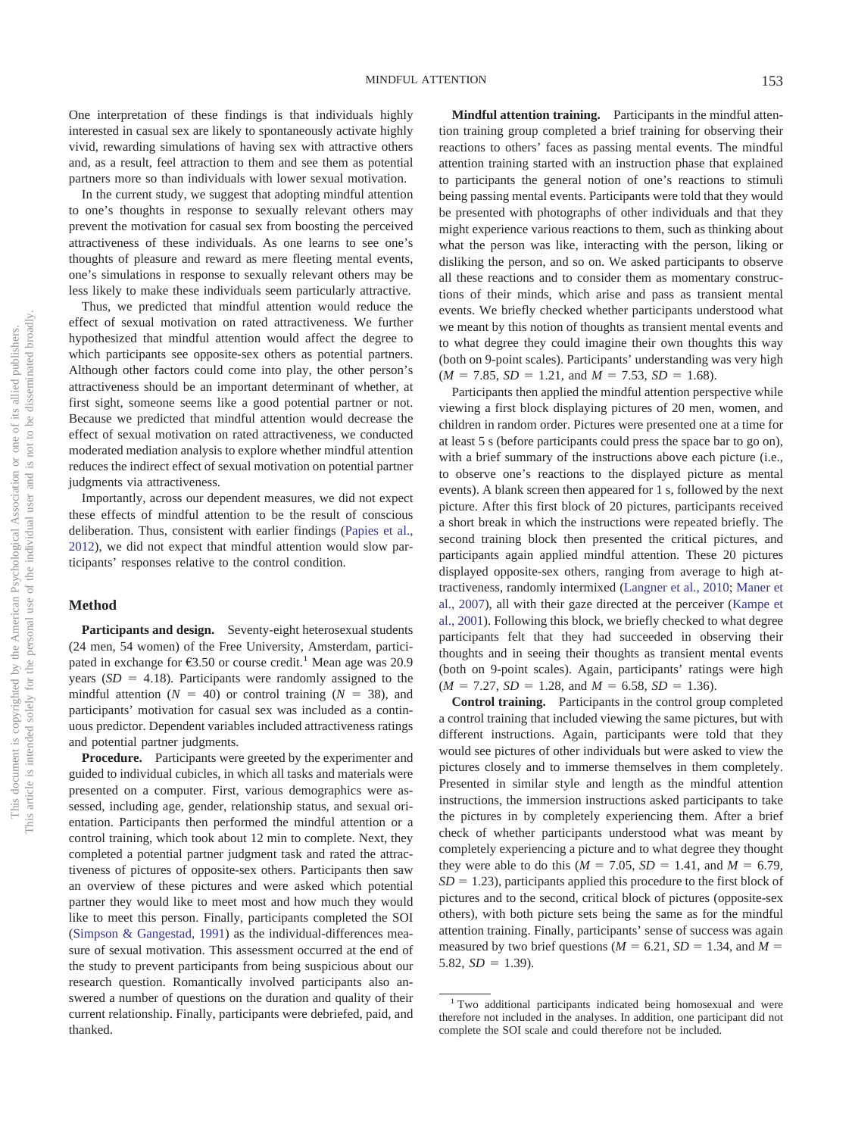One interpretation of these findings is that individuals highly interested in casual sex are likely to spontaneously activate highly vivid, rewarding simulations of having sex with attractive others and, as a result, feel attraction to them and see them as potential partners more so than individuals with lower sexual motivation.

In the current study, we suggest that adopting mindful attention to one's thoughts in response to sexually relevant others may prevent the motivation for casual sex from boosting the perceived attractiveness of these individuals. As one learns to see one's thoughts of pleasure and reward as mere fleeting mental events, one's simulations in response to sexually relevant others may be less likely to make these individuals seem particularly attractive.

Thus, we predicted that mindful attention would reduce the effect of sexual motivation on rated attractiveness. We further hypothesized that mindful attention would affect the degree to which participants see opposite-sex others as potential partners. Although other factors could come into play, the other person's attractiveness should be an important determinant of whether, at first sight, someone seems like a good potential partner or not. Because we predicted that mindful attention would decrease the effect of sexual motivation on rated attractiveness, we conducted moderated mediation analysis to explore whether mindful attention reduces the indirect effect of sexual motivation on potential partner judgments via attractiveness.

Importantly, across our dependent measures, we did not expect these effects of mindful attention to be the result of conscious deliberation. Thus, consistent with earlier findings [\(Papies et al.,](#page-21-7) [2012\)](#page-21-7), we did not expect that mindful attention would slow participants' responses relative to the control condition.

## **Method**

**Participants and design.** Seventy-eight heterosexual students (24 men, 54 women) of the Free University, Amsterdam, participated in exchange for  $\epsilon$ 3.50 or course credit.<sup>1</sup> Mean age was 20.9 years  $(SD = 4.18)$ . Participants were randomly assigned to the mindful attention  $(N = 40)$  or control training  $(N = 38)$ , and participants' motivation for casual sex was included as a continuous predictor. Dependent variables included attractiveness ratings and potential partner judgments.

**Procedure.** Participants were greeted by the experimenter and guided to individual cubicles, in which all tasks and materials were presented on a computer. First, various demographics were assessed, including age, gender, relationship status, and sexual orientation. Participants then performed the mindful attention or a control training, which took about 12 min to complete. Next, they completed a potential partner judgment task and rated the attractiveness of pictures of opposite-sex others. Participants then saw an overview of these pictures and were asked which potential partner they would like to meet most and how much they would like to meet this person. Finally, participants completed the SOI [\(Simpson & Gangestad, 1991\)](#page-22-12) as the individual-differences measure of sexual motivation. This assessment occurred at the end of the study to prevent participants from being suspicious about our research question. Romantically involved participants also answered a number of questions on the duration and quality of their current relationship. Finally, participants were debriefed, paid, and thanked.

**Mindful attention training.** Participants in the mindful attention training group completed a brief training for observing their reactions to others' faces as passing mental events. The mindful attention training started with an instruction phase that explained to participants the general notion of one's reactions to stimuli being passing mental events. Participants were told that they would be presented with photographs of other individuals and that they might experience various reactions to them, such as thinking about what the person was like, interacting with the person, liking or disliking the person, and so on. We asked participants to observe all these reactions and to consider them as momentary constructions of their minds, which arise and pass as transient mental events. We briefly checked whether participants understood what we meant by this notion of thoughts as transient mental events and to what degree they could imagine their own thoughts this way (both on 9-point scales). Participants' understanding was very high  $(M = 7.85, SD = 1.21, and M = 7.53, SD = 1.68).$ 

Participants then applied the mindful attention perspective while viewing a first block displaying pictures of 20 men, women, and children in random order. Pictures were presented one at a time for at least 5 s (before participants could press the space bar to go on), with a brief summary of the instructions above each picture (i.e., to observe one's reactions to the displayed picture as mental events). A blank screen then appeared for 1 s, followed by the next picture. After this first block of 20 pictures, participants received a short break in which the instructions were repeated briefly. The second training block then presented the critical pictures, and participants again applied mindful attention. These 20 pictures displayed opposite-sex others, ranging from average to high attractiveness, randomly intermixed [\(Langner et al., 2010;](#page-20-17) [Maner et](#page-21-9) [al., 2007\)](#page-21-9), all with their gaze directed at the perceiver [\(Kampe et](#page-20-5) [al., 2001\)](#page-20-5). Following this block, we briefly checked to what degree participants felt that they had succeeded in observing their thoughts and in seeing their thoughts as transient mental events (both on 9-point scales). Again, participants' ratings were high  $(M = 7.27, SD = 1.28, and M = 6.58, SD = 1.36).$ 

**Control training.** Participants in the control group completed a control training that included viewing the same pictures, but with different instructions. Again, participants were told that they would see pictures of other individuals but were asked to view the pictures closely and to immerse themselves in them completely. Presented in similar style and length as the mindful attention instructions, the immersion instructions asked participants to take the pictures in by completely experiencing them. After a brief check of whether participants understood what was meant by completely experiencing a picture and to what degree they thought they were able to do this ( $M = 7.05$ ,  $SD = 1.41$ , and  $M = 6.79$ ,  $SD = 1.23$ ), participants applied this procedure to the first block of pictures and to the second, critical block of pictures (opposite-sex others), with both picture sets being the same as for the mindful attention training. Finally, participants' sense of success was again measured by two brief questions ( $M = 6.21$ ,  $SD = 1.34$ , and  $M =$  $5.82, SD = 1.39$ .

<sup>&</sup>lt;sup>1</sup> Two additional participants indicated being homosexual and were therefore not included in the analyses. In addition, one participant did not complete the SOI scale and could therefore not be included.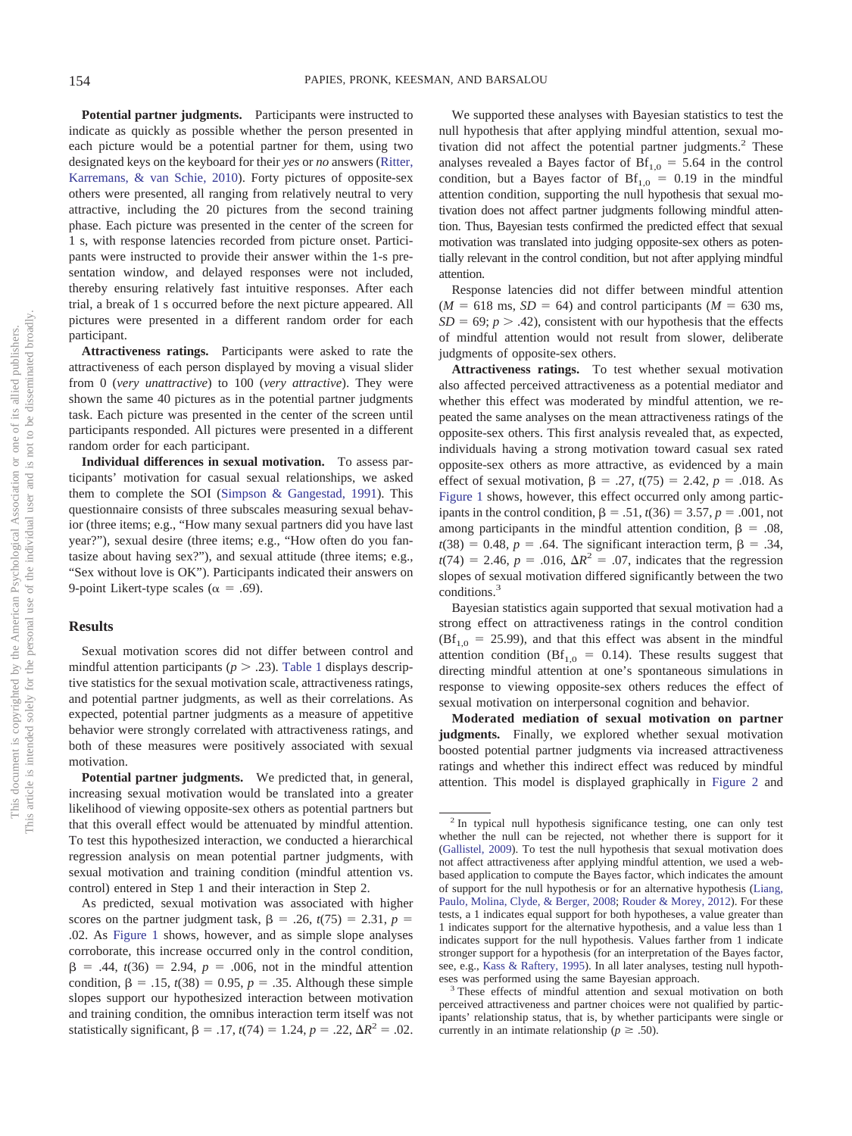**Potential partner judgments.** Participants were instructed to indicate as quickly as possible whether the person presented in each picture would be a potential partner for them, using two designated keys on the keyboard for their *yes* or *no* answers [\(Ritter,](#page-21-17) [Karremans, & van Schie, 2010\)](#page-21-17). Forty pictures of opposite-sex others were presented, all ranging from relatively neutral to very attractive, including the 20 pictures from the second training phase. Each picture was presented in the center of the screen for 1 s, with response latencies recorded from picture onset. Participants were instructed to provide their answer within the 1-s presentation window, and delayed responses were not included, thereby ensuring relatively fast intuitive responses. After each trial, a break of 1 s occurred before the next picture appeared. All pictures were presented in a different random order for each participant.

**Attractiveness ratings.** Participants were asked to rate the attractiveness of each person displayed by moving a visual slider from 0 (*very unattractive*) to 100 (*very attractive*). They were shown the same 40 pictures as in the potential partner judgments task. Each picture was presented in the center of the screen until participants responded. All pictures were presented in a different random order for each participant.

**Individual differences in sexual motivation.** To assess participants' motivation for casual sexual relationships, we asked them to complete the SOI [\(Simpson & Gangestad, 1991\)](#page-22-12). This questionnaire consists of three subscales measuring sexual behavior (three items; e.g., "How many sexual partners did you have last year?"), sexual desire (three items; e.g., "How often do you fantasize about having sex?"), and sexual attitude (three items; e.g., "Sex without love is OK"). Participants indicated their answers on 9-point Likert-type scales ( $\alpha = .69$ ).

## **Results**

Sexual motivation scores did not differ between control and mindful attention participants ( $p > .23$ ). [Table 1](#page-7-0) displays descriptive statistics for the sexual motivation scale, attractiveness ratings, and potential partner judgments, as well as their correlations. As expected, potential partner judgments as a measure of appetitive behavior were strongly correlated with attractiveness ratings, and both of these measures were positively associated with sexual motivation.

**Potential partner judgments.** We predicted that, in general, increasing sexual motivation would be translated into a greater likelihood of viewing opposite-sex others as potential partners but that this overall effect would be attenuated by mindful attention. To test this hypothesized interaction, we conducted a hierarchical regression analysis on mean potential partner judgments, with sexual motivation and training condition (mindful attention vs. control) entered in Step 1 and their interaction in Step 2.

As predicted, sexual motivation was associated with higher scores on the partner judgment task,  $\beta$  = .26,  $t(75)$  = 2.31,  $p$  = .02. As [Figure 1](#page-7-1) shows, however, and as simple slope analyses corroborate, this increase occurred only in the control condition,  $\beta = .44, t(36) = 2.94, p = .006, \text{ not in the mindful attention}$ condition,  $\beta = .15$ ,  $t(38) = 0.95$ ,  $p = .35$ . Although these simple slopes support our hypothesized interaction between motivation and training condition, the omnibus interaction term itself was not statistically significant,  $\beta = .17$ ,  $t(74) = 1.24$ ,  $p = .22$ ,  $\Delta R^2 = .02$ .

We supported these analyses with Bayesian statistics to test the null hypothesis that after applying mindful attention, sexual motivation did not affect the potential partner judgments. $2$  These analyses revealed a Bayes factor of  $Bf_{1,0} = 5.64$  in the control condition, but a Bayes factor of  $Bf_{1,0} = 0.19$  in the mindful attention condition, supporting the null hypothesis that sexual motivation does not affect partner judgments following mindful attention. Thus, Bayesian tests confirmed the predicted effect that sexual motivation was translated into judging opposite-sex others as potentially relevant in the control condition, but not after applying mindful attention.

Response latencies did not differ between mindful attention  $(M = 618 \text{ ms}, SD = 64)$  and control participants  $(M = 630 \text{ ms},$  $SD = 69$ ;  $p > .42$ ), consistent with our hypothesis that the effects of mindful attention would not result from slower, deliberate judgments of opposite-sex others.

**Attractiveness ratings.** To test whether sexual motivation also affected perceived attractiveness as a potential mediator and whether this effect was moderated by mindful attention, we repeated the same analyses on the mean attractiveness ratings of the opposite-sex others. This first analysis revealed that, as expected, individuals having a strong motivation toward casual sex rated opposite-sex others as more attractive, as evidenced by a main effect of sexual motivation,  $\beta = .27$ ,  $t(75) = 2.42$ ,  $p = .018$ . As [Figure 1](#page-7-1) shows, however, this effect occurred only among participants in the control condition,  $\beta = .51$ ,  $t(36) = 3.57$ ,  $p = .001$ , not among participants in the mindful attention condition,  $\beta = .08$ ,  $t(38) = 0.48$ ,  $p = .64$ . The significant interaction term,  $\beta = .34$ ,  $t(74) = 2.46, p = .016, \Delta R^2 = .07$ , indicates that the regression slopes of sexual motivation differed significantly between the two conditions.3

Bayesian statistics again supported that sexual motivation had a strong effect on attractiveness ratings in the control condition  $(Bf_{1,0} = 25.99)$ , and that this effect was absent in the mindful attention condition ( $Bf_{1,0} = 0.14$ ). These results suggest that directing mindful attention at one's spontaneous simulations in response to viewing opposite-sex others reduces the effect of sexual motivation on interpersonal cognition and behavior.

**Moderated mediation of sexual motivation on partner judgments.** Finally, we explored whether sexual motivation boosted potential partner judgments via increased attractiveness ratings and whether this indirect effect was reduced by mindful attention. This model is displayed graphically in [Figure 2](#page-7-2) and

<sup>2</sup> In typical null hypothesis significance testing, one can only test whether the null can be rejected, not whether there is support for it [\(Gallistel, 2009\)](#page-20-18). To test the null hypothesis that sexual motivation does not affect attractiveness after applying mindful attention, we used a webbased application to compute the Bayes factor, which indicates the amount of support for the null hypothesis or for an alternative hypothesis [\(Liang,](#page-20-19) [Paulo, Molina, Clyde, & Berger, 2008;](#page-20-19) [Rouder & Morey, 2012\)](#page-21-18). For these tests, a 1 indicates equal support for both hypotheses, a value greater than 1 indicates support for the alternative hypothesis, and a value less than 1 indicates support for the null hypothesis. Values farther from 1 indicate stronger support for a hypothesis (for an interpretation of the Bayes factor, see, e.g., [Kass & Raftery, 1995\)](#page-20-20). In all later analyses, testing null hypoth-

eses was performed using the same Bayesian approach. <sup>3</sup> These effects of mindful attention and sexual motivation on both perceived attractiveness and partner choices were not qualified by participants' relationship status, that is, by whether participants were single or currently in an intimate relationship ( $p \geq .50$ ).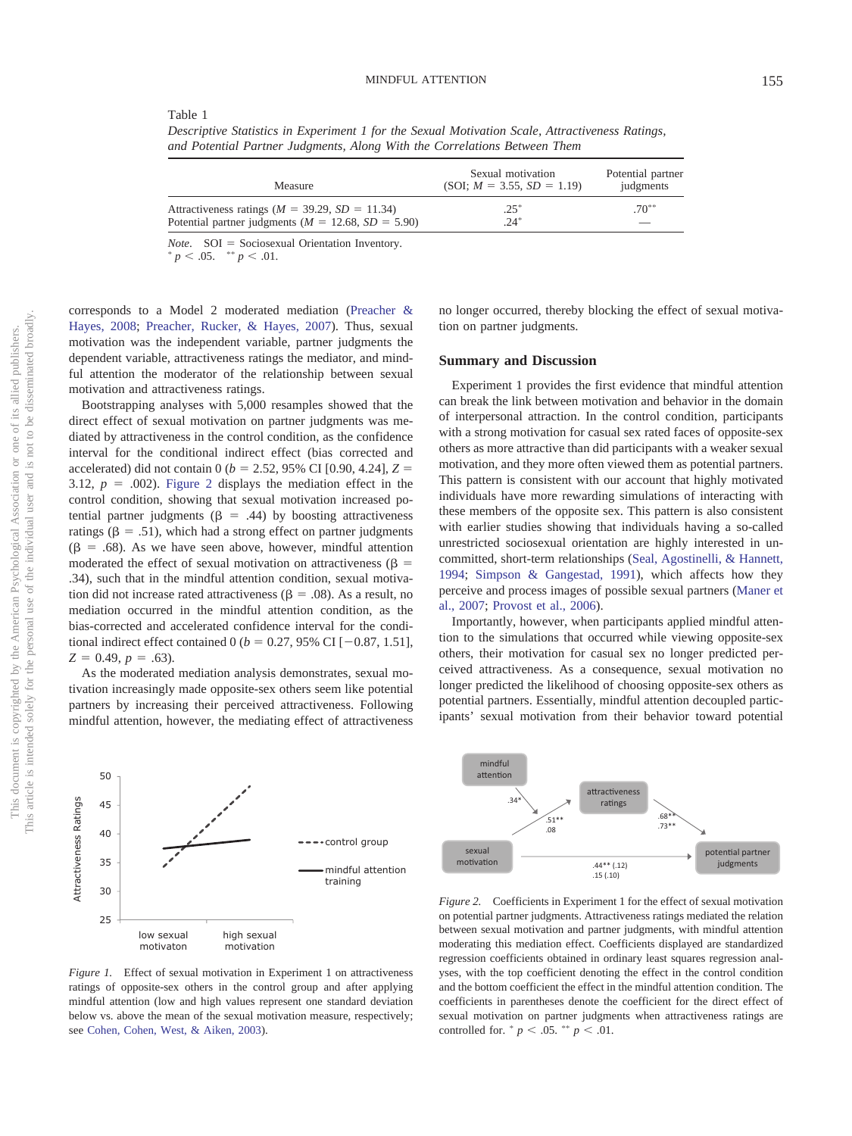25 30 35

> low sexual motivaton

40 45

Attractiveness Ratings

Attractiveness Ratings

50

<span id="page-7-0"></span>Table 1

| Measure                                                   | Sexual motivation<br>(SOI: $M = 3.55$ , $SD = 1.19$ ) | Potential partner<br>judgments |
|-----------------------------------------------------------|-------------------------------------------------------|--------------------------------|
| Attractiveness ratings ( $M = 39.29$ , $SD = 11.34$ )     | $.25*$                                                | $.70***$                       |
| Potential partner judgments ( $M = 12.68$ , $SD = 5.90$ ) | $.24*$                                                |                                |

*Descriptive Statistics in Experiment 1 for the Sexual Motivation Scale, Attractiveness Ratings, and Potential Partner Judgments, Along With the Correlations Between Them*

*Note.* SOI = Sociosexual Orientation Inventory.  $p < .05.$  \*\*  $p < .01.$ 

corresponds to a Model 2 moderated mediation [\(Preacher &](#page-21-19) [Hayes, 2008;](#page-21-19) [Preacher, Rucker, & Hayes, 2007\)](#page-21-20). Thus, sexual motivation was the independent variable, partner judgments the dependent variable, attractiveness ratings the mediator, and mindful attention the moderator of the relationship between sexual motivation and attractiveness ratings.

Bootstrapping analyses with 5,000 resamples showed that the direct effect of sexual motivation on partner judgments was mediated by attractiveness in the control condition, as the confidence interval for the conditional indirect effect (bias corrected and accelerated) did not contain 0 ( $b = 2.52$ , 95% CI [0.90, 4.24],  $Z =$ 3.12,  $p = .002$ ). [Figure 2](#page-7-2) displays the mediation effect in the control condition, showing that sexual motivation increased potential partner judgments ( $\beta$  = .44) by boosting attractiveness ratings ( $\beta = .51$ ), which had a strong effect on partner judgments  $(\beta = .68)$ . As we have seen above, however, mindful attention moderated the effect of sexual motivation on attractiveness ( $\beta$  = .34), such that in the mindful attention condition, sexual motivation did not increase rated attractiveness ( $\beta = .08$ ). As a result, no mediation occurred in the mindful attention condition, as the bias-corrected and accelerated confidence interval for the conditional indirect effect contained  $0 (b = 0.27, 95\% \text{ CI} [-0.87, 1.51],$  $Z = 0.49, p = .63$ .

As the moderated mediation analysis demonstrates, sexual motivation increasingly made opposite-sex others seem like potential partners by increasing their perceived attractiveness. Following mindful attention, however, the mediating effect of attractiveness

<span id="page-7-1"></span>*Figure 1.* Effect of sexual motivation in Experiment 1 on attractiveness ratings of opposite-sex others in the control group and after applying mindful attention (low and high values represent one standard deviation below vs. above the mean of the sexual motivation measure, respectively; see [Cohen, Cohen, West, & Aiken, 2003\)](#page-19-20).

high sexual motivation

--- control group

mindful attention training

no longer occurred, thereby blocking the effect of sexual motivation on partner judgments.

#### **Summary and Discussion**

Experiment 1 provides the first evidence that mindful attention can break the link between motivation and behavior in the domain of interpersonal attraction. In the control condition, participants with a strong motivation for casual sex rated faces of opposite-sex others as more attractive than did participants with a weaker sexual motivation, and they more often viewed them as potential partners. This pattern is consistent with our account that highly motivated individuals have more rewarding simulations of interacting with these members of the opposite sex. This pattern is also consistent with earlier studies showing that individuals having a so-called unrestricted sociosexual orientation are highly interested in uncommitted, short-term relationships [\(Seal, Agostinelli, & Hannett,](#page-22-17) [1994;](#page-22-17) [Simpson & Gangestad, 1991\)](#page-22-12), which affects how they perceive and process images of possible sexual partners [\(Maner et](#page-21-9) [al., 2007;](#page-21-9) [Provost et al., 2006\)](#page-21-10).

Importantly, however, when participants applied mindful attention to the simulations that occurred while viewing opposite-sex others, their motivation for casual sex no longer predicted perceived attractiveness. As a consequence, sexual motivation no longer predicted the likelihood of choosing opposite-sex others as potential partners. Essentially, mindful attention decoupled participants' sexual motivation from their behavior toward potential



<span id="page-7-2"></span>*Figure 2.* Coefficients in Experiment 1 for the effect of sexual motivation on potential partner judgments. Attractiveness ratings mediated the relation between sexual motivation and partner judgments, with mindful attention moderating this mediation effect. Coefficients displayed are standardized regression coefficients obtained in ordinary least squares regression analyses, with the top coefficient denoting the effect in the control condition and the bottom coefficient the effect in the mindful attention condition. The coefficients in parentheses denote the coefficient for the direct effect of sexual motivation on partner judgments when attractiveness ratings are controlled for.  $^* p < .05.$   $^{**} p < .01.$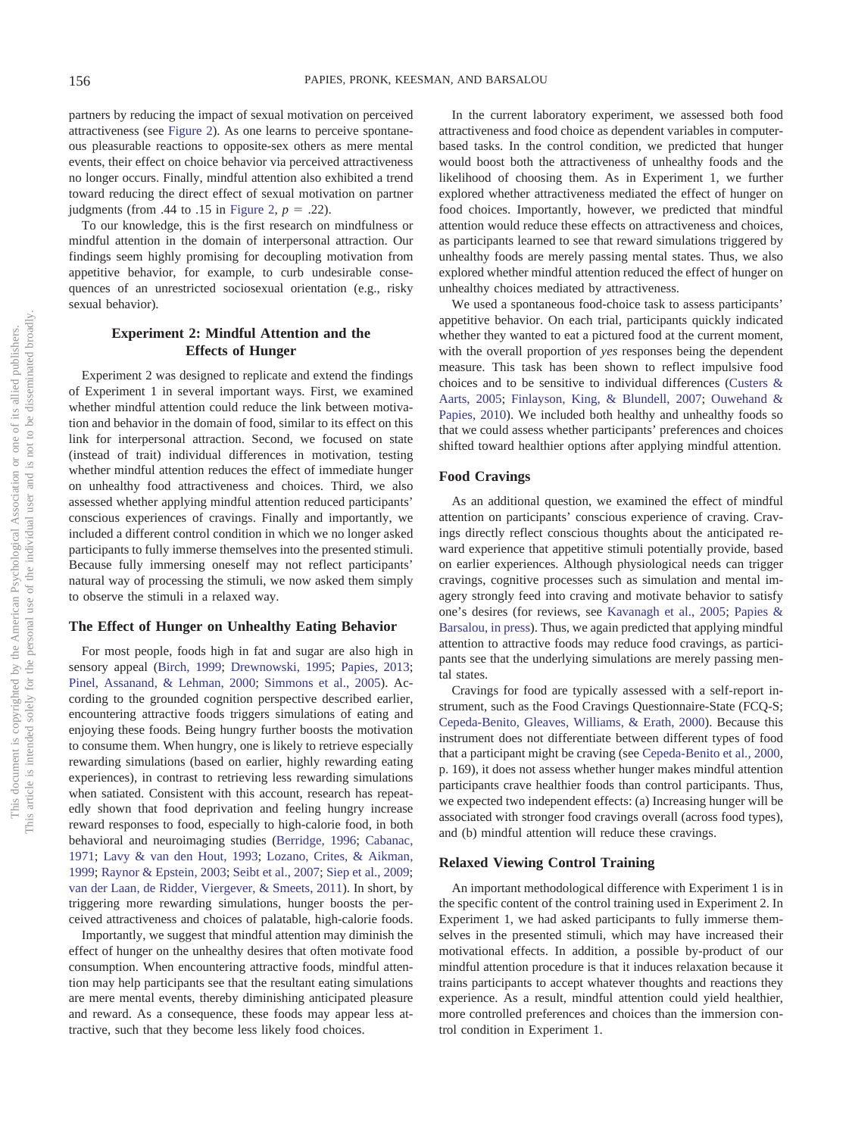partners by reducing the impact of sexual motivation on perceived attractiveness (see [Figure 2\)](#page-7-2). As one learns to perceive spontaneous pleasurable reactions to opposite-sex others as mere mental events, their effect on choice behavior via perceived attractiveness no longer occurs. Finally, mindful attention also exhibited a trend toward reducing the direct effect of sexual motivation on partner judgments (from .44 to .15 in [Figure 2,](#page-7-2)  $p = .22$ ).

To our knowledge, this is the first research on mindfulness or mindful attention in the domain of interpersonal attraction. Our findings seem highly promising for decoupling motivation from appetitive behavior, for example, to curb undesirable consequences of an unrestricted sociosexual orientation (e.g., risky sexual behavior).

## **Experiment 2: Mindful Attention and the Effects of Hunger**

Experiment 2 was designed to replicate and extend the findings of Experiment 1 in several important ways. First, we examined whether mindful attention could reduce the link between motivation and behavior in the domain of food, similar to its effect on this link for interpersonal attraction. Second, we focused on state (instead of trait) individual differences in motivation, testing whether mindful attention reduces the effect of immediate hunger on unhealthy food attractiveness and choices. Third, we also assessed whether applying mindful attention reduced participants' conscious experiences of cravings. Finally and importantly, we included a different control condition in which we no longer asked participants to fully immerse themselves into the presented stimuli. Because fully immersing oneself may not reflect participants' natural way of processing the stimuli, we now asked them simply to observe the stimuli in a relaxed way.

#### **The Effect of Hunger on Unhealthy Eating Behavior**

For most people, foods high in fat and sugar are also high in sensory appeal [\(Birch, 1999;](#page-19-21) [Drewnowski, 1995;](#page-19-22) [Papies, 2013;](#page-21-6) [Pinel, Assanand, & Lehman, 2000;](#page-21-21) [Simmons et al., 2005\)](#page-22-2). According to the grounded cognition perspective described earlier, encountering attractive foods triggers simulations of eating and enjoying these foods. Being hungry further boosts the motivation to consume them. When hungry, one is likely to retrieve especially rewarding simulations (based on earlier, highly rewarding eating experiences), in contrast to retrieving less rewarding simulations when satiated. Consistent with this account, research has repeatedly shown that food deprivation and feeling hungry increase reward responses to food, especially to high-calorie food, in both behavioral and neuroimaging studies [\(Berridge, 1996;](#page-19-23) [Cabanac,](#page-19-8) [1971;](#page-19-8) [Lavy & van den Hout, 1993;](#page-20-21) [Lozano, Crites, & Aikman,](#page-20-22) [1999;](#page-20-22) [Raynor & Epstein, 2003;](#page-21-22) [Seibt et al., 2007;](#page-22-3) [Siep et al., 2009;](#page-22-4) [van der Laan, de Ridder, Viergever, & Smeets, 2011\)](#page-22-18). In short, by triggering more rewarding simulations, hunger boosts the perceived attractiveness and choices of palatable, high-calorie foods.

Importantly, we suggest that mindful attention may diminish the effect of hunger on the unhealthy desires that often motivate food consumption. When encountering attractive foods, mindful attention may help participants see that the resultant eating simulations are mere mental events, thereby diminishing anticipated pleasure and reward. As a consequence, these foods may appear less attractive, such that they become less likely food choices.

In the current laboratory experiment, we assessed both food attractiveness and food choice as dependent variables in computerbased tasks. In the control condition, we predicted that hunger would boost both the attractiveness of unhealthy foods and the likelihood of choosing them. As in Experiment 1, we further explored whether attractiveness mediated the effect of hunger on food choices. Importantly, however, we predicted that mindful attention would reduce these effects on attractiveness and choices, as participants learned to see that reward simulations triggered by unhealthy foods are merely passing mental states. Thus, we also explored whether mindful attention reduced the effect of hunger on unhealthy choices mediated by attractiveness.

We used a spontaneous food-choice task to assess participants' appetitive behavior. On each trial, participants quickly indicated whether they wanted to eat a pictured food at the current moment, with the overall proportion of *yes* responses being the dependent measure. This task has been shown to reflect impulsive food choices and to be sensitive to individual differences [\(Custers &](#page-19-24) [Aarts, 2005;](#page-19-24) [Finlayson, King, & Blundell, 2007;](#page-19-25) [Ouwehand &](#page-21-23) [Papies, 2010\)](#page-21-23). We included both healthy and unhealthy foods so that we could assess whether participants' preferences and choices shifted toward healthier options after applying mindful attention.

#### **Food Cravings**

As an additional question, we examined the effect of mindful attention on participants' conscious experience of craving. Cravings directly reflect conscious thoughts about the anticipated reward experience that appetitive stimuli potentially provide, based on earlier experiences. Although physiological needs can trigger cravings, cognitive processes such as simulation and mental imagery strongly feed into craving and motivate behavior to satisfy one's desires (for reviews, see [Kavanagh et al., 2005;](#page-20-4) [Papies &](#page-21-2) [Barsalou, in press\)](#page-21-2). Thus, we again predicted that applying mindful attention to attractive foods may reduce food cravings, as participants see that the underlying simulations are merely passing mental states.

Cravings for food are typically assessed with a self-report instrument, such as the Food Cravings Questionnaire-State (FCQ-S; [Cepeda-Benito, Gleaves, Williams, & Erath, 2000\)](#page-19-26). Because this instrument does not differentiate between different types of food that a participant might be craving (see [Cepeda-Benito et al., 2000,](#page-19-26) p. 169), it does not assess whether hunger makes mindful attention participants crave healthier foods than control participants. Thus, we expected two independent effects: (a) Increasing hunger will be associated with stronger food cravings overall (across food types), and (b) mindful attention will reduce these cravings.

## **Relaxed Viewing Control Training**

An important methodological difference with Experiment 1 is in the specific content of the control training used in Experiment 2. In Experiment 1, we had asked participants to fully immerse themselves in the presented stimuli, which may have increased their motivational effects. In addition, a possible by-product of our mindful attention procedure is that it induces relaxation because it trains participants to accept whatever thoughts and reactions they experience. As a result, mindful attention could yield healthier, more controlled preferences and choices than the immersion control condition in Experiment 1.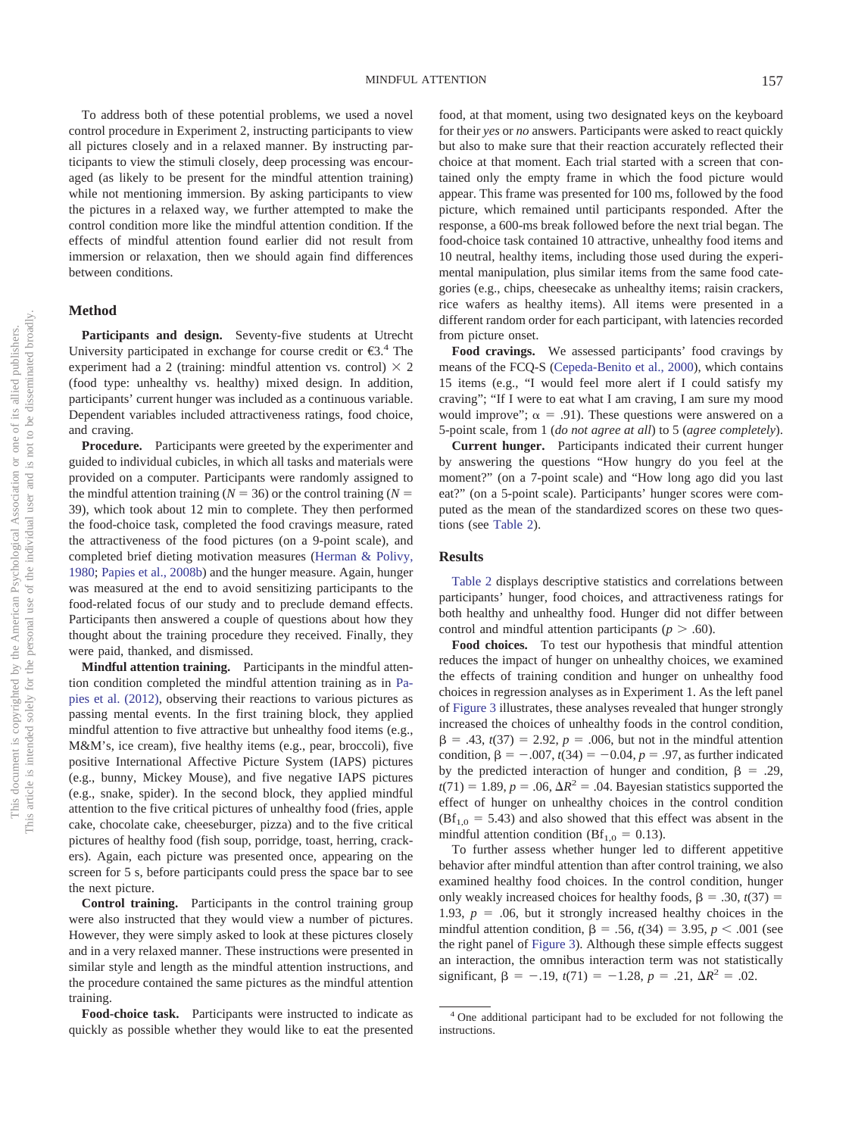To address both of these potential problems, we used a novel control procedure in Experiment 2, instructing participants to view all pictures closely and in a relaxed manner. By instructing participants to view the stimuli closely, deep processing was encouraged (as likely to be present for the mindful attention training) while not mentioning immersion. By asking participants to view the pictures in a relaxed way, we further attempted to make the control condition more like the mindful attention condition. If the effects of mindful attention found earlier did not result from immersion or relaxation, then we should again find differences between conditions.

## **Method**

**Participants and design.** Seventy-five students at Utrecht University participated in exchange for course credit or  $\epsilon 3.4$  The experiment had a 2 (training: mindful attention vs. control)  $\times$  2 (food type: unhealthy vs. healthy) mixed design. In addition, participants' current hunger was included as a continuous variable. Dependent variables included attractiveness ratings, food choice, and craving.

**Procedure.** Participants were greeted by the experimenter and guided to individual cubicles, in which all tasks and materials were provided on a computer. Participants were randomly assigned to the mindful attention training ( $N = 36$ ) or the control training ( $N =$ 39), which took about 12 min to complete. They then performed the food-choice task, completed the food cravings measure, rated the attractiveness of the food pictures (on a 9-point scale), and completed brief dieting motivation measures [\(Herman & Polivy,](#page-20-23) [1980;](#page-20-23) [Papies et al., 2008b\)](#page-21-12) and the hunger measure. Again, hunger was measured at the end to avoid sensitizing participants to the food-related focus of our study and to preclude demand effects. Participants then answered a couple of questions about how they thought about the training procedure they received. Finally, they were paid, thanked, and dismissed.

**Mindful attention training.** Participants in the mindful attention condition completed the mindful attention training as in [Pa](#page-21-7)[pies et al. \(2012\),](#page-21-7) observing their reactions to various pictures as passing mental events. In the first training block, they applied mindful attention to five attractive but unhealthy food items (e.g., M&M's, ice cream), five healthy items (e.g., pear, broccoli), five positive International Affective Picture System (IAPS) pictures (e.g., bunny, Mickey Mouse), and five negative IAPS pictures (e.g., snake, spider). In the second block, they applied mindful attention to the five critical pictures of unhealthy food (fries, apple cake, chocolate cake, cheeseburger, pizza) and to the five critical pictures of healthy food (fish soup, porridge, toast, herring, crackers). Again, each picture was presented once, appearing on the screen for 5 s, before participants could press the space bar to see the next picture.

**Control training.** Participants in the control training group were also instructed that they would view a number of pictures. However, they were simply asked to look at these pictures closely and in a very relaxed manner. These instructions were presented in similar style and length as the mindful attention instructions, and the procedure contained the same pictures as the mindful attention training.

**Food-choice task.** Participants were instructed to indicate as quickly as possible whether they would like to eat the presented food, at that moment, using two designated keys on the keyboard for their *yes* or *no* answers. Participants were asked to react quickly but also to make sure that their reaction accurately reflected their choice at that moment. Each trial started with a screen that contained only the empty frame in which the food picture would appear. This frame was presented for 100 ms, followed by the food picture, which remained until participants responded. After the response, a 600-ms break followed before the next trial began. The food-choice task contained 10 attractive, unhealthy food items and 10 neutral, healthy items, including those used during the experimental manipulation, plus similar items from the same food categories (e.g., chips, cheesecake as unhealthy items; raisin crackers, rice wafers as healthy items). All items were presented in a different random order for each participant, with latencies recorded from picture onset.

**Food cravings.** We assessed participants' food cravings by means of the FCQ-S [\(Cepeda-Benito et al., 2000\)](#page-19-26), which contains 15 items (e.g., "I would feel more alert if I could satisfy my craving"; "If I were to eat what I am craving, I am sure my mood would improve";  $\alpha = .91$ ). These questions were answered on a 5-point scale, from 1 (*do not agree at all*) to 5 (*agree completely*).

**Current hunger.** Participants indicated their current hunger by answering the questions "How hungry do you feel at the moment?" (on a 7-point scale) and "How long ago did you last eat?" (on a 5-point scale). Participants' hunger scores were computed as the mean of the standardized scores on these two questions (see [Table 2\)](#page-10-0).

## **Results**

[Table 2](#page-10-0) displays descriptive statistics and correlations between participants' hunger, food choices, and attractiveness ratings for both healthy and unhealthy food. Hunger did not differ between control and mindful attention participants ( $p > .60$ ).

**Food choices.** To test our hypothesis that mindful attention reduces the impact of hunger on unhealthy choices, we examined the effects of training condition and hunger on unhealthy food choices in regression analyses as in Experiment 1. As the left panel of [Figure 3](#page-10-1) illustrates, these analyses revealed that hunger strongly increased the choices of unhealthy foods in the control condition,  $\beta = .43, t(37) = 2.92, p = .006$ , but not in the mindful attention condition,  $\beta = -.007$ ,  $t(34) = -0.04$ ,  $p = .97$ , as further indicated by the predicted interaction of hunger and condition,  $\beta = .29$ ,  $t(71) = 1.89, p = .06, \Delta R^2 = .04$ . Bayesian statistics supported the effect of hunger on unhealthy choices in the control condition  $(Bf_{1,0} = 5.43)$  and also showed that this effect was absent in the mindful attention condition (Bf<sub>1,0</sub> = 0.13).

To further assess whether hunger led to different appetitive behavior after mindful attention than after control training, we also examined healthy food choices. In the control condition, hunger only weakly increased choices for healthy foods,  $\beta = .30, t(37) =$ 1.93,  $p = 0.06$ , but it strongly increased healthy choices in the mindful attention condition,  $\beta = .56$ ,  $t(34) = 3.95$ ,  $p < .001$  (see the right panel of [Figure 3\)](#page-10-1). Although these simple effects suggest an interaction, the omnibus interaction term was not statistically significant,  $\beta = -.19$ ,  $t(71) = -1.28$ ,  $p = .21$ ,  $\Delta R^2 = .02$ .

<sup>4</sup> One additional participant had to be excluded for not following the instructions.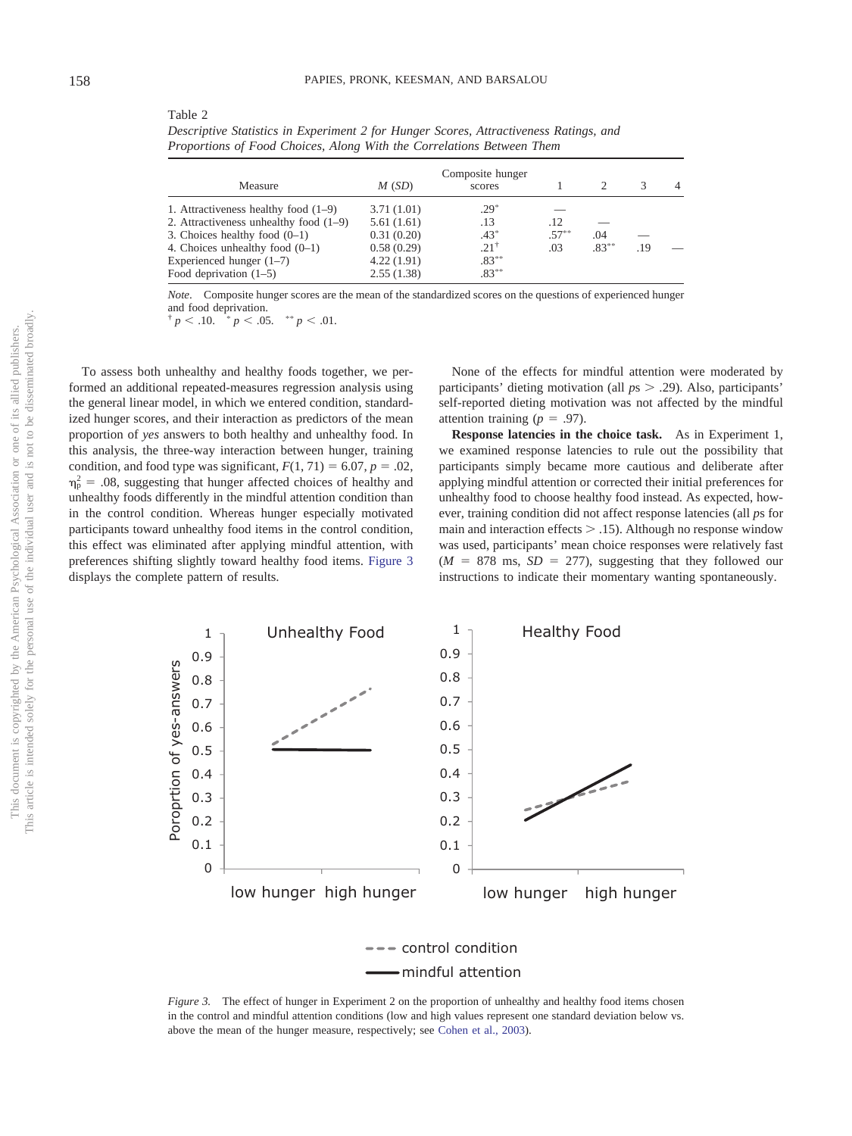| Measure                                  | M(SD)      | Composite hunger<br>scores |          |          |     | $\overline{4}$ |
|------------------------------------------|------------|----------------------------|----------|----------|-----|----------------|
| 1. Attractiveness healthy food $(1-9)$   | 3.71(1.01) | $.29*$                     |          |          |     |                |
| 2. Attractiveness unhealthy food $(1-9)$ | 5.61(1.61) | .13                        | .12      |          |     |                |
| 3. Choices healthy food $(0-1)$          | 0.31(0.20) | $.43*$                     | $.57***$ | .04      |     |                |
| 4. Choices unhealthy food $(0-1)$        | 0.58(0.29) | $.21^+$                    | .03      | $.83***$ | .19 |                |
| Experienced hunger $(1-7)$               | 4.22(1.91) | $.83***$                   |          |          |     |                |
| Food deprivation $(1-5)$                 | 2.55(1.38) | $.83***$                   |          |          |     |                |
|                                          |            |                            |          |          |     |                |

*Descriptive Statistics in Experiment 2 for Hunger Scores, Attractiveness Ratings, and Proportions of Food Choices, Along With the Correlations Between Them*

*Note*. Composite hunger scores are the mean of the standardized scores on the questions of experienced hunger and food deprivation.

 $\frac{1}{p}$   $p$   $< 0.10$ .  $\frac{1}{p}$   $< 0.05$ .  $\frac{1}{p}$  $p < .01$ .

<span id="page-10-0"></span>Table 2

To assess both unhealthy and healthy foods together, we performed an additional repeated-measures regression analysis using the general linear model, in which we entered condition, standardized hunger scores, and their interaction as predictors of the mean proportion of *yes* answers to both healthy and unhealthy food. In this analysis, the three-way interaction between hunger, training condition, and food type was significant,  $F(1, 71) = 6.07$ ,  $p = .02$ ,  $\eta_{\rm p}^2 = .08$ , suggesting that hunger affected choices of healthy and unhealthy foods differently in the mindful attention condition than in the control condition. Whereas hunger especially motivated participants toward unhealthy food items in the control condition, this effect was eliminated after applying mindful attention, with preferences shifting slightly toward healthy food items. [Figure 3](#page-10-1) displays the complete pattern of results.

None of the effects for mindful attention were moderated by participants' dieting motivation (all  $ps > .29$ ). Also, participants' self-reported dieting motivation was not affected by the mindful attention training  $(p = .97)$ .

**Response latencies in the choice task.** As in Experiment 1, we examined response latencies to rule out the possibility that participants simply became more cautious and deliberate after applying mindful attention or corrected their initial preferences for unhealthy food to choose healthy food instead. As expected, however, training condition did not affect response latencies (all *p*s for main and interaction effects  $> .15$ ). Although no response window was used, participants' mean choice responses were relatively fast  $(M = 878 \text{ ms}, SD = 277)$ , suggesting that they followed our instructions to indicate their momentary wanting spontaneously.



<span id="page-10-1"></span>*Figure 3.* The effect of hunger in Experiment 2 on the proportion of unhealthy and healthy food items chosen in the control and mindful attention conditions (low and high values represent one standard deviation below vs. above the mean of the hunger measure, respectively; see [Cohen et al., 2003\)](#page-19-20).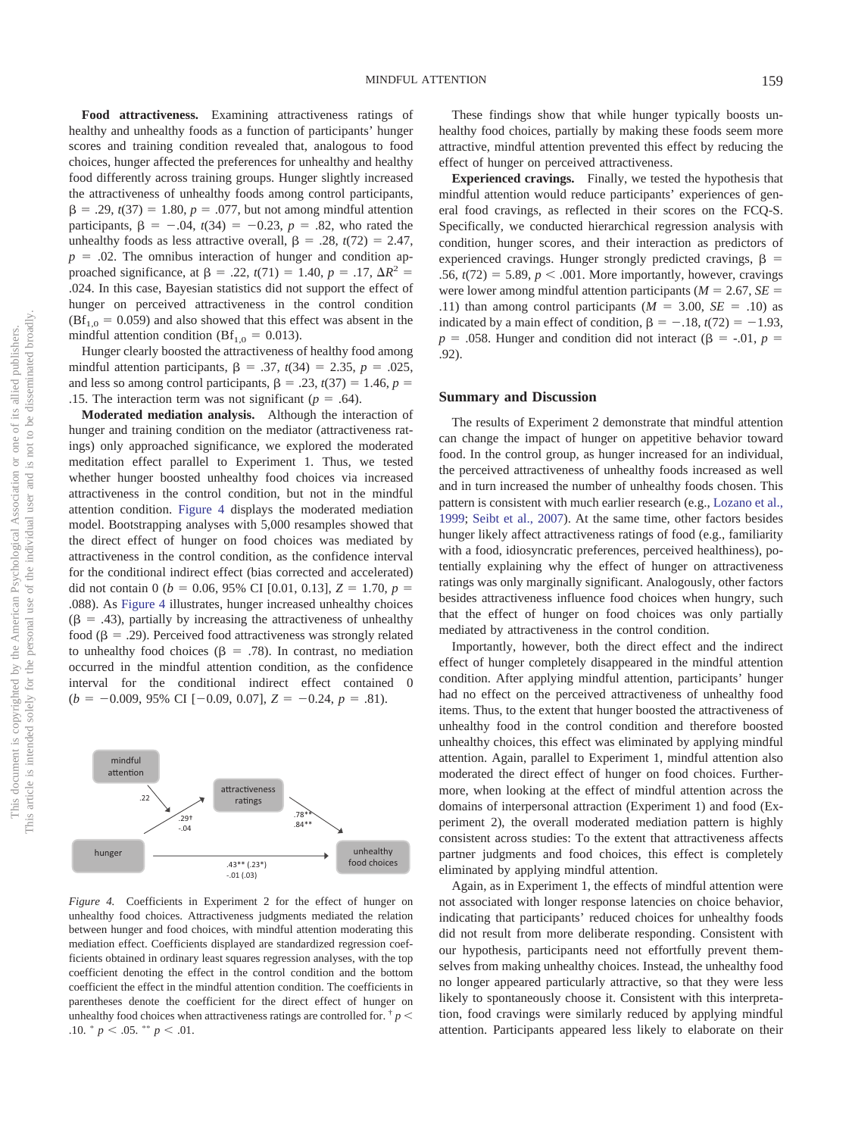**Food attractiveness.** Examining attractiveness ratings of healthy and unhealthy foods as a function of participants' hunger scores and training condition revealed that, analogous to food choices, hunger affected the preferences for unhealthy and healthy food differently across training groups. Hunger slightly increased the attractiveness of unhealthy foods among control participants,  $\beta = .29, t(37) = 1.80, p = .077$ , but not among mindful attention participants,  $\beta = -.04$ ,  $t(34) = -0.23$ ,  $p = .82$ , who rated the unhealthy foods as less attractive overall,  $\beta = .28$ ,  $t(72) = 2.47$ ,  $p = 0.02$ . The omnibus interaction of hunger and condition approached significance, at  $\beta = .22$ ,  $t(71) = 1.40$ ,  $p = .17$ ,  $\Delta R^2 =$ .024. In this case, Bayesian statistics did not support the effect of hunger on perceived attractiveness in the control condition  $(Bf_{1,0} = 0.059)$  and also showed that this effect was absent in the mindful attention condition ( $Bf_{1,0} = 0.013$ ).

Hunger clearly boosted the attractiveness of healthy food among mindful attention participants,  $\beta = .37$ ,  $t(34) = 2.35$ ,  $p = .025$ , and less so among control participants,  $\beta = .23$ ,  $t(37) = 1.46$ ,  $p =$ .15. The interaction term was not significant ( $p = .64$ ).

**Moderated mediation analysis.** Although the interaction of hunger and training condition on the mediator (attractiveness ratings) only approached significance, we explored the moderated meditation effect parallel to Experiment 1. Thus, we tested whether hunger boosted unhealthy food choices via increased attractiveness in the control condition, but not in the mindful attention condition. [Figure 4](#page-11-0) displays the moderated mediation model. Bootstrapping analyses with 5,000 resamples showed that the direct effect of hunger on food choices was mediated by attractiveness in the control condition, as the confidence interval for the conditional indirect effect (bias corrected and accelerated) did not contain 0 ( $b = 0.06, 95\%$  CI [0.01, 0.13],  $Z = 1.70, p =$ .088). As [Figure 4](#page-11-0) illustrates, hunger increased unhealthy choices  $(\beta = .43)$ , partially by increasing the attractiveness of unhealthy food ( $\beta = .29$ ). Perceived food attractiveness was strongly related to unhealthy food choices ( $\beta = .78$ ). In contrast, no mediation occurred in the mindful attention condition, as the confidence interval for the conditional indirect effect contained 0  $(b = -0.009, 95\% \text{ CI } [-0.09, 0.07], Z = -0.24, p = .81).$ 



<span id="page-11-0"></span>*Figure 4.* Coefficients in Experiment 2 for the effect of hunger on unhealthy food choices. Attractiveness judgments mediated the relation between hunger and food choices, with mindful attention moderating this mediation effect. Coefficients displayed are standardized regression coefficients obtained in ordinary least squares regression analyses, with the top coefficient denoting the effect in the control condition and the bottom coefficient the effect in the mindful attention condition. The coefficients in parentheses denote the coefficient for the direct effect of hunger on unhealthy food choices when attractiveness ratings are controlled for.  $\frac{1}{r} p$  < .10.  $^* p < .05.$   $^{**} p < .01.$ 

These findings show that while hunger typically boosts unhealthy food choices, partially by making these foods seem more attractive, mindful attention prevented this effect by reducing the effect of hunger on perceived attractiveness.

**Experienced cravings.** Finally, we tested the hypothesis that mindful attention would reduce participants' experiences of general food cravings, as reflected in their scores on the FCQ-S. Specifically, we conducted hierarchical regression analysis with condition, hunger scores, and their interaction as predictors of experienced cravings. Hunger strongly predicted cravings,  $\beta$  = .56,  $t(72) = 5.89$ ,  $p < .001$ . More importantly, however, cravings were lower among mindful attention participants  $(M = 2.67, SE =$ .11) than among control participants  $(M = 3.00, SE = .10)$  as indicated by a main effect of condition,  $\beta = -.18$ ,  $t(72) = -1.93$ ,  $p = .058$ . Hunger and condition did not interact ( $\beta = -.01$ ,  $p =$ .92).

## **Summary and Discussion**

The results of Experiment 2 demonstrate that mindful attention can change the impact of hunger on appetitive behavior toward food. In the control group, as hunger increased for an individual, the perceived attractiveness of unhealthy foods increased as well and in turn increased the number of unhealthy foods chosen. This pattern is consistent with much earlier research (e.g., [Lozano et al.,](#page-20-22) [1999;](#page-20-22) [Seibt et al., 2007\)](#page-22-3). At the same time, other factors besides hunger likely affect attractiveness ratings of food (e.g., familiarity with a food, idiosyncratic preferences, perceived healthiness), potentially explaining why the effect of hunger on attractiveness ratings was only marginally significant. Analogously, other factors besides attractiveness influence food choices when hungry, such that the effect of hunger on food choices was only partially mediated by attractiveness in the control condition.

Importantly, however, both the direct effect and the indirect effect of hunger completely disappeared in the mindful attention condition. After applying mindful attention, participants' hunger had no effect on the perceived attractiveness of unhealthy food items. Thus, to the extent that hunger boosted the attractiveness of unhealthy food in the control condition and therefore boosted unhealthy choices, this effect was eliminated by applying mindful attention. Again, parallel to Experiment 1, mindful attention also moderated the direct effect of hunger on food choices. Furthermore, when looking at the effect of mindful attention across the domains of interpersonal attraction (Experiment 1) and food (Experiment 2), the overall moderated mediation pattern is highly consistent across studies: To the extent that attractiveness affects partner judgments and food choices, this effect is completely eliminated by applying mindful attention.

Again, as in Experiment 1, the effects of mindful attention were not associated with longer response latencies on choice behavior, indicating that participants' reduced choices for unhealthy foods did not result from more deliberate responding. Consistent with our hypothesis, participants need not effortfully prevent themselves from making unhealthy choices. Instead, the unhealthy food no longer appeared particularly attractive, so that they were less likely to spontaneously choose it. Consistent with this interpretation, food cravings were similarly reduced by applying mindful attention. Participants appeared less likely to elaborate on their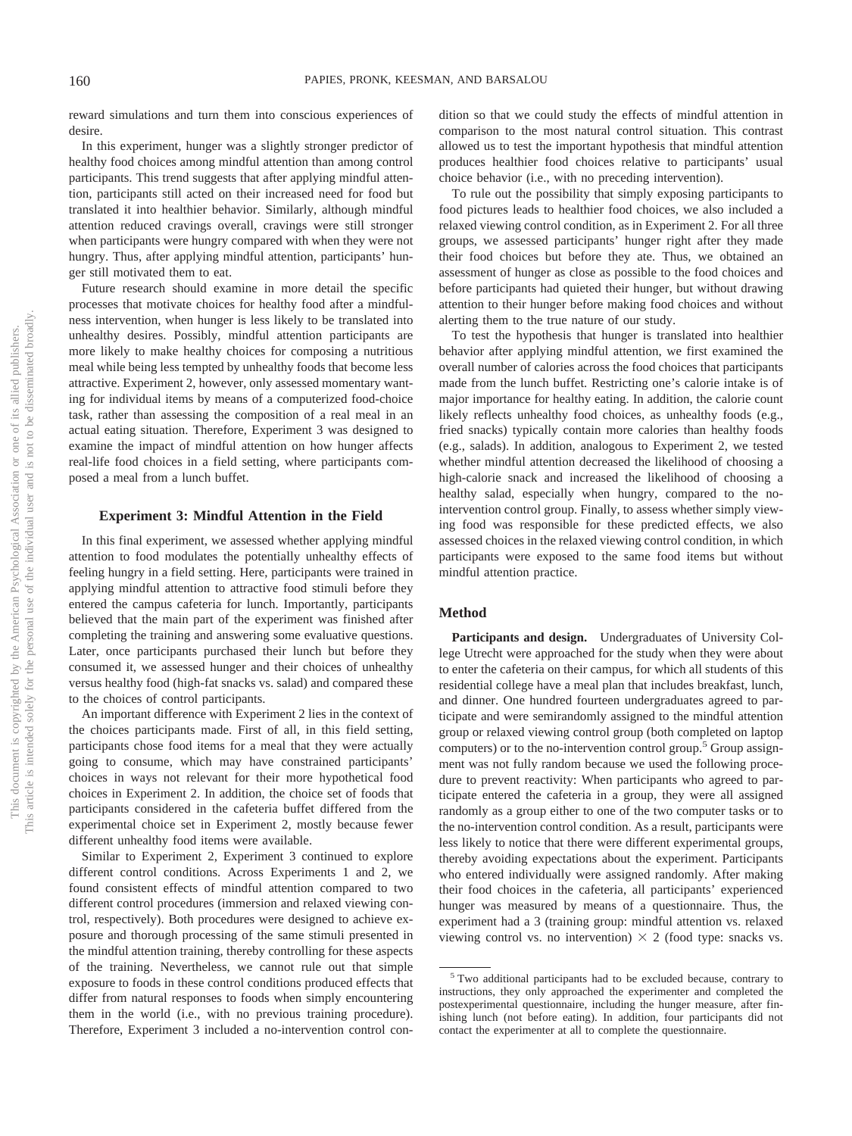reward simulations and turn them into conscious experiences of desire.

In this experiment, hunger was a slightly stronger predictor of healthy food choices among mindful attention than among control participants. This trend suggests that after applying mindful attention, participants still acted on their increased need for food but translated it into healthier behavior. Similarly, although mindful attention reduced cravings overall, cravings were still stronger when participants were hungry compared with when they were not hungry. Thus, after applying mindful attention, participants' hunger still motivated them to eat.

Future research should examine in more detail the specific processes that motivate choices for healthy food after a mindfulness intervention, when hunger is less likely to be translated into unhealthy desires. Possibly, mindful attention participants are more likely to make healthy choices for composing a nutritious meal while being less tempted by unhealthy foods that become less attractive. Experiment 2, however, only assessed momentary wanting for individual items by means of a computerized food-choice task, rather than assessing the composition of a real meal in an actual eating situation. Therefore, Experiment 3 was designed to examine the impact of mindful attention on how hunger affects real-life food choices in a field setting, where participants composed a meal from a lunch buffet.

## **Experiment 3: Mindful Attention in the Field**

In this final experiment, we assessed whether applying mindful attention to food modulates the potentially unhealthy effects of feeling hungry in a field setting. Here, participants were trained in applying mindful attention to attractive food stimuli before they entered the campus cafeteria for lunch. Importantly, participants believed that the main part of the experiment was finished after completing the training and answering some evaluative questions. Later, once participants purchased their lunch but before they consumed it, we assessed hunger and their choices of unhealthy versus healthy food (high-fat snacks vs. salad) and compared these to the choices of control participants.

An important difference with Experiment 2 lies in the context of the choices participants made. First of all, in this field setting, participants chose food items for a meal that they were actually going to consume, which may have constrained participants' choices in ways not relevant for their more hypothetical food choices in Experiment 2. In addition, the choice set of foods that participants considered in the cafeteria buffet differed from the experimental choice set in Experiment 2, mostly because fewer different unhealthy food items were available.

Similar to Experiment 2, Experiment 3 continued to explore different control conditions. Across Experiments 1 and 2, we found consistent effects of mindful attention compared to two different control procedures (immersion and relaxed viewing control, respectively). Both procedures were designed to achieve exposure and thorough processing of the same stimuli presented in the mindful attention training, thereby controlling for these aspects of the training. Nevertheless, we cannot rule out that simple exposure to foods in these control conditions produced effects that differ from natural responses to foods when simply encountering them in the world (i.e., with no previous training procedure). Therefore, Experiment 3 included a no-intervention control condition so that we could study the effects of mindful attention in comparison to the most natural control situation. This contrast allowed us to test the important hypothesis that mindful attention produces healthier food choices relative to participants' usual choice behavior (i.e., with no preceding intervention).

To rule out the possibility that simply exposing participants to food pictures leads to healthier food choices, we also included a relaxed viewing control condition, as in Experiment 2. For all three groups, we assessed participants' hunger right after they made their food choices but before they ate. Thus, we obtained an assessment of hunger as close as possible to the food choices and before participants had quieted their hunger, but without drawing attention to their hunger before making food choices and without alerting them to the true nature of our study.

To test the hypothesis that hunger is translated into healthier behavior after applying mindful attention, we first examined the overall number of calories across the food choices that participants made from the lunch buffet. Restricting one's calorie intake is of major importance for healthy eating. In addition, the calorie count likely reflects unhealthy food choices, as unhealthy foods (e.g., fried snacks) typically contain more calories than healthy foods (e.g., salads). In addition, analogous to Experiment 2, we tested whether mindful attention decreased the likelihood of choosing a high-calorie snack and increased the likelihood of choosing a healthy salad, especially when hungry, compared to the nointervention control group. Finally, to assess whether simply viewing food was responsible for these predicted effects, we also assessed choices in the relaxed viewing control condition, in which participants were exposed to the same food items but without mindful attention practice.

## **Method**

**Participants and design.** Undergraduates of University College Utrecht were approached for the study when they were about to enter the cafeteria on their campus, for which all students of this residential college have a meal plan that includes breakfast, lunch, and dinner. One hundred fourteen undergraduates agreed to participate and were semirandomly assigned to the mindful attention group or relaxed viewing control group (both completed on laptop computers) or to the no-intervention control group.<sup>5</sup> Group assignment was not fully random because we used the following procedure to prevent reactivity: When participants who agreed to participate entered the cafeteria in a group, they were all assigned randomly as a group either to one of the two computer tasks or to the no-intervention control condition. As a result, participants were less likely to notice that there were different experimental groups, thereby avoiding expectations about the experiment. Participants who entered individually were assigned randomly. After making their food choices in the cafeteria, all participants' experienced hunger was measured by means of a questionnaire. Thus, the experiment had a 3 (training group: mindful attention vs. relaxed viewing control vs. no intervention)  $\times$  2 (food type: snacks vs.

<sup>5</sup> Two additional participants had to be excluded because, contrary to instructions, they only approached the experimenter and completed the postexperimental questionnaire, including the hunger measure, after finishing lunch (not before eating). In addition, four participants did not contact the experimenter at all to complete the questionnaire.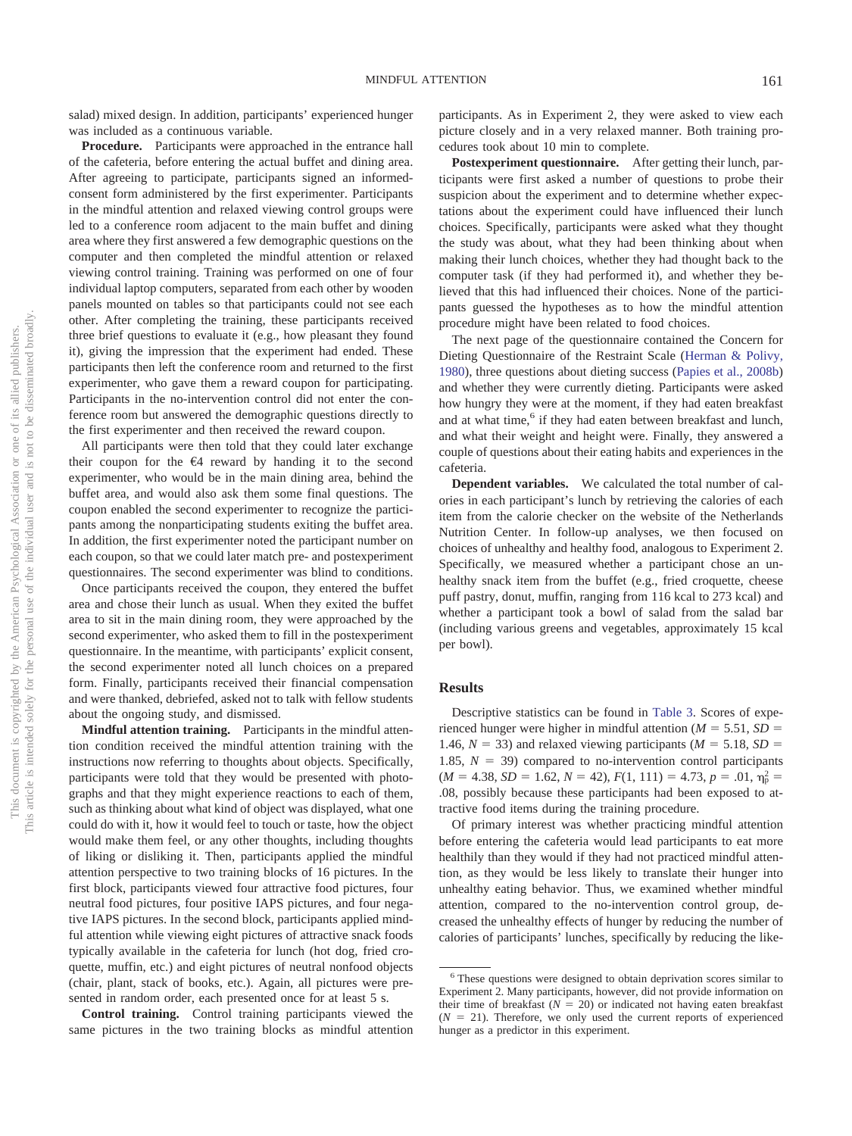salad) mixed design. In addition, participants' experienced hunger was included as a continuous variable.

**Procedure.** Participants were approached in the entrance hall of the cafeteria, before entering the actual buffet and dining area. After agreeing to participate, participants signed an informedconsent form administered by the first experimenter. Participants in the mindful attention and relaxed viewing control groups were led to a conference room adjacent to the main buffet and dining area where they first answered a few demographic questions on the computer and then completed the mindful attention or relaxed viewing control training. Training was performed on one of four individual laptop computers, separated from each other by wooden panels mounted on tables so that participants could not see each other. After completing the training, these participants received three brief questions to evaluate it (e.g., how pleasant they found it), giving the impression that the experiment had ended. These participants then left the conference room and returned to the first experimenter, who gave them a reward coupon for participating. Participants in the no-intervention control did not enter the conference room but answered the demographic questions directly to the first experimenter and then received the reward coupon.

All participants were then told that they could later exchange their coupon for the €4 reward by handing it to the second experimenter, who would be in the main dining area, behind the buffet area, and would also ask them some final questions. The coupon enabled the second experimenter to recognize the participants among the nonparticipating students exiting the buffet area. In addition, the first experimenter noted the participant number on each coupon, so that we could later match pre- and postexperiment questionnaires. The second experimenter was blind to conditions.

Once participants received the coupon, they entered the buffet area and chose their lunch as usual. When they exited the buffet area to sit in the main dining room, they were approached by the second experimenter, who asked them to fill in the postexperiment questionnaire. In the meantime, with participants' explicit consent, the second experimenter noted all lunch choices on a prepared form. Finally, participants received their financial compensation and were thanked, debriefed, asked not to talk with fellow students about the ongoing study, and dismissed.

**Mindful attention training.** Participants in the mindful attention condition received the mindful attention training with the instructions now referring to thoughts about objects. Specifically, participants were told that they would be presented with photographs and that they might experience reactions to each of them, such as thinking about what kind of object was displayed, what one could do with it, how it would feel to touch or taste, how the object would make them feel, or any other thoughts, including thoughts of liking or disliking it. Then, participants applied the mindful attention perspective to two training blocks of 16 pictures. In the first block, participants viewed four attractive food pictures, four neutral food pictures, four positive IAPS pictures, and four negative IAPS pictures. In the second block, participants applied mindful attention while viewing eight pictures of attractive snack foods typically available in the cafeteria for lunch (hot dog, fried croquette, muffin, etc.) and eight pictures of neutral nonfood objects (chair, plant, stack of books, etc.). Again, all pictures were presented in random order, each presented once for at least 5 s.

**Control training.** Control training participants viewed the same pictures in the two training blocks as mindful attention participants. As in Experiment 2, they were asked to view each picture closely and in a very relaxed manner. Both training procedures took about 10 min to complete.

**Postexperiment questionnaire.** After getting their lunch, participants were first asked a number of questions to probe their suspicion about the experiment and to determine whether expectations about the experiment could have influenced their lunch choices. Specifically, participants were asked what they thought the study was about, what they had been thinking about when making their lunch choices, whether they had thought back to the computer task (if they had performed it), and whether they believed that this had influenced their choices. None of the participants guessed the hypotheses as to how the mindful attention procedure might have been related to food choices.

The next page of the questionnaire contained the Concern for Dieting Questionnaire of the Restraint Scale [\(Herman & Polivy,](#page-20-23) [1980\)](#page-20-23), three questions about dieting success [\(Papies et al., 2008b\)](#page-21-12) and whether they were currently dieting. Participants were asked how hungry they were at the moment, if they had eaten breakfast and at what time,<sup>6</sup> if they had eaten between breakfast and lunch, and what their weight and height were. Finally, they answered a couple of questions about their eating habits and experiences in the cafeteria.

**Dependent variables.** We calculated the total number of calories in each participant's lunch by retrieving the calories of each item from the calorie checker on the website of the Netherlands Nutrition Center. In follow-up analyses, we then focused on choices of unhealthy and healthy food, analogous to Experiment 2. Specifically, we measured whether a participant chose an unhealthy snack item from the buffet (e.g., fried croquette, cheese puff pastry, donut, muffin, ranging from 116 kcal to 273 kcal) and whether a participant took a bowl of salad from the salad bar (including various greens and vegetables, approximately 15 kcal per bowl).

## **Results**

Descriptive statistics can be found in [Table 3.](#page-14-0) Scores of experienced hunger were higher in mindful attention  $(M = 5.51, SD =$ 1.46,  $N = 33$ ) and relaxed viewing participants ( $M = 5.18$ ,  $SD =$ 1.85,  $N = 39$ ) compared to no-intervention control participants  $(M = 4.38, SD = 1.62, N = 42), F(1, 111) = 4.73, p = .01, \eta_p^2 =$ .08, possibly because these participants had been exposed to attractive food items during the training procedure.

Of primary interest was whether practicing mindful attention before entering the cafeteria would lead participants to eat more healthily than they would if they had not practiced mindful attention, as they would be less likely to translate their hunger into unhealthy eating behavior. Thus, we examined whether mindful attention, compared to the no-intervention control group, decreased the unhealthy effects of hunger by reducing the number of calories of participants' lunches, specifically by reducing the like-

<sup>6</sup> These questions were designed to obtain deprivation scores similar to Experiment 2. Many participants, however, did not provide information on their time of breakfast  $(N = 20)$  or indicated not having eaten breakfast  $(N = 21)$ . Therefore, we only used the current reports of experienced hunger as a predictor in this experiment.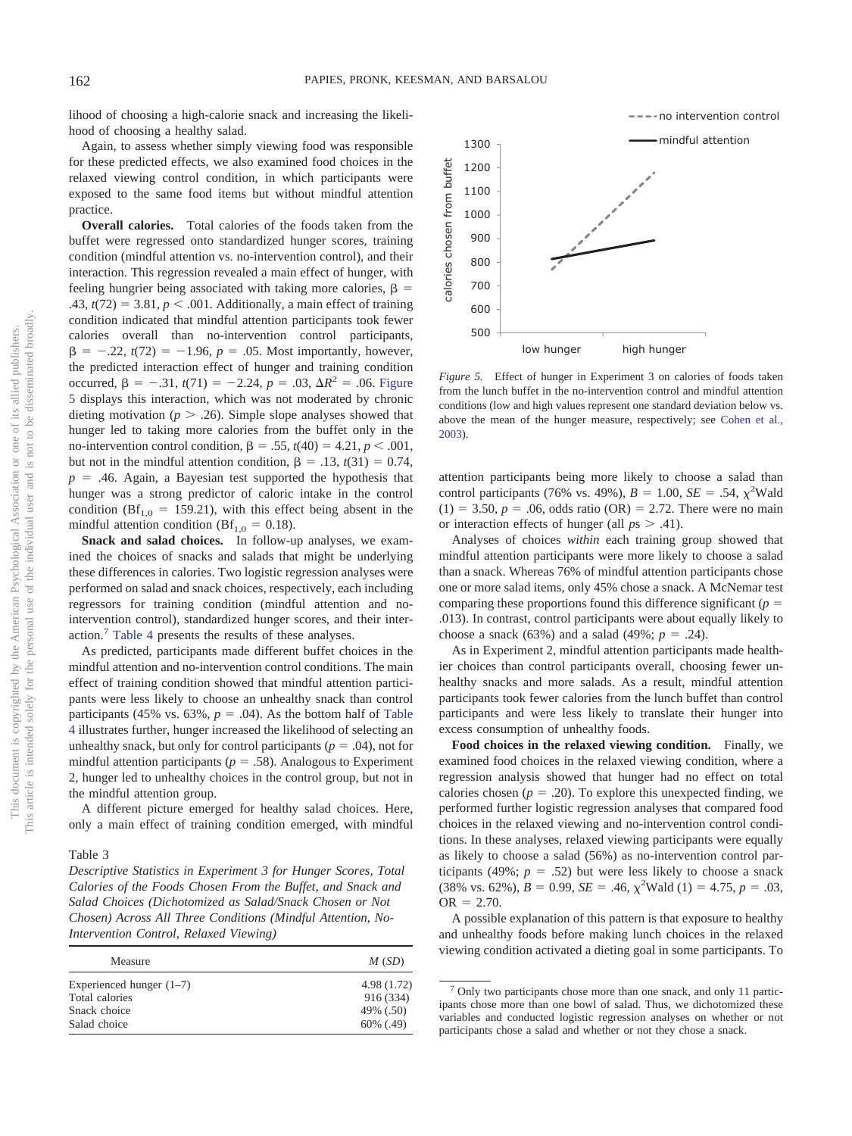lihood of choosing a high-calorie snack and increasing the likelihood of choosing a healthy salad.

Again, to assess whether simply viewing food was responsible for these predicted effects, we also examined food choices in the relaxed viewing control condition, in which participants were exposed to the same food items but without mindful attention practice.

**Overall calories.** Total calories of the foods taken from the buffet were regressed onto standardized hunger scores, training condition (mindful attention vs. no-intervention control), and their interaction. This regression revealed a main effect of hunger, with feeling hungrier being associated with taking more calories,  $\beta$  =  $.43, t(72) = 3.81, p < .001$ . Additionally, a main effect of training condition indicated that mindful attention participants took fewer calories overall than no-intervention control participants,  $\beta = -.22, t(72) = -1.96, p = .05$ . Most importantly, however, the predicted interaction effect of hunger and training condition occurred,  $\beta = -.31$ ,  $t(71) = -2.24$ ,  $p = .03$ ,  $\Delta R^2 = .06$ . [Figure](#page-14-1) [5](#page-14-1) displays this interaction, which was not moderated by chronic dieting motivation ( $p > .26$ ). Simple slope analyses showed that hunger led to taking more calories from the buffet only in the no-intervention control condition,  $\beta = .55$ ,  $t(40) = 4.21$ ,  $p < .001$ , but not in the mindful attention condition,  $\beta = .13$ ,  $t(31) = 0.74$ ,  $p = .46$ . Again, a Bayesian test supported the hypothesis that hunger was a strong predictor of caloric intake in the control condition ( $Bf_{1,0} = 159.21$ ), with this effect being absent in the mindful attention condition (Bf<sub>1,0</sub> = 0.18).

**Snack and salad choices.** In follow-up analyses, we examined the choices of snacks and salads that might be underlying these differences in calories. Two logistic regression analyses were performed on salad and snack choices, respectively, each including regressors for training condition (mindful attention and nointervention control), standardized hunger scores, and their interaction.7 [Table 4](#page-15-0) presents the results of these analyses.

As predicted, participants made different buffet choices in the mindful attention and no-intervention control conditions. The main effect of training condition showed that mindful attention participants were less likely to choose an unhealthy snack than control participants (45% vs.  $63\%, p = .04$ ). As the bottom half of [Table](#page-15-0) [4](#page-15-0) illustrates further, hunger increased the likelihood of selecting an unhealthy snack, but only for control participants ( $p = .04$ ), not for mindful attention participants ( $p = .58$ ). Analogous to Experiment 2, hunger led to unhealthy choices in the control group, but not in the mindful attention group.

A different picture emerged for healthy salad choices. Here, only a main effect of training condition emerged, with mindful

#### <span id="page-14-0"></span>Table 3

This document is copyrighted by the American Psychological Association or one of its allied publishers. This article is intended solely for the personal use of the individual user and is not to be disseminated broadly.

This document is copyrighted by the American Psychological Association

one of its allied publishers.

 $\rm \tilde{o}$ 

This article is intended solely for the personal use of the individual user and is not to be disseminated broadly,

*Descriptive Statistics in Experiment 3 for Hunger Scores, Total Calories of the Foods Chosen From the Buffet, and Snack and Salad Choices (Dichotomized as Salad/Snack Chosen or Not Chosen) Across All Three Conditions (Mindful Attention, No-Intervention Control, Relaxed Viewing)*

| Measure                    | M(SD)      |  |  |
|----------------------------|------------|--|--|
| Experienced hunger $(1-7)$ | 4.98(1.72) |  |  |
| Total calories             | 916 (334)  |  |  |
| Snack choice               | 49% (.50)  |  |  |
| Salad choice               | 60% (.49)  |  |  |



<span id="page-14-1"></span>*Figure 5.* Effect of hunger in Experiment 3 on calories of foods taken from the lunch buffet in the no-intervention control and mindful attention conditions (low and high values represent one standard deviation below vs. above the mean of the hunger measure, respectively; see [Cohen et al.,](#page-19-20) [2003\)](#page-19-20).

attention participants being more likely to choose a salad than control participants (76% vs. 49%),  $B = 1.00$ ,  $SE = .54$ ,  $\chi^2$ Wald  $(1) = 3.50, p = .06, \text{ odds ratio (OR)} = 2.72. \text{ There were no main}$ or interaction effects of hunger (all  $p_s > .41$ ).

Analyses of choices *within* each training group showed that mindful attention participants were more likely to choose a salad than a snack. Whereas 76% of mindful attention participants chose one or more salad items, only 45% chose a snack. A McNemar test comparing these proportions found this difference significant  $(p =$ .013). In contrast, control participants were about equally likely to choose a snack (63%) and a salad (49%;  $p = .24$ ).

As in Experiment 2, mindful attention participants made healthier choices than control participants overall, choosing fewer unhealthy snacks and more salads. As a result, mindful attention participants took fewer calories from the lunch buffet than control participants and were less likely to translate their hunger into excess consumption of unhealthy foods.

**Food choices in the relaxed viewing condition.** Finally, we examined food choices in the relaxed viewing condition, where a regression analysis showed that hunger had no effect on total calories chosen  $(p = .20)$ . To explore this unexpected finding, we performed further logistic regression analyses that compared food choices in the relaxed viewing and no-intervention control conditions. In these analyses, relaxed viewing participants were equally as likely to choose a salad (56%) as no-intervention control participants (49%;  $p = .52$ ) but were less likely to choose a snack  $(38\% \text{ vs. } 62\%), B = 0.99, SE = .46, \chi^2 \text{Wald} (1) = 4.75, p = .03,$  $OR = 2.70$ .

A possible explanation of this pattern is that exposure to healthy and unhealthy foods before making lunch choices in the relaxed viewing condition activated a dieting goal in some participants. To

<sup>7</sup> Only two participants chose more than one snack, and only 11 participants chose more than one bowl of salad. Thus, we dichotomized these variables and conducted logistic regression analyses on whether or not participants chose a salad and whether or not they chose a snack.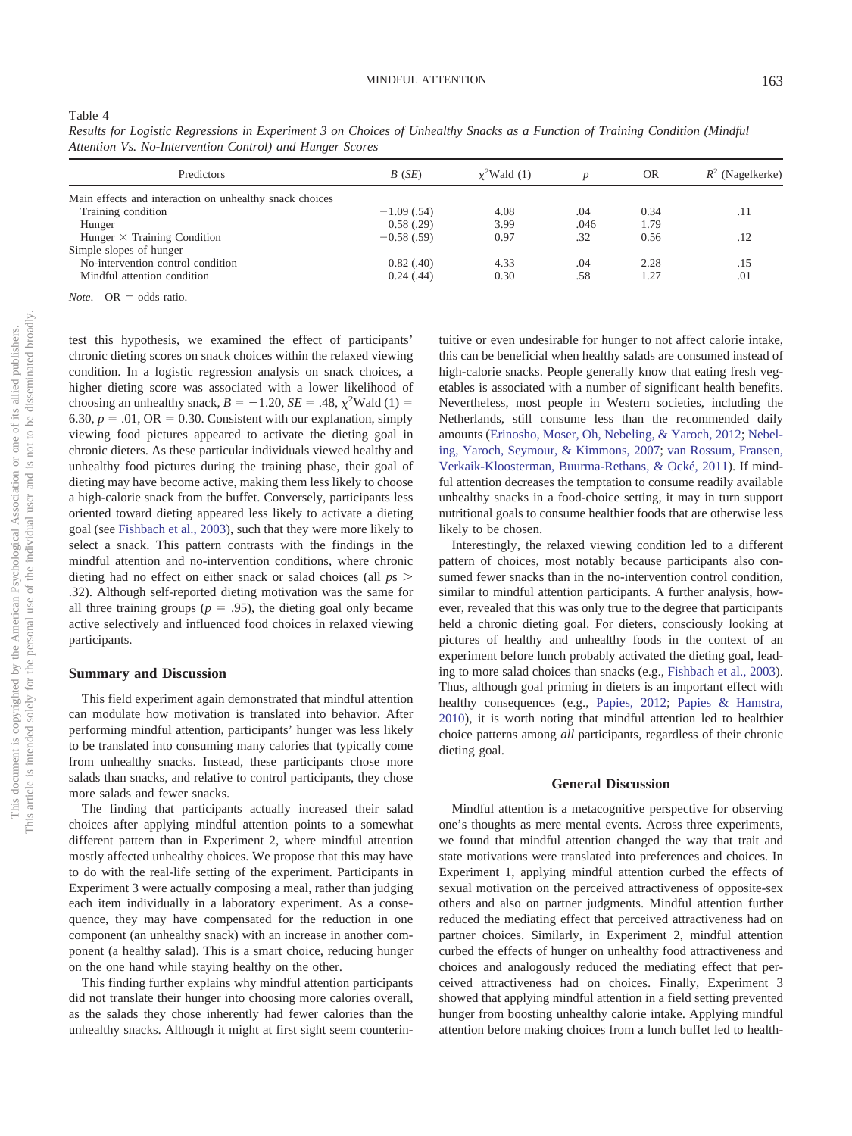<span id="page-15-0"></span>Table 4

| <b>Predictors</b>                                       | B(SE)         | $\chi^2$ Wald (1) |      | OR   | $R^2$ (Nagelkerke) |
|---------------------------------------------------------|---------------|-------------------|------|------|--------------------|
| Main effects and interaction on unhealthy snack choices |               |                   |      |      |                    |
| Training condition                                      | $-1.09$ (.54) | 4.08              | .04  | 0.34 | .11                |
| Hunger                                                  | 0.58(.29)     | 3.99              | .046 | 1.79 |                    |
| Hunger $\times$ Training Condition                      | $-0.58$ (.59) | 0.97              | .32  | 0.56 | .12                |
|                                                         |               |                   |      |      |                    |
| No-intervention control condition                       | 0.82(0.40)    | 4.33              | .04  | 2.28 | .15                |
| Mindful attention condition                             | 0.24(0.44)    | 0.30              | .58  | 1.27 | .01                |
| Simple slopes of hunger                                 |               |                   |      |      |                    |

*Results for Logistic Regressions in Experiment 3 on Choices of Unhealthy Snacks as a Function of Training Condition (Mindful Attention Vs. No-Intervention Control) and Hunger Scores*

*Note*. OR = odds ratio.

test this hypothesis, we examined the effect of participants' chronic dieting scores on snack choices within the relaxed viewing condition. In a logistic regression analysis on snack choices, a higher dieting score was associated with a lower likelihood of choosing an unhealthy snack,  $B = -1.20$ ,  $SE = .48$ ,  $\chi^2$ Wald (1) = 6.30,  $p = 0.01$ , OR = 0.30. Consistent with our explanation, simply viewing food pictures appeared to activate the dieting goal in chronic dieters. As these particular individuals viewed healthy and unhealthy food pictures during the training phase, their goal of dieting may have become active, making them less likely to choose a high-calorie snack from the buffet. Conversely, participants less oriented toward dieting appeared less likely to activate a dieting goal (see [Fishbach et al., 2003\)](#page-19-12), such that they were more likely to select a snack. This pattern contrasts with the findings in the mindful attention and no-intervention conditions, where chronic dieting had no effect on either snack or salad choices (all *p*s .32). Although self-reported dieting motivation was the same for all three training groups ( $p = .95$ ), the dieting goal only became active selectively and influenced food choices in relaxed viewing participants.

#### **Summary and Discussion**

This field experiment again demonstrated that mindful attention can modulate how motivation is translated into behavior. After performing mindful attention, participants' hunger was less likely to be translated into consuming many calories that typically come from unhealthy snacks. Instead, these participants chose more salads than snacks, and relative to control participants, they chose more salads and fewer snacks.

The finding that participants actually increased their salad choices after applying mindful attention points to a somewhat different pattern than in Experiment 2, where mindful attention mostly affected unhealthy choices. We propose that this may have to do with the real-life setting of the experiment. Participants in Experiment 3 were actually composing a meal, rather than judging each item individually in a laboratory experiment. As a consequence, they may have compensated for the reduction in one component (an unhealthy snack) with an increase in another component (a healthy salad). This is a smart choice, reducing hunger on the one hand while staying healthy on the other.

This finding further explains why mindful attention participants did not translate their hunger into choosing more calories overall, as the salads they chose inherently had fewer calories than the unhealthy snacks. Although it might at first sight seem counterin-

tuitive or even undesirable for hunger to not affect calorie intake, this can be beneficial when healthy salads are consumed instead of high-calorie snacks. People generally know that eating fresh vegetables is associated with a number of significant health benefits. Nevertheless, most people in Western societies, including the Netherlands, still consume less than the recommended daily amounts [\(Erinosho, Moser, Oh, Nebeling, & Yaroch, 2012;](#page-19-27) [Nebel](#page-21-24)[ing, Yaroch, Seymour, & Kimmons, 2007;](#page-21-24) [van Rossum, Fransen,](#page-22-19) [Verkaik-Kloosterman, Buurma-Rethans, & Ocké, 2011\)](#page-22-19). If mindful attention decreases the temptation to consume readily available unhealthy snacks in a food-choice setting, it may in turn support nutritional goals to consume healthier foods that are otherwise less likely to be chosen.

Interestingly, the relaxed viewing condition led to a different pattern of choices, most notably because participants also consumed fewer snacks than in the no-intervention control condition, similar to mindful attention participants. A further analysis, however, revealed that this was only true to the degree that participants held a chronic dieting goal. For dieters, consciously looking at pictures of healthy and unhealthy foods in the context of an experiment before lunch probably activated the dieting goal, leading to more salad choices than snacks (e.g., [Fishbach et al., 2003\)](#page-19-12). Thus, although goal priming in dieters is an important effect with healthy consequences (e.g., [Papies, 2012;](#page-21-25) [Papies & Hamstra,](#page-21-14) [2010\)](#page-21-14), it is worth noting that mindful attention led to healthier choice patterns among *all* participants, regardless of their chronic dieting goal.

### **General Discussion**

Mindful attention is a metacognitive perspective for observing one's thoughts as mere mental events. Across three experiments, we found that mindful attention changed the way that trait and state motivations were translated into preferences and choices. In Experiment 1, applying mindful attention curbed the effects of sexual motivation on the perceived attractiveness of opposite-sex others and also on partner judgments. Mindful attention further reduced the mediating effect that perceived attractiveness had on partner choices. Similarly, in Experiment 2, mindful attention curbed the effects of hunger on unhealthy food attractiveness and choices and analogously reduced the mediating effect that perceived attractiveness had on choices. Finally, Experiment 3 showed that applying mindful attention in a field setting prevented hunger from boosting unhealthy calorie intake. Applying mindful attention before making choices from a lunch buffet led to health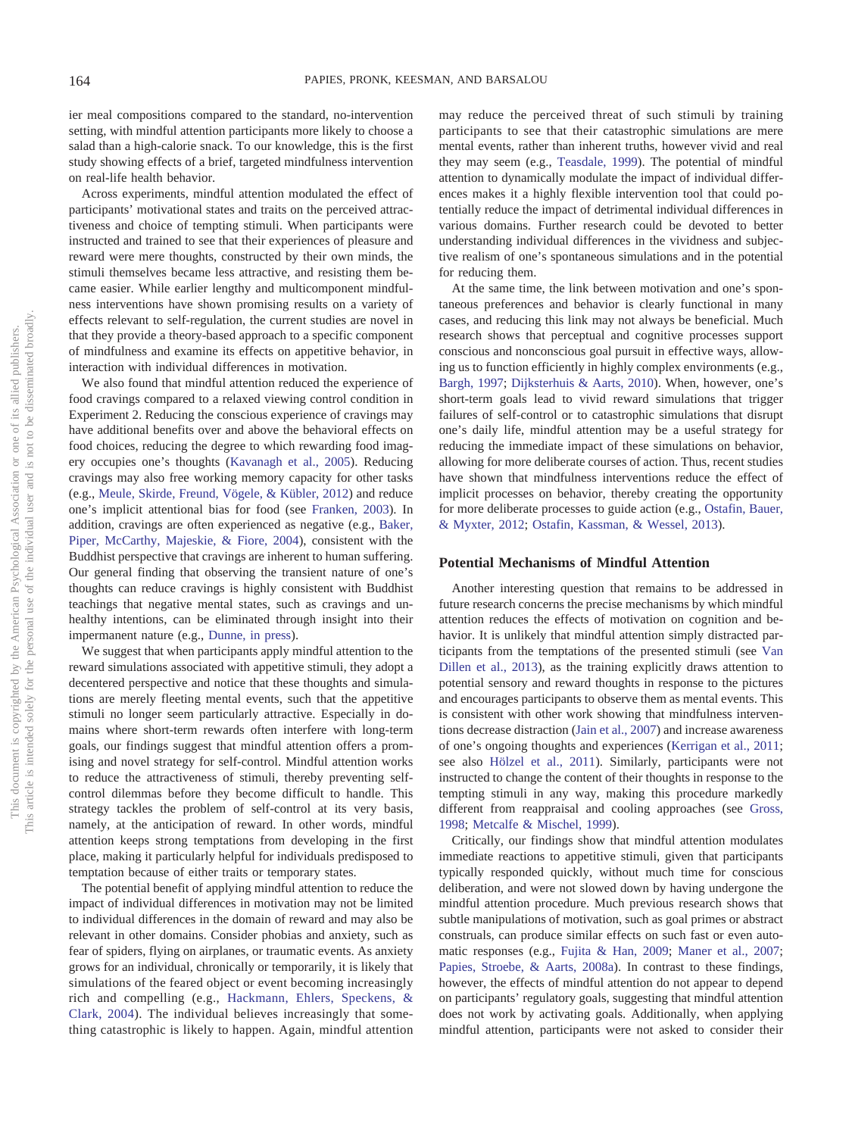ier meal compositions compared to the standard, no-intervention setting, with mindful attention participants more likely to choose a salad than a high-calorie snack. To our knowledge, this is the first study showing effects of a brief, targeted mindfulness intervention on real-life health behavior.

Across experiments, mindful attention modulated the effect of participants' motivational states and traits on the perceived attractiveness and choice of tempting stimuli. When participants were instructed and trained to see that their experiences of pleasure and reward were mere thoughts, constructed by their own minds, the stimuli themselves became less attractive, and resisting them became easier. While earlier lengthy and multicomponent mindfulness interventions have shown promising results on a variety of effects relevant to self-regulation, the current studies are novel in that they provide a theory-based approach to a specific component of mindfulness and examine its effects on appetitive behavior, in interaction with individual differences in motivation.

We also found that mindful attention reduced the experience of food cravings compared to a relaxed viewing control condition in Experiment 2. Reducing the conscious experience of cravings may have additional benefits over and above the behavioral effects on food choices, reducing the degree to which rewarding food imagery occupies one's thoughts [\(Kavanagh et al., 2005\)](#page-20-4). Reducing cravings may also free working memory capacity for other tasks (e.g., [Meule, Skirde, Freund, Vögele, & Kübler, 2012\)](#page-21-26) and reduce one's implicit attentional bias for food (see [Franken, 2003\)](#page-19-28). In addition, cravings are often experienced as negative (e.g., [Baker,](#page-18-3) [Piper, McCarthy, Majeskie, & Fiore, 2004\)](#page-18-3), consistent with the Buddhist perspective that cravings are inherent to human suffering. Our general finding that observing the transient nature of one's thoughts can reduce cravings is highly consistent with Buddhist teachings that negative mental states, such as cravings and unhealthy intentions, can be eliminated through insight into their impermanent nature (e.g., [Dunne, in press\)](#page-19-29).

We suggest that when participants apply mindful attention to the reward simulations associated with appetitive stimuli, they adopt a decentered perspective and notice that these thoughts and simulations are merely fleeting mental events, such that the appetitive stimuli no longer seem particularly attractive. Especially in domains where short-term rewards often interfere with long-term goals, our findings suggest that mindful attention offers a promising and novel strategy for self-control. Mindful attention works to reduce the attractiveness of stimuli, thereby preventing selfcontrol dilemmas before they become difficult to handle. This strategy tackles the problem of self-control at its very basis, namely, at the anticipation of reward. In other words, mindful attention keeps strong temptations from developing in the first place, making it particularly helpful for individuals predisposed to temptation because of either traits or temporary states.

The potential benefit of applying mindful attention to reduce the impact of individual differences in motivation may not be limited to individual differences in the domain of reward and may also be relevant in other domains. Consider phobias and anxiety, such as fear of spiders, flying on airplanes, or traumatic events. As anxiety grows for an individual, chronically or temporarily, it is likely that simulations of the feared object or event becoming increasingly rich and compelling (e.g., [Hackmann, Ehlers, Speckens, &](#page-20-24) [Clark, 2004\)](#page-20-24). The individual believes increasingly that something catastrophic is likely to happen. Again, mindful attention may reduce the perceived threat of such stimuli by training participants to see that their catastrophic simulations are mere mental events, rather than inherent truths, however vivid and real they may seem (e.g., [Teasdale, 1999\)](#page-22-20). The potential of mindful attention to dynamically modulate the impact of individual differences makes it a highly flexible intervention tool that could potentially reduce the impact of detrimental individual differences in various domains. Further research could be devoted to better understanding individual differences in the vividness and subjective realism of one's spontaneous simulations and in the potential for reducing them.

At the same time, the link between motivation and one's spontaneous preferences and behavior is clearly functional in many cases, and reducing this link may not always be beneficial. Much research shows that perceptual and cognitive processes support conscious and nonconscious goal pursuit in effective ways, allowing us to function efficiently in highly complex environments (e.g., [Bargh, 1997;](#page-19-30) [Dijksterhuis & Aarts, 2010\)](#page-19-31). When, however, one's short-term goals lead to vivid reward simulations that trigger failures of self-control or to catastrophic simulations that disrupt one's daily life, mindful attention may be a useful strategy for reducing the immediate impact of these simulations on behavior, allowing for more deliberate courses of action. Thus, recent studies have shown that mindfulness interventions reduce the effect of implicit processes on behavior, thereby creating the opportunity for more deliberate processes to guide action (e.g., [Ostafin, Bauer,](#page-21-27) [& Myxter, 2012;](#page-21-27) [Ostafin, Kassman, & Wessel, 2013\)](#page-21-28).

## **Potential Mechanisms of Mindful Attention**

Another interesting question that remains to be addressed in future research concerns the precise mechanisms by which mindful attention reduces the effects of motivation on cognition and behavior. It is unlikely that mindful attention simply distracted participants from the temptations of the presented stimuli (see [Van](#page-22-10) [Dillen et al., 2013\)](#page-22-10), as the training explicitly draws attention to potential sensory and reward thoughts in response to the pictures and encourages participants to observe them as mental events. This is consistent with other work showing that mindfulness interventions decrease distraction [\(Jain et al., 2007\)](#page-20-25) and increase awareness of one's ongoing thoughts and experiences [\(Kerrigan et al., 2011;](#page-20-26) see also [Hölzel et al., 2011\)](#page-20-9). Similarly, participants were not instructed to change the content of their thoughts in response to the tempting stimuli in any way, making this procedure markedly different from reappraisal and cooling approaches (see [Gross,](#page-20-15) [1998;](#page-20-15) [Metcalfe & Mischel, 1999\)](#page-21-15).

Critically, our findings show that mindful attention modulates immediate reactions to appetitive stimuli, given that participants typically responded quickly, without much time for conscious deliberation, and were not slowed down by having undergone the mindful attention procedure. Much previous research shows that subtle manipulations of motivation, such as goal primes or abstract construals, can produce similar effects on such fast or even automatic responses (e.g., [Fujita & Han, 2009;](#page-20-14) [Maner et al., 2007;](#page-21-9) [Papies, Stroebe, & Aarts, 2008a\)](#page-21-29). In contrast to these findings, however, the effects of mindful attention do not appear to depend on participants' regulatory goals, suggesting that mindful attention does not work by activating goals. Additionally, when applying mindful attention, participants were not asked to consider their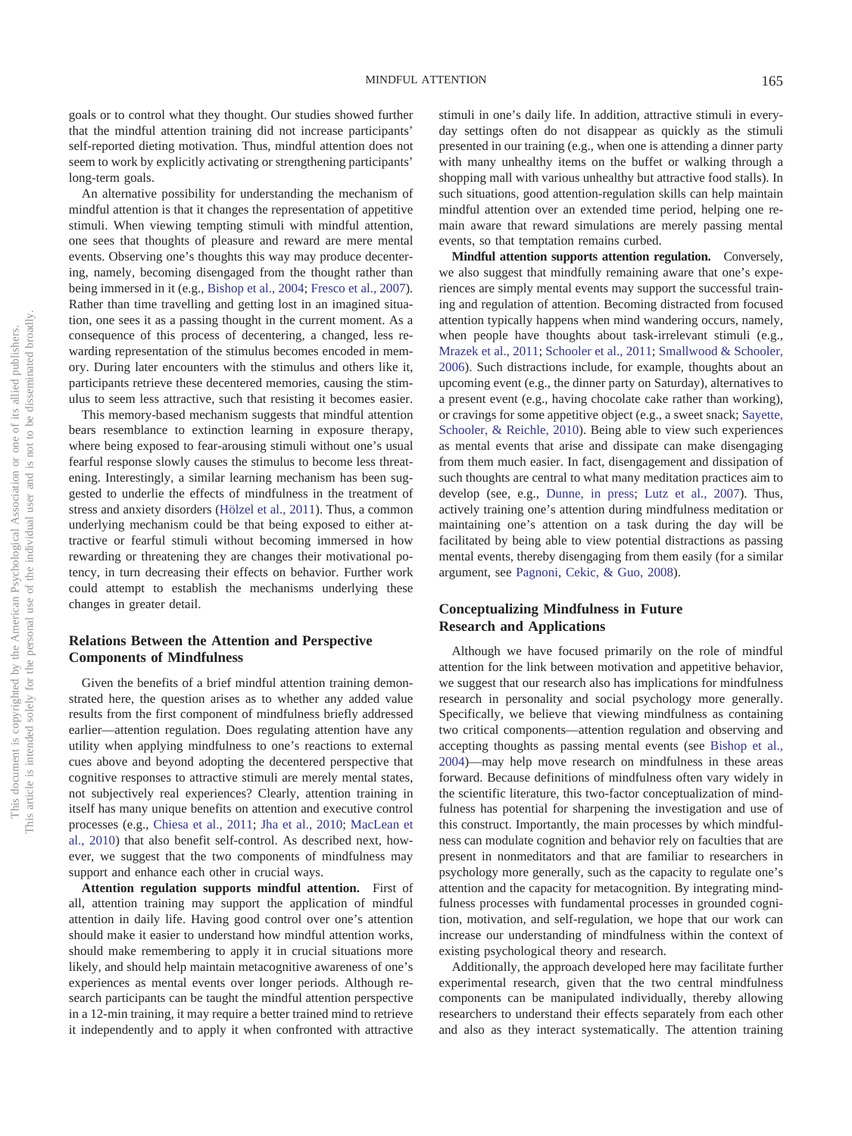goals or to control what they thought. Our studies showed further that the mindful attention training did not increase participants' self-reported dieting motivation. Thus, mindful attention does not seem to work by explicitly activating or strengthening participants' long-term goals.

An alternative possibility for understanding the mechanism of mindful attention is that it changes the representation of appetitive stimuli. When viewing tempting stimuli with mindful attention, one sees that thoughts of pleasure and reward are mere mental events. Observing one's thoughts this way may produce decentering, namely, becoming disengaged from the thought rather than being immersed in it (e.g., [Bishop et al., 2004;](#page-19-1) [Fresco et al., 2007\)](#page-19-2). Rather than time travelling and getting lost in an imagined situation, one sees it as a passing thought in the current moment. As a consequence of this process of decentering, a changed, less rewarding representation of the stimulus becomes encoded in memory. During later encounters with the stimulus and others like it, participants retrieve these decentered memories, causing the stimulus to seem less attractive, such that resisting it becomes easier.

This memory-based mechanism suggests that mindful attention bears resemblance to extinction learning in exposure therapy, where being exposed to fear-arousing stimuli without one's usual fearful response slowly causes the stimulus to become less threatening. Interestingly, a similar learning mechanism has been suggested to underlie the effects of mindfulness in the treatment of stress and anxiety disorders [\(Hölzel et al., 2011\)](#page-20-9). Thus, a common underlying mechanism could be that being exposed to either attractive or fearful stimuli without becoming immersed in how rewarding or threatening they are changes their motivational potency, in turn decreasing their effects on behavior. Further work could attempt to establish the mechanisms underlying these changes in greater detail.

## **Relations Between the Attention and Perspective Components of Mindfulness**

Given the benefits of a brief mindful attention training demonstrated here, the question arises as to whether any added value results from the first component of mindfulness briefly addressed earlier—attention regulation. Does regulating attention have any utility when applying mindfulness to one's reactions to external cues above and beyond adopting the decentered perspective that cognitive responses to attractive stimuli are merely mental states, not subjectively real experiences? Clearly, attention training in itself has many unique benefits on attention and executive control processes (e.g., [Chiesa et al., 2011;](#page-19-15) [Jha et al., 2010;](#page-20-12) [MacLean et](#page-21-30) [al., 2010\)](#page-21-30) that also benefit self-control. As described next, however, we suggest that the two components of mindfulness may support and enhance each other in crucial ways.

**Attention regulation supports mindful attention.** First of all, attention training may support the application of mindful attention in daily life. Having good control over one's attention should make it easier to understand how mindful attention works, should make remembering to apply it in crucial situations more likely, and should help maintain metacognitive awareness of one's experiences as mental events over longer periods. Although research participants can be taught the mindful attention perspective in a 12-min training, it may require a better trained mind to retrieve it independently and to apply it when confronted with attractive

stimuli in one's daily life. In addition, attractive stimuli in everyday settings often do not disappear as quickly as the stimuli presented in our training (e.g., when one is attending a dinner party with many unhealthy items on the buffet or walking through a shopping mall with various unhealthy but attractive food stalls). In such situations, good attention-regulation skills can help maintain mindful attention over an extended time period, helping one remain aware that reward simulations are merely passing mental events, so that temptation remains curbed.

**Mindful attention supports attention regulation.** Conversely, we also suggest that mindfully remaining aware that one's experiences are simply mental events may support the successful training and regulation of attention. Becoming distracted from focused attention typically happens when mind wandering occurs, namely, when people have thoughts about task-irrelevant stimuli (e.g., [Mrazek et al., 2011;](#page-21-31) [Schooler et al., 2011;](#page-21-32) [Smallwood & Schooler,](#page-22-21) [2006\)](#page-22-21). Such distractions include, for example, thoughts about an upcoming event (e.g., the dinner party on Saturday), alternatives to a present event (e.g., having chocolate cake rather than working), or cravings for some appetitive object (e.g., a sweet snack; [Sayette,](#page-21-33) [Schooler, & Reichle, 2010\)](#page-21-33). Being able to view such experiences as mental events that arise and dissipate can make disengaging from them much easier. In fact, disengagement and dissipation of such thoughts are central to what many meditation practices aim to develop (see, e.g., [Dunne, in press;](#page-19-29) [Lutz et al., 2007\)](#page-20-10). Thus, actively training one's attention during mindfulness meditation or maintaining one's attention on a task during the day will be facilitated by being able to view potential distractions as passing mental events, thereby disengaging from them easily (for a similar argument, see [Pagnoni, Cekic, & Guo, 2008\)](#page-21-34).

## **Conceptualizing Mindfulness in Future Research and Applications**

Although we have focused primarily on the role of mindful attention for the link between motivation and appetitive behavior, we suggest that our research also has implications for mindfulness research in personality and social psychology more generally. Specifically, we believe that viewing mindfulness as containing two critical components—attention regulation and observing and accepting thoughts as passing mental events (see [Bishop et al.,](#page-19-1) [2004\)](#page-19-1)—may help move research on mindfulness in these areas forward. Because definitions of mindfulness often vary widely in the scientific literature, this two-factor conceptualization of mindfulness has potential for sharpening the investigation and use of this construct. Importantly, the main processes by which mindfulness can modulate cognition and behavior rely on faculties that are present in nonmeditators and that are familiar to researchers in psychology more generally, such as the capacity to regulate one's attention and the capacity for metacognition. By integrating mindfulness processes with fundamental processes in grounded cognition, motivation, and self-regulation, we hope that our work can increase our understanding of mindfulness within the context of existing psychological theory and research.

Additionally, the approach developed here may facilitate further experimental research, given that the two central mindfulness components can be manipulated individually, thereby allowing researchers to understand their effects separately from each other and also as they interact systematically. The attention training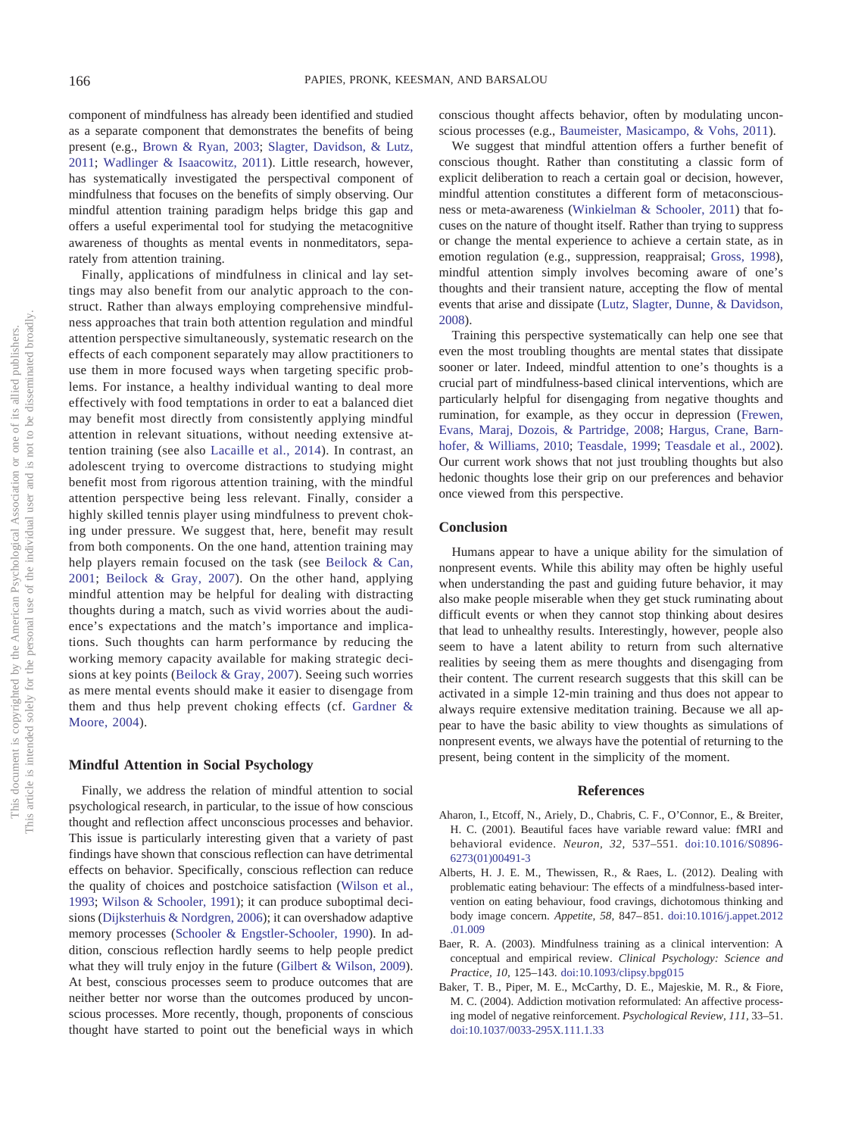component of mindfulness has already been identified and studied as a separate component that demonstrates the benefits of being present (e.g., [Brown & Ryan, 2003;](#page-19-32) [Slagter, Davidson, & Lutz,](#page-22-22) [2011;](#page-22-22) [Wadlinger & Isaacowitz, 2011\)](#page-22-9). Little research, however, has systematically investigated the perspectival component of mindfulness that focuses on the benefits of simply observing. Our mindful attention training paradigm helps bridge this gap and offers a useful experimental tool for studying the metacognitive awareness of thoughts as mental events in nonmeditators, separately from attention training.

Finally, applications of mindfulness in clinical and lay settings may also benefit from our analytic approach to the construct. Rather than always employing comprehensive mindfulness approaches that train both attention regulation and mindful attention perspective simultaneously, systematic research on the effects of each component separately may allow practitioners to use them in more focused ways when targeting specific problems. For instance, a healthy individual wanting to deal more effectively with food temptations in order to eat a balanced diet may benefit most directly from consistently applying mindful attention in relevant situations, without needing extensive attention training (see also [Lacaille et al., 2014\)](#page-20-27). In contrast, an adolescent trying to overcome distractions to studying might benefit most from rigorous attention training, with the mindful attention perspective being less relevant. Finally, consider a highly skilled tennis player using mindfulness to prevent choking under pressure. We suggest that, here, benefit may result from both components. On the one hand, attention training may help players remain focused on the task (see [Beilock & Can,](#page-19-33) [2001;](#page-19-33) [Beilock & Gray, 2007\)](#page-19-34). On the other hand, applying mindful attention may be helpful for dealing with distracting thoughts during a match, such as vivid worries about the audience's expectations and the match's importance and implications. Such thoughts can harm performance by reducing the working memory capacity available for making strategic decisions at key points [\(Beilock & Gray, 2007\)](#page-19-34). Seeing such worries as mere mental events should make it easier to disengage from them and thus help prevent choking effects (cf. [Gardner &](#page-20-28) [Moore, 2004\)](#page-20-28).

## **Mindful Attention in Social Psychology**

Finally, we address the relation of mindful attention to social psychological research, in particular, to the issue of how conscious thought and reflection affect unconscious processes and behavior. This issue is particularly interesting given that a variety of past findings have shown that conscious reflection can have detrimental effects on behavior. Specifically, conscious reflection can reduce the quality of choices and postchoice satisfaction [\(Wilson et al.,](#page-22-23) [1993;](#page-22-23) [Wilson & Schooler, 1991\)](#page-22-24); it can produce suboptimal decisions [\(Dijksterhuis & Nordgren, 2006\)](#page-19-35); it can overshadow adaptive memory processes [\(Schooler & Engstler-Schooler, 1990\)](#page-21-35). In addition, conscious reflection hardly seems to help people predict what they will truly enjoy in the future [\(Gilbert & Wilson, 2009\)](#page-20-29). At best, conscious processes seem to produce outcomes that are neither better nor worse than the outcomes produced by unconscious processes. More recently, though, proponents of conscious thought have started to point out the beneficial ways in which conscious thought affects behavior, often by modulating unconscious processes (e.g., [Baumeister, Masicampo, & Vohs, 2011\)](#page-19-36).

We suggest that mindful attention offers a further benefit of conscious thought. Rather than constituting a classic form of explicit deliberation to reach a certain goal or decision, however, mindful attention constitutes a different form of metaconsciousness or meta-awareness [\(Winkielman & Schooler, 2011\)](#page-22-25) that focuses on the nature of thought itself. Rather than trying to suppress or change the mental experience to achieve a certain state, as in emotion regulation (e.g., suppression, reappraisal; [Gross, 1998\)](#page-20-15), mindful attention simply involves becoming aware of one's thoughts and their transient nature, accepting the flow of mental events that arise and dissipate [\(Lutz, Slagter, Dunne, & Davidson,](#page-21-36) [2008\)](#page-21-36).

Training this perspective systematically can help one see that even the most troubling thoughts are mental states that dissipate sooner or later. Indeed, mindful attention to one's thoughts is a crucial part of mindfulness-based clinical interventions, which are particularly helpful for disengaging from negative thoughts and rumination, for example, as they occur in depression [\(Frewen,](#page-20-30) [Evans, Maraj, Dozois, & Partridge, 2008;](#page-20-30) [Hargus, Crane, Barn](#page-20-31)[hofer, & Williams, 2010;](#page-20-31) [Teasdale, 1999;](#page-22-20) [Teasdale et al., 2002\)](#page-22-8). Our current work shows that not just troubling thoughts but also hedonic thoughts lose their grip on our preferences and behavior once viewed from this perspective.

## **Conclusion**

Humans appear to have a unique ability for the simulation of nonpresent events. While this ability may often be highly useful when understanding the past and guiding future behavior, it may also make people miserable when they get stuck ruminating about difficult events or when they cannot stop thinking about desires that lead to unhealthy results. Interestingly, however, people also seem to have a latent ability to return from such alternative realities by seeing them as mere thoughts and disengaging from their content. The current research suggests that this skill can be activated in a simple 12-min training and thus does not appear to always require extensive meditation training. Because we all appear to have the basic ability to view thoughts as simulations of nonpresent events, we always have the potential of returning to the present, being content in the simplicity of the moment.

#### **References**

- <span id="page-18-0"></span>Aharon, I., Etcoff, N., Ariely, D., Chabris, C. F., O'Connor, E., & Breiter, H. C. (2001). Beautiful faces have variable reward value: fMRI and behavioral evidence. *Neuron, 32,* 537–551. [doi:10.1016/S0896-](http://dx.doi.org/10.1016/S0896-6273%2801%2900491-3) [6273\(01\)00491-3](http://dx.doi.org/10.1016/S0896-6273%2801%2900491-3)
- <span id="page-18-2"></span>Alberts, H. J. E. M., Thewissen, R., & Raes, L. (2012). Dealing with problematic eating behaviour: The effects of a mindfulness-based intervention on eating behaviour, food cravings, dichotomous thinking and body image concern. *Appetite, 58,* 847– 851. [doi:10.1016/j.appet.2012](http://dx.doi.org/10.1016/j.appet.2012.01.009) [.01.009](http://dx.doi.org/10.1016/j.appet.2012.01.009)
- <span id="page-18-1"></span>Baer, R. A. (2003). Mindfulness training as a clinical intervention: A conceptual and empirical review. *Clinical Psychology: Science and Practice, 10,* 125–143. [doi:10.1093/clipsy.bpg015](http://dx.doi.org/10.1093/clipsy.bpg015)
- <span id="page-18-3"></span>Baker, T. B., Piper, M. E., McCarthy, D. E., Majeskie, M. R., & Fiore, M. C. (2004). Addiction motivation reformulated: An affective processing model of negative reinforcement. *Psychological Review, 111,* 33–51. [doi:10.1037/0033-295X.111.1.33](http://dx.doi.org/10.1037/0033-295X.111.1.33)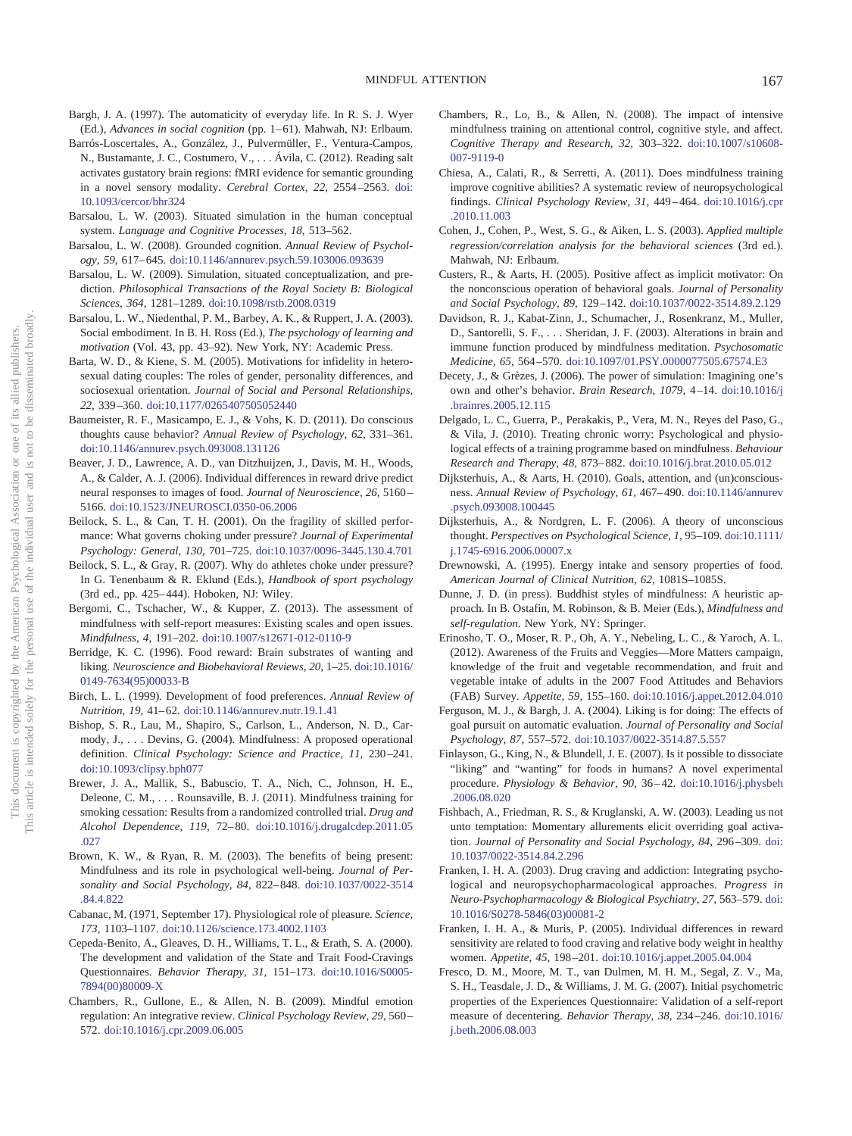- <span id="page-19-30"></span>Bargh, J. A. (1997). The automaticity of everyday life. In R. S. J. Wyer (Ed.), *Advances in social cognition* (pp. 1-61). Mahwah, NJ: Erlbaum.
- <span id="page-19-7"></span>Barrós-Loscertales, A., González, J., Pulvermüller, F., Ventura-Campos, N., Bustamante, J. C., Costumero, V.,... Ávila, C. (2012). Reading salt activates gustatory brain regions: fMRI evidence for semantic grounding in a novel sensory modality. *Cerebral Cortex, 22,* 2554 –2563. [doi:](http://dx.doi.org/10.1093/cercor/bhr324) [10.1093/cercor/bhr324](http://dx.doi.org/10.1093/cercor/bhr324)
- Barsalou, L. W. (2003). Situated simulation in the human conceptual system. *Language and Cognitive Processes, 18,* 513–562.
- <span id="page-19-3"></span>Barsalou, L. W. (2008). Grounded cognition. *Annual Review of Psychology, 59,* 617– 645. [doi:10.1146/annurev.psych.59.103006.093639](http://dx.doi.org/10.1146/annurev.psych.59.103006.093639)
- <span id="page-19-4"></span>Barsalou, L. W. (2009). Simulation, situated conceptualization, and prediction. *Philosophical Transactions of the Royal Society B: Biological Sciences, 364,* 1281–1289. [doi:10.1098/rstb.2008.0319](http://dx.doi.org/10.1098/rstb.2008.0319)
- <span id="page-19-5"></span>Barsalou, L. W., Niedenthal, P. M., Barbey, A. K., & Ruppert, J. A. (2003). Social embodiment. In B. H. Ross (Ed.), *The psychology of learning and motivation* (Vol. 43, pp. 43–92). New York, NY: Academic Press.
- <span id="page-19-19"></span>Barta, W. D., & Kiene, S. M. (2005). Motivations for infidelity in heterosexual dating couples: The roles of gender, personality differences, and sociosexual orientation. *Journal of Social and Personal Relationships, 22,* 339 –360. [doi:10.1177/0265407505052440](http://dx.doi.org/10.1177/0265407505052440)
- <span id="page-19-36"></span>Baumeister, R. F., Masicampo, E. J., & Vohs, K. D. (2011). Do conscious thoughts cause behavior? *Annual Review of Psychology, 62,* 331–361. [doi:10.1146/annurev.psych.093008.131126](http://dx.doi.org/10.1146/annurev.psych.093008.131126)
- <span id="page-19-10"></span>Beaver, J. D., Lawrence, A. D., van Ditzhuijzen, J., Davis, M. H., Woods, A., & Calder, A. J. (2006). Individual differences in reward drive predict neural responses to images of food. *Journal of Neuroscience, 26,* 5160 – 5166. [doi:10.1523/JNEUROSCI.0350-06.2006](http://dx.doi.org/10.1523/JNEUROSCI.0350-06.2006)
- <span id="page-19-33"></span>Beilock, S. L., & Can, T. H. (2001). On the fragility of skilled performance: What governs choking under pressure? *Journal of Experimental Psychology: General, 130,* 701–725. [doi:10.1037/0096-3445.130.4.701](http://dx.doi.org/10.1037/0096-3445.130.4.701)
- <span id="page-19-34"></span>Beilock, S. L., & Gray, R. (2007). Why do athletes choke under pressure? In G. Tenenbaum & R. Eklund (Eds.), *Handbook of sport psychology* (3rd ed., pp. 425– 444). Hoboken, NJ: Wiley.
- <span id="page-19-13"></span>Bergomi, C., Tschacher, W., & Kupper, Z. (2013). The assessment of mindfulness with self-report measures: Existing scales and open issues. *Mindfulness, 4,* 191–202. [doi:10.1007/s12671-012-0110-9](http://dx.doi.org/10.1007/s12671-012-0110-9)
- <span id="page-19-23"></span>Berridge, K. C. (1996). Food reward: Brain substrates of wanting and liking. *Neuroscience and Biobehavioral Reviews, 20,* 1–25. [doi:10.1016/](http://dx.doi.org/10.1016/0149-7634%2895%2900033-B) [0149-7634\(95\)00033-B](http://dx.doi.org/10.1016/0149-7634%2895%2900033-B)
- <span id="page-19-21"></span>Birch, L. L. (1999). Development of food preferences. *Annual Review of Nutrition, 19,* 41– 62. [doi:10.1146/annurev.nutr.19.1.41](http://dx.doi.org/10.1146/annurev.nutr.19.1.41)
- <span id="page-19-1"></span>Bishop, S. R., Lau, M., Shapiro, S., Carlson, L., Anderson, N. D., Carmody, J.,... Devins, G. (2004). Mindfulness: A proposed operational definition. *Clinical Psychology: Science and Practice, 11,* 230 –241. [doi:10.1093/clipsy.bph077](http://dx.doi.org/10.1093/clipsy.bph077)
- <span id="page-19-0"></span>Brewer, J. A., Mallik, S., Babuscio, T. A., Nich, C., Johnson, H. E., Deleone, C. M.,... Rounsaville, B. J. (2011). Mindfulness training for smoking cessation: Results from a randomized controlled trial. *Drug and Alcohol Dependence, 119,* 72– 80. [doi:10.1016/j.drugalcdep.2011.05](http://dx.doi.org/10.1016/j.drugalcdep.2011.05.027) [.027](http://dx.doi.org/10.1016/j.drugalcdep.2011.05.027)
- <span id="page-19-32"></span>Brown, K. W., & Ryan, R. M. (2003). The benefits of being present: Mindfulness and its role in psychological well-being. *Journal of Personality and Social Psychology, 84,* 822– 848. [doi:10.1037/0022-3514](http://dx.doi.org/10.1037/0022-3514.84.4.822) [.84.4.822](http://dx.doi.org/10.1037/0022-3514.84.4.822)
- <span id="page-19-8"></span>Cabanac, M. (1971, September 17). Physiological role of pleasure. *Science, 173,* 1103–1107. [doi:10.1126/science.173.4002.1103](http://dx.doi.org/10.1126/science.173.4002.1103)
- <span id="page-19-26"></span>Cepeda-Benito, A., Gleaves, D. H., Williams, T. L., & Erath, S. A. (2000). The development and validation of the State and Trait Food-Cravings Questionnaires. *Behavior Therapy, 31,* 151–173. [doi:10.1016/S0005-](http://dx.doi.org/10.1016/S0005-7894%2800%2980009-X) [7894\(00\)80009-X](http://dx.doi.org/10.1016/S0005-7894%2800%2980009-X)
- <span id="page-19-14"></span>Chambers, R., Gullone, E., & Allen, N. B. (2009). Mindful emotion regulation: An integrative review. *Clinical Psychology Review, 29,* 560 – 572. [doi:10.1016/j.cpr.2009.06.005](http://dx.doi.org/10.1016/j.cpr.2009.06.005)
- <span id="page-19-16"></span>Chambers, R., Lo, B., & Allen, N. (2008). The impact of intensive mindfulness training on attentional control, cognitive style, and affect. *Cognitive Therapy and Research, 32,* 303–322. [doi:10.1007/s10608-](http://dx.doi.org/10.1007/s10608-007-9119-0) [007-9119-0](http://dx.doi.org/10.1007/s10608-007-9119-0)
- <span id="page-19-15"></span>Chiesa, A., Calati, R., & Serretti, A. (2011). Does mindfulness training improve cognitive abilities? A systematic review of neuropsychological findings. *Clinical Psychology Review, 31,* 449 – 464. [doi:10.1016/j.cpr](http://dx.doi.org/10.1016/j.cpr.2010.11.003) [.2010.11.003](http://dx.doi.org/10.1016/j.cpr.2010.11.003)
- <span id="page-19-20"></span>Cohen, J., Cohen, P., West, S. G., & Aiken, L. S. (2003). *Applied multiple regression/correlation analysis for the behavioral sciences* (3rd ed.). Mahwah, NJ: Erlbaum.
- <span id="page-19-24"></span>Custers, R., & Aarts, H. (2005). Positive affect as implicit motivator: On the nonconscious operation of behavioral goals. *Journal of Personality and Social Psychology, 89,* 129 –142. [doi:10.1037/0022-3514.89.2.129](http://dx.doi.org/10.1037/0022-3514.89.2.129)
- <span id="page-19-17"></span>Davidson, R. J., Kabat-Zinn, J., Schumacher, J., Rosenkranz, M., Muller, D., Santorelli, S. F.,... Sheridan, J. F. (2003). Alterations in brain and immune function produced by mindfulness meditation. *Psychosomatic Medicine, 65,* 564 –570. [doi:10.1097/01.PSY.0000077505.67574.E3](http://dx.doi.org/10.1097/01.PSY.0000077505.67574.E3)
- <span id="page-19-6"></span>Decety, J., & Grèzes, J. (2006). The power of simulation: Imagining one's own and other's behavior. *Brain Research, 1079,* 4 –14. [doi:10.1016/j](http://dx.doi.org/10.1016/j.brainres.2005.12.115) [.brainres.2005.12.115](http://dx.doi.org/10.1016/j.brainres.2005.12.115)
- <span id="page-19-18"></span>Delgado, L. C., Guerra, P., Perakakis, P., Vera, M. N., Reyes del Paso, G., & Vila, J. (2010). Treating chronic worry: Psychological and physiological effects of a training programme based on mindfulness. *Behaviour Research and Therapy, 48,* 873– 882. [doi:10.1016/j.brat.2010.05.012](http://dx.doi.org/10.1016/j.brat.2010.05.012)
- <span id="page-19-31"></span>Dijksterhuis, A., & Aarts, H. (2010). Goals, attention, and (un)consciousness. *Annual Review of Psychology, 61,* 467– 490. [doi:10.1146/annurev](http://dx.doi.org/10.1146/annurev.psych.093008.100445) [.psych.093008.100445](http://dx.doi.org/10.1146/annurev.psych.093008.100445)
- <span id="page-19-35"></span>Dijksterhuis, A., & Nordgren, L. F. (2006). A theory of unconscious thought. *Perspectives on Psychological Science, 1,* 95–109. [doi:10.1111/](http://dx.doi.org/10.1111/j.1745-6916.2006.00007.x) [j.1745-6916.2006.00007.x](http://dx.doi.org/10.1111/j.1745-6916.2006.00007.x)
- <span id="page-19-22"></span>Drewnowski, A. (1995). Energy intake and sensory properties of food. *American Journal of Clinical Nutrition, 62,* 1081S–1085S.
- <span id="page-19-29"></span>Dunne, J. D. (in press). Buddhist styles of mindfulness: A heuristic approach. In B. Ostafin, M. Robinson, & B. Meier (Eds.), *Mindfulness and self-regulation*. New York, NY: Springer.
- <span id="page-19-27"></span>Erinosho, T. O., Moser, R. P., Oh, A. Y., Nebeling, L. C., & Yaroch, A. L. (2012). Awareness of the Fruits and Veggies—More Matters campaign, knowledge of the fruit and vegetable recommendation, and fruit and vegetable intake of adults in the 2007 Food Attitudes and Behaviors (FAB) Survey. *Appetite, 59,* 155–160. [doi:10.1016/j.appet.2012.04.010](http://dx.doi.org/10.1016/j.appet.2012.04.010)
- <span id="page-19-9"></span>Ferguson, M. J., & Bargh, J. A. (2004). Liking is for doing: The effects of goal pursuit on automatic evaluation. *Journal of Personality and Social Psychology, 87,* 557–572. [doi:10.1037/0022-3514.87.5.557](http://dx.doi.org/10.1037/0022-3514.87.5.557)
- <span id="page-19-25"></span>Finlayson, G., King, N., & Blundell, J. E. (2007). Is it possible to dissociate "liking" and "wanting" for foods in humans? A novel experimental procedure. *Physiology & Behavior, 90,* 36 – 42. [doi:10.1016/j.physbeh](http://dx.doi.org/10.1016/j.physbeh.2006.08.020) [.2006.08.020](http://dx.doi.org/10.1016/j.physbeh.2006.08.020)
- <span id="page-19-12"></span>Fishbach, A., Friedman, R. S., & Kruglanski, A. W. (2003). Leading us not unto temptation: Momentary allurements elicit overriding goal activation. *Journal of Personality and Social Psychology, 84,* 296 –309. [doi:](http://dx.doi.org/10.1037/0022-3514.84.2.296) [10.1037/0022-3514.84.2.296](http://dx.doi.org/10.1037/0022-3514.84.2.296)
- <span id="page-19-28"></span>Franken, I. H. A. (2003). Drug craving and addiction: Integrating psychological and neuropsychopharmacological approaches. *Progress in Neuro-Psychopharmacology & Biological Psychiatry, 27,* 563–579. [doi:](http://dx.doi.org/10.1016/S0278-5846%2803%2900081-2) [10.1016/S0278-5846\(03\)00081-2](http://dx.doi.org/10.1016/S0278-5846%2803%2900081-2)
- <span id="page-19-11"></span>Franken, I. H. A., & Muris, P. (2005). Individual differences in reward sensitivity are related to food craving and relative body weight in healthy women. *Appetite, 45,* 198 –201. [doi:10.1016/j.appet.2005.04.004](http://dx.doi.org/10.1016/j.appet.2005.04.004)
- <span id="page-19-2"></span>Fresco, D. M., Moore, M. T., van Dulmen, M. H. M., Segal, Z. V., Ma, S. H., Teasdale, J. D., & Williams, J. M. G. (2007). Initial psychometric properties of the Experiences Questionnaire: Validation of a self-report measure of decentering. *Behavior Therapy, 38,* 234 –246. [doi:10.1016/](http://dx.doi.org/10.1016/j.beth.2006.08.003) [j.beth.2006.08.003](http://dx.doi.org/10.1016/j.beth.2006.08.003)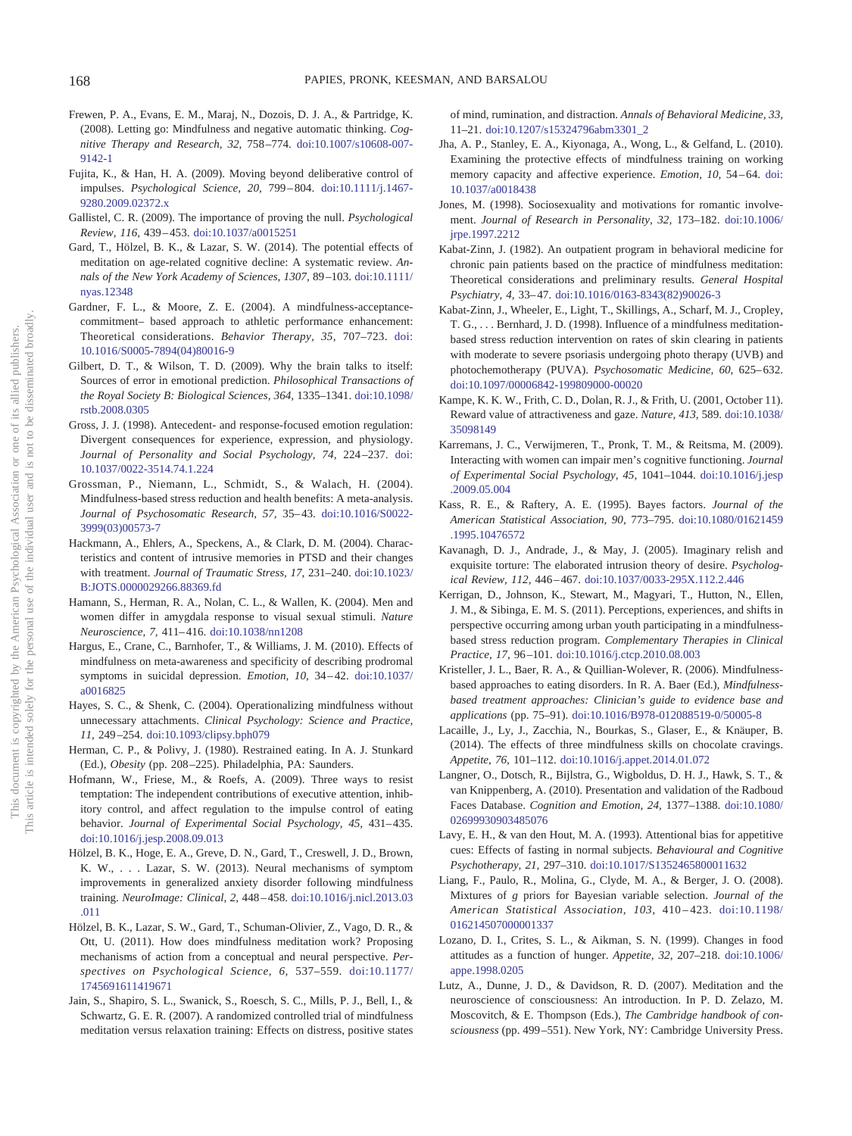- <span id="page-20-30"></span>Frewen, P. A., Evans, E. M., Maraj, N., Dozois, D. J. A., & Partridge, K. (2008). Letting go: Mindfulness and negative automatic thinking. *Cognitive Therapy and Research, 32,* 758 –774. [doi:10.1007/s10608-007-](http://dx.doi.org/10.1007/s10608-007-9142-1) [9142-1](http://dx.doi.org/10.1007/s10608-007-9142-1)
- <span id="page-20-14"></span>Fujita, K., & Han, H. A. (2009). Moving beyond deliberative control of impulses. *Psychological Science, 20,* 799 – 804. [doi:10.1111/j.1467-](http://dx.doi.org/10.1111/j.1467-9280.2009.02372.x) [9280.2009.02372.x](http://dx.doi.org/10.1111/j.1467-9280.2009.02372.x)
- <span id="page-20-18"></span>Gallistel, C. R. (2009). The importance of proving the null. *Psychological Review, 116,* 439 – 453. [doi:10.1037/a0015251](http://dx.doi.org/10.1037/a0015251)
- <span id="page-20-11"></span>Gard, T., Hölzel, B. K., & Lazar, S. W. (2014). The potential effects of meditation on age-related cognitive decline: A systematic review. *Annals of the New York Academy of Sciences, 1307,* 89 –103. [doi:10.1111/](http://dx.doi.org/10.1111/nyas.12348) [nyas.12348](http://dx.doi.org/10.1111/nyas.12348)
- <span id="page-20-28"></span>Gardner, F. L., & Moore, Z. E. (2004). A mindfulness-acceptancecommitment– based approach to athletic performance enhancement: Theoretical considerations. *Behavior Therapy, 35,* 707–723. [doi:](http://dx.doi.org/10.1016/S0005-7894%2804%2980016-9) [10.1016/S0005-7894\(04\)80016-9](http://dx.doi.org/10.1016/S0005-7894%2804%2980016-9)
- <span id="page-20-29"></span>Gilbert, D. T., & Wilson, T. D. (2009). Why the brain talks to itself: Sources of error in emotional prediction. *Philosophical Transactions of the Royal Society B: Biological Sciences, 364,* 1335–1341. [doi:10.1098/](http://dx.doi.org/10.1098/rstb.2008.0305) [rstb.2008.0305](http://dx.doi.org/10.1098/rstb.2008.0305)
- <span id="page-20-15"></span>Gross, J. J. (1998). Antecedent- and response-focused emotion regulation: Divergent consequences for experience, expression, and physiology. *Journal of Personality and Social Psychology, 74,* 224 –237. [doi:](http://dx.doi.org/10.1037/0022-3514.74.1.224) [10.1037/0022-3514.74.1.224](http://dx.doi.org/10.1037/0022-3514.74.1.224)
- <span id="page-20-0"></span>Grossman, P., Niemann, L., Schmidt, S., & Walach, H. (2004). Mindfulness-based stress reduction and health benefits: A meta-analysis. *Journal of Psychosomatic Research, 57,* 35– 43. [doi:10.1016/S0022-](http://dx.doi.org/10.1016/S0022-3999%2803%2900573-7) [3999\(03\)00573-7](http://dx.doi.org/10.1016/S0022-3999%2803%2900573-7)
- <span id="page-20-24"></span>Hackmann, A., Ehlers, A., Speckens, A., & Clark, D. M. (2004). Characteristics and content of intrusive memories in PTSD and their changes with treatment. *Journal of Traumatic Stress, 17,* 231–240. [doi:10.1023/](http://dx.doi.org/10.1023/B:JOTS.0000029266.88369.fd) [B:JOTS.0000029266.88369.fd](http://dx.doi.org/10.1023/B:JOTS.0000029266.88369.fd)
- <span id="page-20-6"></span>Hamann, S., Herman, R. A., Nolan, C. L., & Wallen, K. (2004). Men and women differ in amygdala response to visual sexual stimuli. *Nature Neuroscience, 7,* 411– 416. [doi:10.1038/nn1208](http://dx.doi.org/10.1038/nn1208)
- <span id="page-20-31"></span>Hargus, E., Crane, C., Barnhofer, T., & Williams, J. M. (2010). Effects of mindfulness on meta-awareness and specificity of describing prodromal symptoms in suicidal depression. *Emotion, 10,* 34 – 42. [doi:10.1037/](http://dx.doi.org/10.1037/a0016825) [a0016825](http://dx.doi.org/10.1037/a0016825)
- <span id="page-20-8"></span>Hayes, S. C., & Shenk, C. (2004). Operationalizing mindfulness without unnecessary attachments. *Clinical Psychology: Science and Practice, 11,* 249 –254. [doi:10.1093/clipsy.bph079](http://dx.doi.org/10.1093/clipsy.bph079)
- <span id="page-20-23"></span>Herman, C. P., & Polivy, J. (1980). Restrained eating. In A. J. Stunkard (Ed.), *Obesity* (pp. 208 –225). Philadelphia, PA: Saunders.
- <span id="page-20-7"></span>Hofmann, W., Friese, M., & Roefs, A. (2009). Three ways to resist temptation: The independent contributions of executive attention, inhibitory control, and affect regulation to the impulse control of eating behavior. *Journal of Experimental Social Psychology, 45, 431-435.* [doi:10.1016/j.jesp.2008.09.013](http://dx.doi.org/10.1016/j.jesp.2008.09.013)
- <span id="page-20-1"></span>Hölzel, B. K., Hoge, E. A., Greve, D. N., Gard, T., Creswell, J. D., Brown, K. W., . . . Lazar, S. W. (2013). Neural mechanisms of symptom improvements in generalized anxiety disorder following mindfulness training. *NeuroImage: Clinical, 2,* 448 – 458. [doi:10.1016/j.nicl.2013.03](http://dx.doi.org/10.1016/j.nicl.2013.03.011) [.011](http://dx.doi.org/10.1016/j.nicl.2013.03.011)
- <span id="page-20-9"></span>Hölzel, B. K., Lazar, S. W., Gard, T., Schuman-Olivier, Z., Vago, D. R., & Ott, U. (2011). How does mindfulness meditation work? Proposing mechanisms of action from a conceptual and neural perspective. *Perspectives on Psychological Science, 6,* 537–559. [doi:10.1177/](http://dx.doi.org/10.1177/1745691611419671) [1745691611419671](http://dx.doi.org/10.1177/1745691611419671)
- <span id="page-20-25"></span>Jain, S., Shapiro, S. L., Swanick, S., Roesch, S. C., Mills, P. J., Bell, I., & Schwartz, G. E. R. (2007). A randomized controlled trial of mindfulness meditation versus relaxation training: Effects on distress, positive states

of mind, rumination, and distraction. *Annals of Behavioral Medicine, 33,* 11–21. [doi:10.1207/s15324796abm3301\\_2](http://dx.doi.org/10.1207/s15324796abm3301_2)

- <span id="page-20-12"></span>Jha, A. P., Stanley, E. A., Kiyonaga, A., Wong, L., & Gelfand, L. (2010). Examining the protective effects of mindfulness training on working memory capacity and affective experience. *Emotion, 10, 54-64*. [doi:](http://dx.doi.org/10.1037/a0018438) [10.1037/a0018438](http://dx.doi.org/10.1037/a0018438)
- <span id="page-20-16"></span>Jones, M. (1998). Sociosexuality and motivations for romantic involvement. *Journal of Research in Personality, 32,* 173–182. [doi:10.1006/](http://dx.doi.org/10.1006/jrpe.1997.2212) [jrpe.1997.2212](http://dx.doi.org/10.1006/jrpe.1997.2212)
- <span id="page-20-2"></span>Kabat-Zinn, J. (1982). An outpatient program in behavioral medicine for chronic pain patients based on the practice of mindfulness meditation: Theoretical considerations and preliminary results. *General Hospital Psychiatry, 4,* 33– 47. [doi:10.1016/0163-8343\(82\)90026-3](http://dx.doi.org/10.1016/0163-8343%2882%2990026-3)
- <span id="page-20-13"></span>Kabat-Zinn, J., Wheeler, E., Light, T., Skillings, A., Scharf, M. J., Cropley, T. G., . . . Bernhard, J. D. (1998). Influence of a mindfulness meditationbased stress reduction intervention on rates of skin clearing in patients with moderate to severe psoriasis undergoing photo therapy (UVB) and photochemotherapy (PUVA). *Psychosomatic Medicine*, 60, 625-632. [doi:10.1097/00006842-199809000-00020](http://dx.doi.org/10.1097/00006842-199809000-00020)
- <span id="page-20-5"></span>Kampe, K. K. W., Frith, C. D., Dolan, R. J., & Frith, U. (2001, October 11). Reward value of attractiveness and gaze. *Nature, 413,* 589. [doi:10.1038/](http://dx.doi.org/10.1038/35098149) [35098149](http://dx.doi.org/10.1038/35098149)
- Karremans, J. C., Verwijmeren, T., Pronk, T. M., & Reitsma, M. (2009). Interacting with women can impair men's cognitive functioning. *Journal of Experimental Social Psychology, 45,* 1041–1044. [doi:10.1016/j.jesp](http://dx.doi.org/10.1016/j.jesp.2009.05.004) [.2009.05.004](http://dx.doi.org/10.1016/j.jesp.2009.05.004)
- <span id="page-20-20"></span>Kass, R. E., & Raftery, A. E. (1995). Bayes factors. *Journal of the American Statistical Association, 90,* 773–795. [doi:10.1080/01621459](http://dx.doi.org/10.1080/01621459.1995.10476572) [.1995.10476572](http://dx.doi.org/10.1080/01621459.1995.10476572)
- <span id="page-20-4"></span>Kavanagh, D. J., Andrade, J., & May, J. (2005). Imaginary relish and exquisite torture: The elaborated intrusion theory of desire. *Psychological Review, 112,* 446 – 467. [doi:10.1037/0033-295X.112.2.446](http://dx.doi.org/10.1037/0033-295X.112.2.446)
- <span id="page-20-26"></span>Kerrigan, D., Johnson, K., Stewart, M., Magyari, T., Hutton, N., Ellen, J. M., & Sibinga, E. M. S. (2011). Perceptions, experiences, and shifts in perspective occurring among urban youth participating in a mindfulnessbased stress reduction program. *Complementary Therapies in Clinical Practice, 17,* 96 –101. [doi:10.1016/j.ctcp.2010.08.003](http://dx.doi.org/10.1016/j.ctcp.2010.08.003)
- <span id="page-20-3"></span>Kristeller, J. L., Baer, R. A., & Quillian-Wolever, R. (2006). Mindfulnessbased approaches to eating disorders. In R. A. Baer (Ed.), *Mindfulnessbased treatment approaches: Clinician's guide to evidence base and applications* (pp. 75–91). [doi:10.1016/B978-012088519-0/50005-8](http://dx.doi.org/10.1016/B978-012088519-0/50005-8)
- <span id="page-20-27"></span>Lacaille, J., Ly, J., Zacchia, N., Bourkas, S., Glaser, E., & Knäuper, B. (2014). The effects of three mindfulness skills on chocolate cravings. *Appetite, 76,* 101–112. [doi:10.1016/j.appet.2014.01.072](http://dx.doi.org/10.1016/j.appet.2014.01.072)
- <span id="page-20-17"></span>Langner, O., Dotsch, R., Bijlstra, G., Wigboldus, D. H. J., Hawk, S. T., & van Knippenberg, A. (2010). Presentation and validation of the Radboud Faces Database. *Cognition and Emotion, 24,* 1377–1388. [doi:10.1080/](http://dx.doi.org/10.1080/02699930903485076) [02699930903485076](http://dx.doi.org/10.1080/02699930903485076)
- <span id="page-20-21"></span>Lavy, E. H., & van den Hout, M. A. (1993). Attentional bias for appetitive cues: Effects of fasting in normal subjects. *Behavioural and Cognitive Psychotherapy, 21,* 297–310. [doi:10.1017/S1352465800011632](http://dx.doi.org/10.1017/S1352465800011632)
- <span id="page-20-19"></span>Liang, F., Paulo, R., Molina, G., Clyde, M. A., & Berger, J. O. (2008). Mixtures of *g* priors for Bayesian variable selection. *Journal of the American Statistical Association, 103,* 410 – 423. [doi:10.1198/](http://dx.doi.org/10.1198/016214507000001337) [016214507000001337](http://dx.doi.org/10.1198/016214507000001337)
- <span id="page-20-22"></span>Lozano, D. I., Crites, S. L., & Aikman, S. N. (1999). Changes in food attitudes as a function of hunger. *Appetite, 32,* 207–218. [doi:10.1006/](http://dx.doi.org/10.1006/appe.1998.0205) [appe.1998.0205](http://dx.doi.org/10.1006/appe.1998.0205)
- <span id="page-20-10"></span>Lutz, A., Dunne, J. D., & Davidson, R. D. (2007). Meditation and the neuroscience of consciousness: An introduction. In P. D. Zelazo, M. Moscovitch, & E. Thompson (Eds.), *The Cambridge handbook of consciousness* (pp. 499 –551). New York, NY: Cambridge University Press.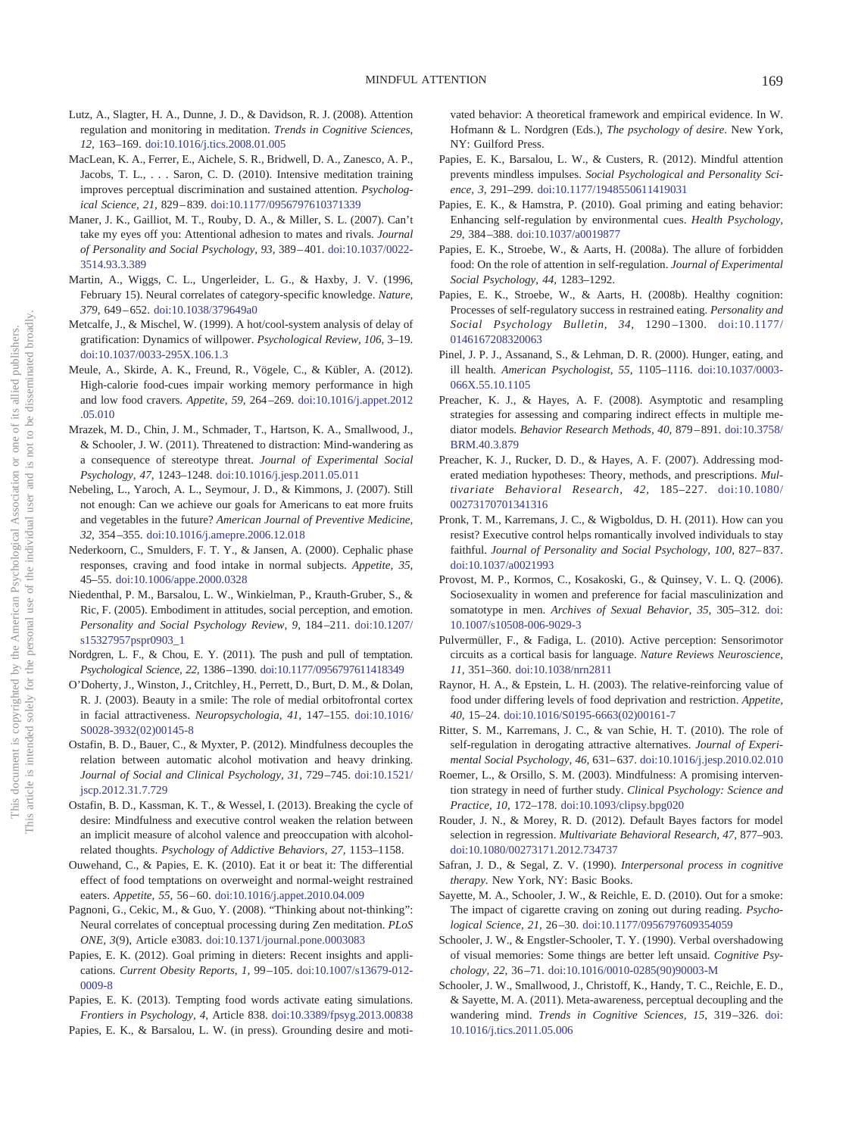- <span id="page-21-36"></span>Lutz, A., Slagter, H. A., Dunne, J. D., & Davidson, R. J. (2008). Attention regulation and monitoring in meditation. *Trends in Cognitive Sciences, 12,* 163–169. [doi:10.1016/j.tics.2008.01.005](http://dx.doi.org/10.1016/j.tics.2008.01.005)
- <span id="page-21-30"></span>MacLean, K. A., Ferrer, E., Aichele, S. R., Bridwell, D. A., Zanesco, A. P., Jacobs, T. L., . . . Saron, C. D. (2010). Intensive meditation training improves perceptual discrimination and sustained attention. *Psychological Science, 21,* 829 – 839. [doi:10.1177/0956797610371339](http://dx.doi.org/10.1177/0956797610371339)
- <span id="page-21-9"></span>Maner, J. K., Gailliot, M. T., Rouby, D. A., & Miller, S. L. (2007). Can't take my eyes off you: Attentional adhesion to mates and rivals. *Journal of Personality and Social Psychology, 93,* 389 – 401. [doi:10.1037/0022-](http://dx.doi.org/10.1037/0022-3514.93.3.389) [3514.93.3.389](http://dx.doi.org/10.1037/0022-3514.93.3.389)
- <span id="page-21-4"></span>Martin, A., Wiggs, C. L., Ungerleider, L. G., & Haxby, J. V. (1996, February 15). Neural correlates of category-specific knowledge. *Nature, 379,* 649 – 652. [doi:10.1038/379649a0](http://dx.doi.org/10.1038/379649a0)
- <span id="page-21-15"></span>Metcalfe, J., & Mischel, W. (1999). A hot/cool-system analysis of delay of gratification: Dynamics of willpower. *Psychological Review, 106,* 3–19. [doi:10.1037/0033-295X.106.1.3](http://dx.doi.org/10.1037/0033-295X.106.1.3)
- <span id="page-21-26"></span>Meule, A., Skirde, A. K., Freund, R., Vögele, C., & Kübler, A. (2012). High-calorie food-cues impair working memory performance in high and low food cravers. *Appetite, 59,* 264 –269. [doi:10.1016/j.appet.2012](http://dx.doi.org/10.1016/j.appet.2012.05.010) [.05.010](http://dx.doi.org/10.1016/j.appet.2012.05.010)
- <span id="page-21-31"></span>Mrazek, M. D., Chin, J. M., Schmader, T., Hartson, K. A., Smallwood, J., & Schooler, J. W. (2011). Threatened to distraction: Mind-wandering as a consequence of stereotype threat. *Journal of Experimental Social Psychology, 47,* 1243–1248. [doi:10.1016/j.jesp.2011.05.011](http://dx.doi.org/10.1016/j.jesp.2011.05.011)
- <span id="page-21-24"></span>Nebeling, L., Yaroch, A. L., Seymour, J. D., & Kimmons, J. (2007). Still not enough: Can we achieve our goals for Americans to eat more fruits and vegetables in the future? *American Journal of Preventive Medicine, 32,* 354 –355. [doi:10.1016/j.amepre.2006.12.018](http://dx.doi.org/10.1016/j.amepre.2006.12.018)
- <span id="page-21-1"></span>Nederkoorn, C., Smulders, F. T. Y., & Jansen, A. (2000). Cephalic phase responses, craving and food intake in normal subjects. *Appetite, 35,* 45–55. [doi:10.1006/appe.2000.0328](http://dx.doi.org/10.1006/appe.2000.0328)
- <span id="page-21-3"></span>Niedenthal, P. M., Barsalou, L. W., Winkielman, P., Krauth-Gruber, S., & Ric, F. (2005). Embodiment in attitudes, social perception, and emotion. *Personality and Social Psychology Review, 9,* 184 –211. [doi:10.1207/](http://dx.doi.org/10.1207/s15327957pspr0903_1) [s15327957pspr0903\\_1](http://dx.doi.org/10.1207/s15327957pspr0903_1)
- <span id="page-21-8"></span>Nordgren, L. F., & Chou, E. Y. (2011). The push and pull of temptation. *Psychological Science, 22,* 1386 –1390. [doi:10.1177/0956797611418349](http://dx.doi.org/10.1177/0956797611418349)
- <span id="page-21-16"></span>O'Doherty, J., Winston, J., Critchley, H., Perrett, D., Burt, D. M., & Dolan, R. J. (2003). Beauty in a smile: The role of medial orbitofrontal cortex in facial attractiveness. *Neuropsychologia, 41,* 147–155. [doi:10.1016/](http://dx.doi.org/10.1016/S0028-3932%2802%2900145-8) [S0028-3932\(02\)00145-8](http://dx.doi.org/10.1016/S0028-3932%2802%2900145-8)
- <span id="page-21-27"></span>Ostafin, B. D., Bauer, C., & Myxter, P. (2012). Mindfulness decouples the relation between automatic alcohol motivation and heavy drinking. *Journal of Social and Clinical Psychology, 31,* 729 –745. [doi:10.1521/](http://dx.doi.org/10.1521/jscp.2012.31.7.729) [jscp.2012.31.7.729](http://dx.doi.org/10.1521/jscp.2012.31.7.729)
- <span id="page-21-28"></span>Ostafin, B. D., Kassman, K. T., & Wessel, I. (2013). Breaking the cycle of desire: Mindfulness and executive control weaken the relation between an implicit measure of alcohol valence and preoccupation with alcoholrelated thoughts. *Psychology of Addictive Behaviors, 27,* 1153–1158.
- <span id="page-21-23"></span>Ouwehand, C., & Papies, E. K. (2010). Eat it or beat it: The differential effect of food temptations on overweight and normal-weight restrained eaters. *Appetite, 55,* 56 – 60. [doi:10.1016/j.appet.2010.04.009](http://dx.doi.org/10.1016/j.appet.2010.04.009)
- <span id="page-21-34"></span>Pagnoni, G., Cekic, M., & Guo, Y. (2008). "Thinking about not-thinking": Neural correlates of conceptual processing during Zen meditation. *PLoS ONE, 3*(9), Article e3083. [doi:10.1371/journal.pone.0003083](http://dx.doi.org/10.1371/journal.pone.0003083)
- <span id="page-21-25"></span>Papies, E. K. (2012). Goal priming in dieters: Recent insights and applications. *Current Obesity Reports, 1,* 99 –105. [doi:10.1007/s13679-012-](http://dx.doi.org/10.1007/s13679-012-0009-8) [0009-8](http://dx.doi.org/10.1007/s13679-012-0009-8)
- <span id="page-21-6"></span><span id="page-21-2"></span>Papies, E. K. (2013). Tempting food words activate eating simulations. *Frontiers in Psychology, 4,* Article 838. [doi:10.3389/fpsyg.2013.00838](http://dx.doi.org/10.3389/fpsyg.2013.00838) Papies, E. K., & Barsalou, L. W. (in press). Grounding desire and moti-

vated behavior: A theoretical framework and empirical evidence. In W. Hofmann & L. Nordgren (Eds.), *The psychology of desire*. New York, NY: Guilford Press.

- <span id="page-21-7"></span>Papies, E. K., Barsalou, L. W., & Custers, R. (2012). Mindful attention prevents mindless impulses. *Social Psychological and Personality Science, 3,* 291–299. [doi:10.1177/1948550611419031](http://dx.doi.org/10.1177/1948550611419031)
- <span id="page-21-14"></span>Papies, E. K., & Hamstra, P. (2010). Goal priming and eating behavior: Enhancing self-regulation by environmental cues. *Health Psychology, 29,* 384 –388. [doi:10.1037/a0019877](http://dx.doi.org/10.1037/a0019877)
- <span id="page-21-29"></span>Papies, E. K., Stroebe, W., & Aarts, H. (2008a). The allure of forbidden food: On the role of attention in self-regulation. *Journal of Experimental Social Psychology, 44,* 1283–1292.
- <span id="page-21-12"></span>Papies, E. K., Stroebe, W., & Aarts, H. (2008b). Healthy cognition: Processes of self-regulatory success in restrained eating. *Personality and Social Psychology Bulletin, 34,* 1290 –1300. [doi:10.1177/](http://dx.doi.org/10.1177/0146167208320063) [0146167208320063](http://dx.doi.org/10.1177/0146167208320063)
- <span id="page-21-21"></span>Pinel, J. P. J., Assanand, S., & Lehman, D. R. (2000). Hunger, eating, and ill health. *American Psychologist, 55,* 1105–1116. [doi:10.1037/0003-](http://dx.doi.org/10.1037/0003-066X.55.10.1105) [066X.55.10.1105](http://dx.doi.org/10.1037/0003-066X.55.10.1105)
- <span id="page-21-19"></span>Preacher, K. J., & Hayes, A. F. (2008). Asymptotic and resampling strategies for assessing and comparing indirect effects in multiple mediator models. *Behavior Research Methods, 40,* 879 – 891. [doi:10.3758/](http://dx.doi.org/10.3758/BRM.40.3.879) [BRM.40.3.879](http://dx.doi.org/10.3758/BRM.40.3.879)
- <span id="page-21-20"></span>Preacher, K. J., Rucker, D. D., & Hayes, A. F. (2007). Addressing moderated mediation hypotheses: Theory, methods, and prescriptions. *Multivariate Behavioral Research, 42,* 185–227. [doi:10.1080/](http://dx.doi.org/10.1080/00273170701341316) [00273170701341316](http://dx.doi.org/10.1080/00273170701341316)
- <span id="page-21-11"></span>Pronk, T. M., Karremans, J. C., & Wigboldus, D. H. (2011). How can you resist? Executive control helps romantically involved individuals to stay faithful. *Journal of Personality and Social Psychology, 100, 827-837.* [doi:10.1037/a0021993](http://dx.doi.org/10.1037/a0021993)
- <span id="page-21-10"></span>Provost, M. P., Kormos, C., Kosakoski, G., & Quinsey, V. L. Q. (2006). Sociosexuality in women and preference for facial masculinization and somatotype in men. *Archives of Sexual Behavior, 35,* 305–312. [doi:](http://dx.doi.org/10.1007/s10508-006-9029-3) [10.1007/s10508-006-9029-3](http://dx.doi.org/10.1007/s10508-006-9029-3)
- <span id="page-21-5"></span>Pulvermüller, F., & Fadiga, L. (2010). Active perception: Sensorimotor circuits as a cortical basis for language. *Nature Reviews Neuroscience, 11,* 351–360. [doi:10.1038/nrn2811](http://dx.doi.org/10.1038/nrn2811)
- <span id="page-21-22"></span>Raynor, H. A., & Epstein, L. H. (2003). The relative-reinforcing value of food under differing levels of food deprivation and restriction. *Appetite, 40,* 15–24. [doi:10.1016/S0195-6663\(02\)00161-7](http://dx.doi.org/10.1016/S0195-6663%2802%2900161-7)
- <span id="page-21-17"></span>Ritter, S. M., Karremans, J. C., & van Schie, H. T. (2010). The role of self-regulation in derogating attractive alternatives. *Journal of Experimental Social Psychology, 46,* 631– 637. [doi:10.1016/j.jesp.2010.02.010](http://dx.doi.org/10.1016/j.jesp.2010.02.010)
- <span id="page-21-13"></span>Roemer, L., & Orsillo, S. M. (2003). Mindfulness: A promising intervention strategy in need of further study. *Clinical Psychology: Science and Practice, 10,* 172–178. [doi:10.1093/clipsy.bpg020](http://dx.doi.org/10.1093/clipsy.bpg020)
- <span id="page-21-18"></span>Rouder, J. N., & Morey, R. D. (2012). Default Bayes factors for model selection in regression. *Multivariate Behavioral Research, 47,* 877–903. [doi:10.1080/00273171.2012.734737](http://dx.doi.org/10.1080/00273171.2012.734737)
- <span id="page-21-0"></span>Safran, J. D., & Segal, Z. V. (1990). *Interpersonal process in cognitive therapy*. New York, NY: Basic Books.
- <span id="page-21-33"></span>Sayette, M. A., Schooler, J. W., & Reichle, E. D. (2010). Out for a smoke: The impact of cigarette craving on zoning out during reading. *Psychological Science, 21,* 26 –30. [doi:10.1177/0956797609354059](http://dx.doi.org/10.1177/0956797609354059)
- <span id="page-21-35"></span>Schooler, J. W., & Engstler-Schooler, T. Y. (1990). Verbal overshadowing of visual memories: Some things are better left unsaid. *Cognitive Psychology, 22,* 36 –71. [doi:10.1016/0010-0285\(90\)90003-M](http://dx.doi.org/10.1016/0010-0285%2890%2990003-M)
- <span id="page-21-32"></span>Schooler, J. W., Smallwood, J., Christoff, K., Handy, T. C., Reichle, E. D., & Sayette, M. A. (2011). Meta-awareness, perceptual decoupling and the wandering mind. *Trends in Cognitive Sciences, 15,* 319 –326. [doi:](http://dx.doi.org/10.1016/j.tics.2011.05.006) [10.1016/j.tics.2011.05.006](http://dx.doi.org/10.1016/j.tics.2011.05.006)